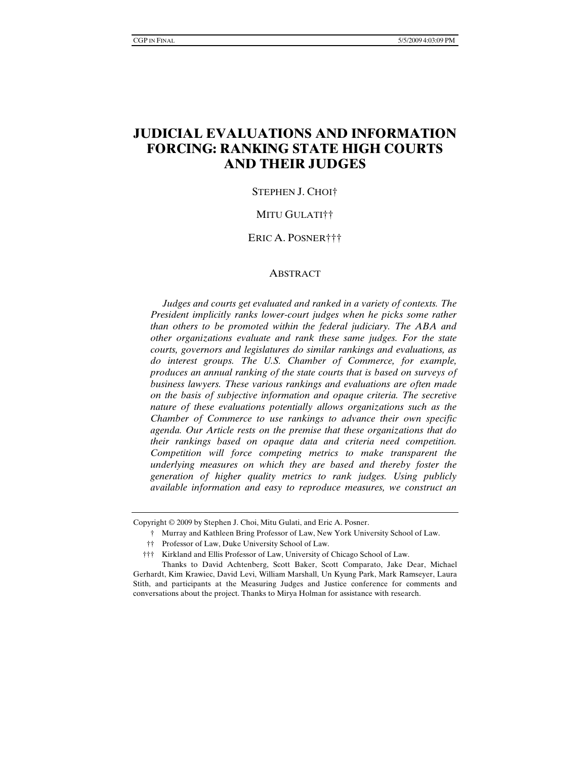# **JUDICIAL EVALUATIONS AND INFORMATION FORCING: RANKING STATE HIGH COURTS AND THEIR JUDGES**

#### STEPHEN J. CHOI†

#### MITU GULATI††

#### ERIC A. POSNER†††

#### **ABSTRACT**

 *Judges and courts get evaluated and ranked in a variety of contexts. The President implicitly ranks lower-court judges when he picks some rather than others to be promoted within the federal judiciary. The ABA and other organizations evaluate and rank these same judges. For the state courts, governors and legislatures do similar rankings and evaluations, as do interest groups. The U.S. Chamber of Commerce, for example, produces an annual ranking of the state courts that is based on surveys of business lawyers. These various rankings and evaluations are often made on the basis of subjective information and opaque criteria. The secretive nature of these evaluations potentially allows organizations such as the Chamber of Commerce to use rankings to advance their own specific agenda. Our Article rests on the premise that these organizations that do their rankings based on opaque data and criteria need competition. Competition will force competing metrics to make transparent the underlying measures on which they are based and thereby foster the generation of higher quality metrics to rank judges. Using publicly available information and easy to reproduce measures, we construct an* 

Copyright © 2009 by Stephen J. Choi, Mitu Gulati, and Eric A. Posner.

 <sup>†</sup> Murray and Kathleen Bring Professor of Law, New York University School of Law.

 <sup>††</sup> Professor of Law, Duke University School of Law.

 <sup>†††</sup> Kirkland and Ellis Professor of Law, University of Chicago School of Law.

Thanks to David Achtenberg, Scott Baker, Scott Comparato, Jake Dear, Michael Gerhardt, Kim Krawiec, David Levi, William Marshall, Un Kyung Park, Mark Ramseyer, Laura Stith, and participants at the Measuring Judges and Justice conference for comments and conversations about the project. Thanks to Mirya Holman for assistance with research.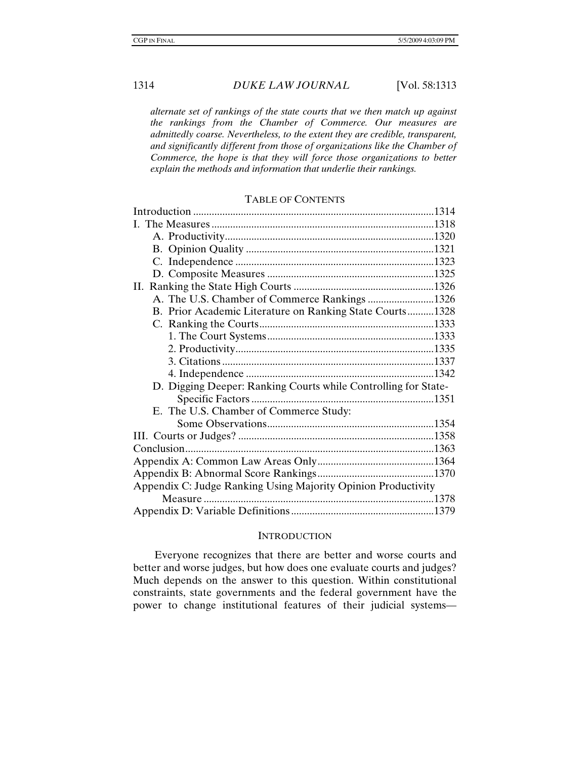*alternate set of rankings of the state courts that we then match up against the rankings from the Chamber of Commerce. Our measures are admittedly coarse. Nevertheless, to the extent they are credible, transparent, and significantly different from those of organizations like the Chamber of Commerce, the hope is that they will force those organizations to better explain the methods and information that underlie their rankings.* 

#### TABLE OF CONTENTS

| A. The U.S. Chamber of Commerce Rankings 1326                  |  |  |  |  |
|----------------------------------------------------------------|--|--|--|--|
| B. Prior Academic Literature on Ranking State Courts1328       |  |  |  |  |
|                                                                |  |  |  |  |
|                                                                |  |  |  |  |
|                                                                |  |  |  |  |
|                                                                |  |  |  |  |
|                                                                |  |  |  |  |
| D. Digging Deeper: Ranking Courts while Controlling for State- |  |  |  |  |
|                                                                |  |  |  |  |
| E. The U.S. Chamber of Commerce Study:                         |  |  |  |  |
|                                                                |  |  |  |  |
|                                                                |  |  |  |  |
|                                                                |  |  |  |  |
|                                                                |  |  |  |  |
|                                                                |  |  |  |  |
| Appendix C: Judge Ranking Using Majority Opinion Productivity  |  |  |  |  |
|                                                                |  |  |  |  |
|                                                                |  |  |  |  |
|                                                                |  |  |  |  |

#### **INTRODUCTION**

Everyone recognizes that there are better and worse courts and better and worse judges, but how does one evaluate courts and judges? Much depends on the answer to this question. Within constitutional constraints, state governments and the federal government have the power to change institutional features of their judicial systems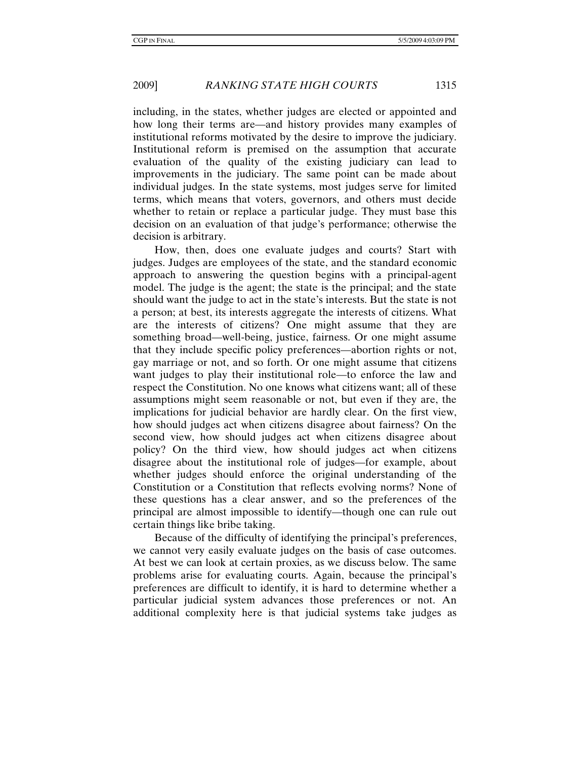including, in the states, whether judges are elected or appointed and how long their terms are—and history provides many examples of institutional reforms motivated by the desire to improve the judiciary. Institutional reform is premised on the assumption that accurate evaluation of the quality of the existing judiciary can lead to improvements in the judiciary. The same point can be made about individual judges. In the state systems, most judges serve for limited terms, which means that voters, governors, and others must decide whether to retain or replace a particular judge. They must base this decision on an evaluation of that judge's performance; otherwise the decision is arbitrary.

How, then, does one evaluate judges and courts? Start with judges. Judges are employees of the state, and the standard economic approach to answering the question begins with a principal-agent model. The judge is the agent; the state is the principal; and the state should want the judge to act in the state's interests. But the state is not a person; at best, its interests aggregate the interests of citizens. What are the interests of citizens? One might assume that they are something broad—well-being, justice, fairness. Or one might assume that they include specific policy preferences—abortion rights or not, gay marriage or not, and so forth. Or one might assume that citizens want judges to play their institutional role—to enforce the law and respect the Constitution. No one knows what citizens want; all of these assumptions might seem reasonable or not, but even if they are, the implications for judicial behavior are hardly clear. On the first view, how should judges act when citizens disagree about fairness? On the second view, how should judges act when citizens disagree about policy? On the third view, how should judges act when citizens disagree about the institutional role of judges—for example, about whether judges should enforce the original understanding of the Constitution or a Constitution that reflects evolving norms? None of these questions has a clear answer, and so the preferences of the principal are almost impossible to identify—though one can rule out certain things like bribe taking.

Because of the difficulty of identifying the principal's preferences, we cannot very easily evaluate judges on the basis of case outcomes. At best we can look at certain proxies, as we discuss below. The same problems arise for evaluating courts. Again, because the principal's preferences are difficult to identify, it is hard to determine whether a particular judicial system advances those preferences or not. An additional complexity here is that judicial systems take judges as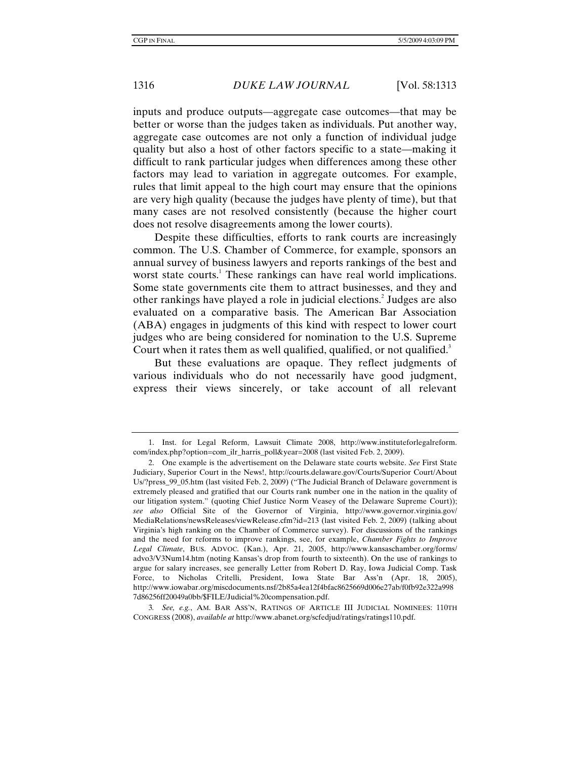inputs and produce outputs—aggregate case outcomes—that may be better or worse than the judges taken as individuals. Put another way, aggregate case outcomes are not only a function of individual judge quality but also a host of other factors specific to a state—making it difficult to rank particular judges when differences among these other factors may lead to variation in aggregate outcomes. For example, rules that limit appeal to the high court may ensure that the opinions are very high quality (because the judges have plenty of time), but that many cases are not resolved consistently (because the higher court does not resolve disagreements among the lower courts).

Despite these difficulties, efforts to rank courts are increasingly common. The U.S. Chamber of Commerce, for example, sponsors an annual survey of business lawyers and reports rankings of the best and worst state courts.<sup>1</sup> These rankings can have real world implications. Some state governments cite them to attract businesses, and they and other rankings have played a role in judicial elections.<sup>2</sup> Judges are also evaluated on a comparative basis. The American Bar Association (ABA) engages in judgments of this kind with respect to lower court judges who are being considered for nomination to the U.S. Supreme Court when it rates them as well qualified, qualified, or not qualified.<sup>3</sup>

But these evaluations are opaque. They reflect judgments of various individuals who do not necessarily have good judgment, express their views sincerely, or take account of all relevant

 <sup>1.</sup> Inst. for Legal Reform, Lawsuit Climate 2008, http://www.instituteforlegalreform. com/index.php?option=com\_ilr\_harris\_poll&year=2008 (last visited Feb. 2, 2009).

 <sup>2.</sup> One example is the advertisement on the Delaware state courts website. *See* First State Judiciary, Superior Court in the News!, http://courts.delaware.gov/Courts/Superior Court/About Us/?press\_99\_05.htm (last visited Feb. 2, 2009) ("The Judicial Branch of Delaware government is extremely pleased and gratified that our Courts rank number one in the nation in the quality of our litigation system." (quoting Chief Justice Norm Veasey of the Delaware Supreme Court)); *see also* Official Site of the Governor of Virginia, http://www.governor.virginia.gov/ MediaRelations/newsReleases/viewRelease.cfm?id=213 (last visited Feb. 2, 2009) (talking about Virginia's high ranking on the Chamber of Commerce survey). For discussions of the rankings and the need for reforms to improve rankings, see, for example, *Chamber Fights to Improve Legal Climate*, BUS. ADVOC. (Kan.), Apr. 21, 2005, http://www.kansaschamber.org/forms/ advo3/V3Num14.htm (noting Kansas's drop from fourth to sixteenth). On the use of rankings to argue for salary increases, see generally Letter from Robert D. Ray, Iowa Judicial Comp. Task Force, to Nicholas Critelli, President, Iowa State Bar Ass'n (Apr. 18, 2005), http://www.iowabar.org/miscdocuments.nsf/2b85a4ea12f4bfac8625669d006e27ab/f0fb92e322a998 7d86256ff20049a0bb/\$FILE/Judicial%20compensation.pdf.

<sup>3</sup>*. See, e.g.*, AM. BAR ASS'N, RATINGS OF ARTICLE III JUDICIAL NOMINEES: 110TH CONGRESS (2008), *available at* http://www.abanet.org/scfedjud/ratings/ratings110.pdf.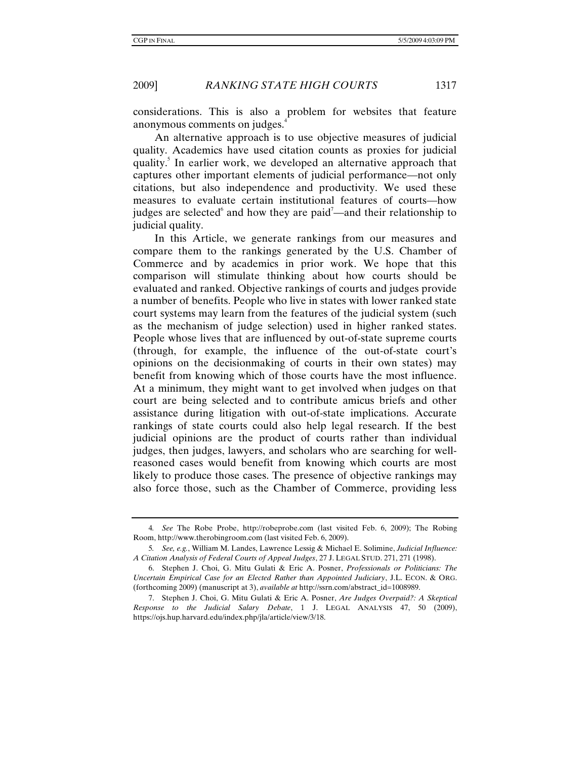considerations. This is also a problem for websites that feature anonymous comments on judges.<sup>4</sup>

An alternative approach is to use objective measures of judicial quality. Academics have used citation counts as proxies for judicial quality.<sup>5</sup> In earlier work, we developed an alternative approach that captures other important elements of judicial performance—not only citations, but also independence and productivity. We used these measures to evaluate certain institutional features of courts—how judges are selected and how they are paid<sup>7</sup>—and their relationship to judicial quality.

In this Article, we generate rankings from our measures and compare them to the rankings generated by the U.S. Chamber of Commerce and by academics in prior work. We hope that this comparison will stimulate thinking about how courts should be evaluated and ranked. Objective rankings of courts and judges provide a number of benefits. People who live in states with lower ranked state court systems may learn from the features of the judicial system (such as the mechanism of judge selection) used in higher ranked states. People whose lives that are influenced by out-of-state supreme courts (through, for example, the influence of the out-of-state court's opinions on the decisionmaking of courts in their own states) may benefit from knowing which of those courts have the most influence. At a minimum, they might want to get involved when judges on that court are being selected and to contribute amicus briefs and other assistance during litigation with out-of-state implications. Accurate rankings of state courts could also help legal research. If the best judicial opinions are the product of courts rather than individual judges, then judges, lawyers, and scholars who are searching for wellreasoned cases would benefit from knowing which courts are most likely to produce those cases. The presence of objective rankings may also force those, such as the Chamber of Commerce, providing less

<sup>4</sup>*. See* The Robe Probe, http://robeprobe.com (last visited Feb. 6, 2009); The Robing Room, http://www.therobingroom.com (last visited Feb. 6, 2009).

<sup>5</sup>*. See, e.g.*, William M. Landes, Lawrence Lessig & Michael E. Solimine, *Judicial Influence: A Citation Analysis of Federal Courts of Appeal Judges*, 27 J. LEGAL STUD. 271, 271 (1998).

 <sup>6.</sup> Stephen J. Choi, G. Mitu Gulati & Eric A. Posner, *Professionals or Politicians: The Uncertain Empirical Case for an Elected Rather than Appointed Judiciary*, J.L. ECON. & ORG. (forthcoming 2009) (manuscript at 3), *available at* http://ssrn.com/abstract\_id=1008989.

 <sup>7.</sup> Stephen J. Choi, G. Mitu Gulati & Eric A. Posner, *Are Judges Overpaid?: A Skeptical Response to the Judicial Salary Debate*, 1 J. LEGAL ANALYSIS 47, 50 (2009), https://ojs.hup.harvard.edu/index.php/jla/article/view/3/18.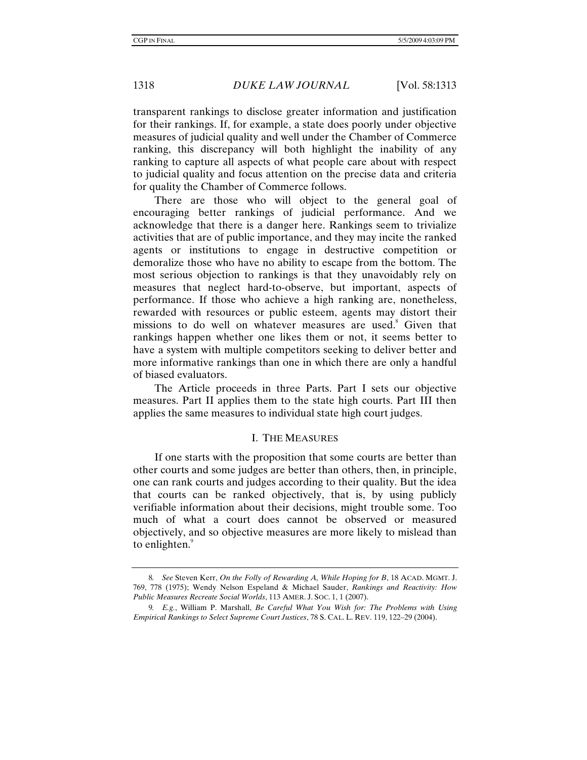transparent rankings to disclose greater information and justification for their rankings. If, for example, a state does poorly under objective measures of judicial quality and well under the Chamber of Commerce ranking, this discrepancy will both highlight the inability of any ranking to capture all aspects of what people care about with respect to judicial quality and focus attention on the precise data and criteria for quality the Chamber of Commerce follows.

There are those who will object to the general goal of encouraging better rankings of judicial performance. And we acknowledge that there is a danger here. Rankings seem to trivialize activities that are of public importance, and they may incite the ranked agents or institutions to engage in destructive competition or demoralize those who have no ability to escape from the bottom. The most serious objection to rankings is that they unavoidably rely on measures that neglect hard-to-observe, but important, aspects of performance. If those who achieve a high ranking are, nonetheless, rewarded with resources or public esteem, agents may distort their missions to do well on whatever measures are used.<sup>8</sup> Given that rankings happen whether one likes them or not, it seems better to have a system with multiple competitors seeking to deliver better and more informative rankings than one in which there are only a handful of biased evaluators.

The Article proceeds in three Parts. Part I sets our objective measures. Part II applies them to the state high courts. Part III then applies the same measures to individual state high court judges.

#### I. THE MEASURES

If one starts with the proposition that some courts are better than other courts and some judges are better than others, then, in principle, one can rank courts and judges according to their quality. But the idea that courts can be ranked objectively, that is, by using publicly verifiable information about their decisions, might trouble some. Too much of what a court does cannot be observed or measured objectively, and so objective measures are more likely to mislead than to enlighten.<sup>9</sup>

<sup>8</sup>*. See* Steven Kerr, *On the Folly of Rewarding A, While Hoping for B*, 18 ACAD. MGMT. J. 769, 778 (1975); Wendy Nelson Espeland & Michael Sauder, *Rankings and Reactivity: How Public Measures Recreate Social Worlds*, 113 AMER. J. SOC. 1, 1 (2007).

<sup>9</sup>*. E.g.*, William P. Marshall, *Be Careful What You Wish for: The Problems with Using Empirical Rankings to Select Supreme Court Justices*, 78 S. CAL. L. REV. 119, 122–29 (2004).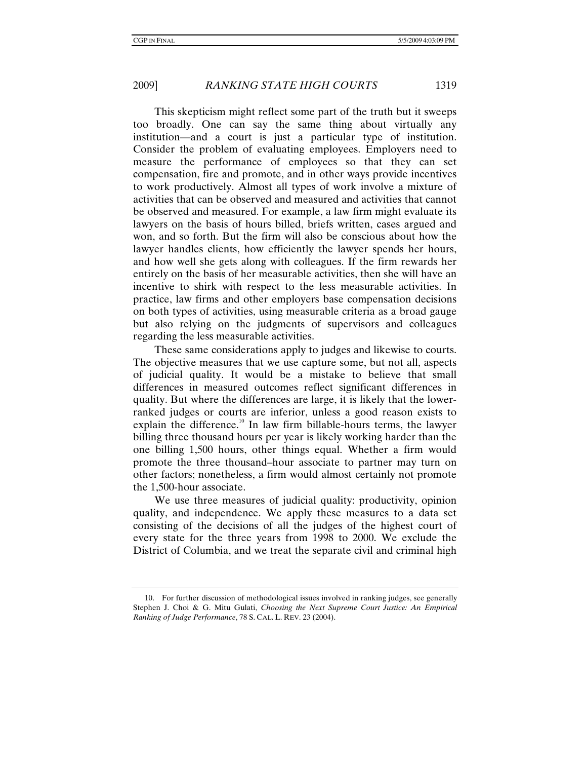This skepticism might reflect some part of the truth but it sweeps too broadly. One can say the same thing about virtually any institution—and a court is just a particular type of institution. Consider the problem of evaluating employees. Employers need to measure the performance of employees so that they can set compensation, fire and promote, and in other ways provide incentives to work productively. Almost all types of work involve a mixture of activities that can be observed and measured and activities that cannot be observed and measured. For example, a law firm might evaluate its lawyers on the basis of hours billed, briefs written, cases argued and won, and so forth. But the firm will also be conscious about how the lawyer handles clients, how efficiently the lawyer spends her hours, and how well she gets along with colleagues. If the firm rewards her entirely on the basis of her measurable activities, then she will have an incentive to shirk with respect to the less measurable activities. In practice, law firms and other employers base compensation decisions on both types of activities, using measurable criteria as a broad gauge but also relying on the judgments of supervisors and colleagues regarding the less measurable activities.

These same considerations apply to judges and likewise to courts. The objective measures that we use capture some, but not all, aspects of judicial quality. It would be a mistake to believe that small differences in measured outcomes reflect significant differences in quality. But where the differences are large, it is likely that the lowerranked judges or courts are inferior, unless a good reason exists to explain the difference.<sup>10</sup> In law firm billable-hours terms, the lawyer billing three thousand hours per year is likely working harder than the one billing 1,500 hours, other things equal. Whether a firm would promote the three thousand–hour associate to partner may turn on other factors; nonetheless, a firm would almost certainly not promote the 1,500-hour associate.

We use three measures of judicial quality: productivity, opinion quality, and independence. We apply these measures to a data set consisting of the decisions of all the judges of the highest court of every state for the three years from 1998 to 2000. We exclude the District of Columbia, and we treat the separate civil and criminal high

 <sup>10.</sup> For further discussion of methodological issues involved in ranking judges, see generally Stephen J. Choi & G. Mitu Gulati, *Choosing the Next Supreme Court Justice: An Empirical Ranking of Judge Performance*, 78 S. CAL. L. REV. 23 (2004).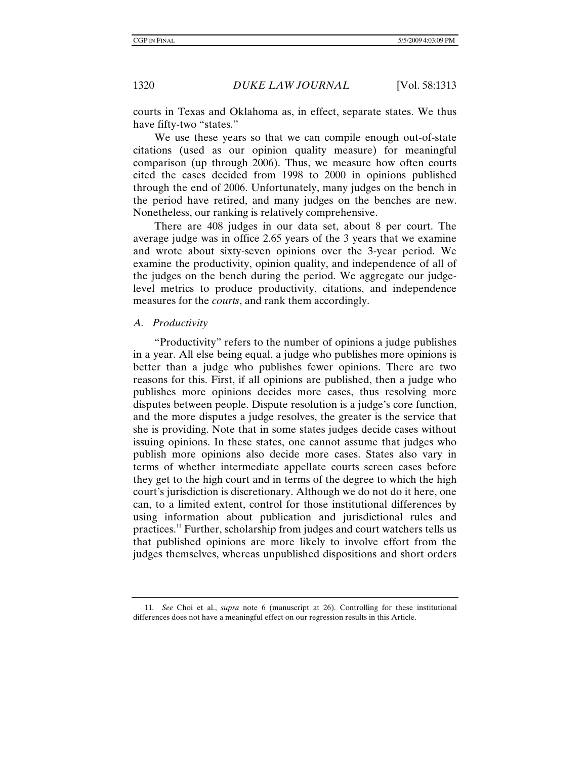courts in Texas and Oklahoma as, in effect, separate states. We thus have fifty-two "states."

We use these years so that we can compile enough out-of-state citations (used as our opinion quality measure) for meaningful comparison (up through 2006). Thus, we measure how often courts cited the cases decided from 1998 to 2000 in opinions published through the end of 2006. Unfortunately, many judges on the bench in the period have retired, and many judges on the benches are new. Nonetheless, our ranking is relatively comprehensive.

There are 408 judges in our data set, about 8 per court. The average judge was in office 2.65 years of the 3 years that we examine and wrote about sixty-seven opinions over the 3-year period. We examine the productivity, opinion quality, and independence of all of the judges on the bench during the period. We aggregate our judgelevel metrics to produce productivity, citations, and independence measures for the *courts*, and rank them accordingly.

#### *A. Productivity*

"Productivity" refers to the number of opinions a judge publishes in a year. All else being equal, a judge who publishes more opinions is better than a judge who publishes fewer opinions. There are two reasons for this. First, if all opinions are published, then a judge who publishes more opinions decides more cases, thus resolving more disputes between people. Dispute resolution is a judge's core function, and the more disputes a judge resolves, the greater is the service that she is providing. Note that in some states judges decide cases without issuing opinions. In these states, one cannot assume that judges who publish more opinions also decide more cases. States also vary in terms of whether intermediate appellate courts screen cases before they get to the high court and in terms of the degree to which the high court's jurisdiction is discretionary. Although we do not do it here, one can, to a limited extent, control for those institutional differences by using information about publication and jurisdictional rules and practices.<sup>11</sup> Further, scholarship from judges and court watchers tells us that published opinions are more likely to involve effort from the judges themselves, whereas unpublished dispositions and short orders

<sup>11</sup>*. See* Choi et al., *supra* note 6 (manuscript at 26). Controlling for these institutional differences does not have a meaningful effect on our regression results in this Article.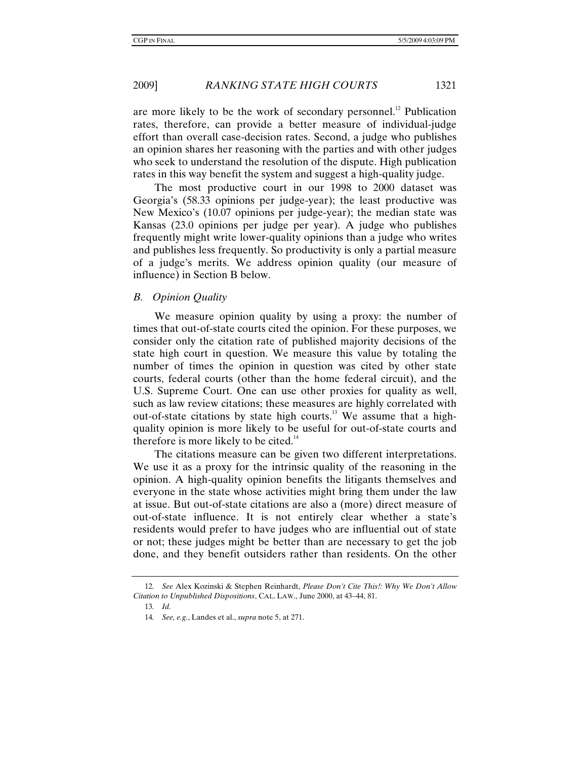are more likely to be the work of secondary personnel.<sup>12</sup> Publication rates, therefore, can provide a better measure of individual-judge effort than overall case-decision rates. Second, a judge who publishes an opinion shares her reasoning with the parties and with other judges who seek to understand the resolution of the dispute. High publication rates in this way benefit the system and suggest a high-quality judge.

The most productive court in our 1998 to 2000 dataset was Georgia's (58.33 opinions per judge-year); the least productive was New Mexico's (10.07 opinions per judge-year); the median state was Kansas (23.0 opinions per judge per year). A judge who publishes frequently might write lower-quality opinions than a judge who writes and publishes less frequently. So productivity is only a partial measure of a judge's merits. We address opinion quality (our measure of influence) in Section B below.

*B. Opinion Quality* 

We measure opinion quality by using a proxy: the number of times that out-of-state courts cited the opinion. For these purposes, we consider only the citation rate of published majority decisions of the state high court in question. We measure this value by totaling the number of times the opinion in question was cited by other state courts, federal courts (other than the home federal circuit), and the U.S. Supreme Court. One can use other proxies for quality as well, such as law review citations; these measures are highly correlated with out-of-state citations by state high courts.<sup>13</sup> We assume that a highquality opinion is more likely to be useful for out-of-state courts and therefore is more likely to be cited.<sup>14</sup>

The citations measure can be given two different interpretations. We use it as a proxy for the intrinsic quality of the reasoning in the opinion. A high-quality opinion benefits the litigants themselves and everyone in the state whose activities might bring them under the law at issue. But out-of-state citations are also a (more) direct measure of out-of-state influence. It is not entirely clear whether a state's residents would prefer to have judges who are influential out of state or not; these judges might be better than are necessary to get the job done, and they benefit outsiders rather than residents. On the other

<sup>12</sup>*. See* Alex Kozinski & Stephen Reinhardt, *Please Don't Cite This!: Why We Don't Allow Citation to Unpublished Dispositions*, CAL. LAW., June 2000, at 43–44, 81.

<sup>13</sup>*. Id.*

<sup>14</sup>*. See, e.g.*, Landes et al., *supra* note 5, at 271.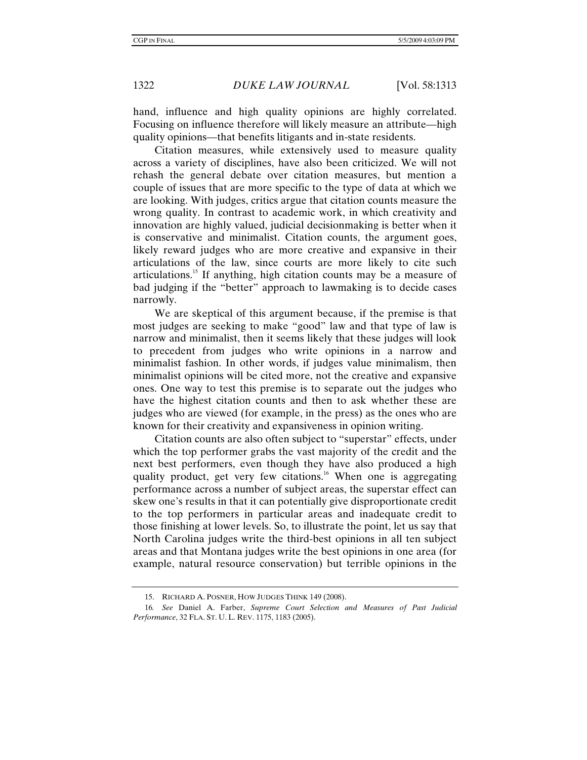hand, influence and high quality opinions are highly correlated. Focusing on influence therefore will likely measure an attribute—high quality opinions—that benefits litigants and in-state residents.

Citation measures, while extensively used to measure quality across a variety of disciplines, have also been criticized. We will not rehash the general debate over citation measures, but mention a couple of issues that are more specific to the type of data at which we are looking. With judges, critics argue that citation counts measure the wrong quality. In contrast to academic work, in which creativity and innovation are highly valued, judicial decisionmaking is better when it is conservative and minimalist. Citation counts, the argument goes, likely reward judges who are more creative and expansive in their articulations of the law, since courts are more likely to cite such articulations.15 If anything, high citation counts may be a measure of bad judging if the "better" approach to lawmaking is to decide cases narrowly.

We are skeptical of this argument because, if the premise is that most judges are seeking to make "good" law and that type of law is narrow and minimalist, then it seems likely that these judges will look to precedent from judges who write opinions in a narrow and minimalist fashion. In other words, if judges value minimalism, then minimalist opinions will be cited more, not the creative and expansive ones. One way to test this premise is to separate out the judges who have the highest citation counts and then to ask whether these are judges who are viewed (for example, in the press) as the ones who are known for their creativity and expansiveness in opinion writing.

Citation counts are also often subject to "superstar" effects, under which the top performer grabs the vast majority of the credit and the next best performers, even though they have also produced a high quality product, get very few citations.<sup>16</sup> When one is aggregating performance across a number of subject areas, the superstar effect can skew one's results in that it can potentially give disproportionate credit to the top performers in particular areas and inadequate credit to those finishing at lower levels. So, to illustrate the point, let us say that North Carolina judges write the third-best opinions in all ten subject areas and that Montana judges write the best opinions in one area (for example, natural resource conservation) but terrible opinions in the

 <sup>15.</sup> RICHARD A. POSNER, HOW JUDGES THINK 149 (2008).

<sup>16</sup>*. See* Daniel A. Farber, *Supreme Court Selection and Measures of Past Judicial Performance*, 32 FLA. ST. U. L. REV. 1175, 1183 (2005).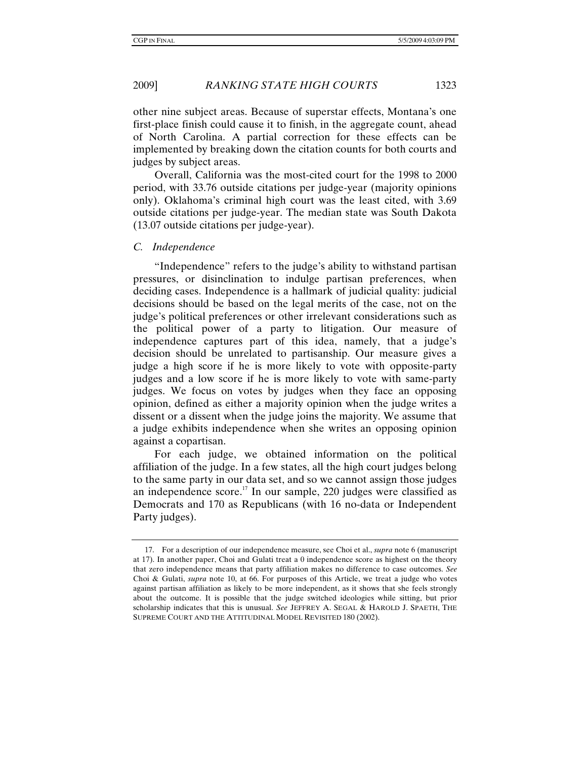2009] *RANKING STATE HIGH COURTS* 1323

other nine subject areas. Because of superstar effects, Montana's one first-place finish could cause it to finish, in the aggregate count, ahead of North Carolina. A partial correction for these effects can be implemented by breaking down the citation counts for both courts and judges by subject areas.

Overall, California was the most-cited court for the 1998 to 2000 period, with 33.76 outside citations per judge-year (majority opinions only). Oklahoma's criminal high court was the least cited, with 3.69 outside citations per judge-year. The median state was South Dakota (13.07 outside citations per judge-year).

#### *C. Independence*

"Independence" refers to the judge's ability to withstand partisan pressures, or disinclination to indulge partisan preferences, when deciding cases. Independence is a hallmark of judicial quality: judicial decisions should be based on the legal merits of the case, not on the judge's political preferences or other irrelevant considerations such as the political power of a party to litigation. Our measure of independence captures part of this idea, namely, that a judge's decision should be unrelated to partisanship. Our measure gives a judge a high score if he is more likely to vote with opposite-party judges and a low score if he is more likely to vote with same-party judges. We focus on votes by judges when they face an opposing opinion, defined as either a majority opinion when the judge writes a dissent or a dissent when the judge joins the majority. We assume that a judge exhibits independence when she writes an opposing opinion against a copartisan.

For each judge, we obtained information on the political affiliation of the judge. In a few states, all the high court judges belong to the same party in our data set, and so we cannot assign those judges an independence score.<sup>17</sup> In our sample, 220 judges were classified as Democrats and 170 as Republicans (with 16 no-data or Independent Party judges).

 <sup>17.</sup> For a description of our independence measure, see Choi et al., *supra* note 6 (manuscript at 17). In another paper, Choi and Gulati treat a 0 independence score as highest on the theory that zero independence means that party affiliation makes no difference to case outcomes. *See* Choi & Gulati, *supra* note 10, at 66. For purposes of this Article, we treat a judge who votes against partisan affiliation as likely to be more independent, as it shows that she feels strongly about the outcome. It is possible that the judge switched ideologies while sitting, but prior scholarship indicates that this is unusual. *See* JEFFREY A. SEGAL & HAROLD J. SPAETH, THE SUPREME COURT AND THE ATTITUDINAL MODEL REVISITED 180 (2002).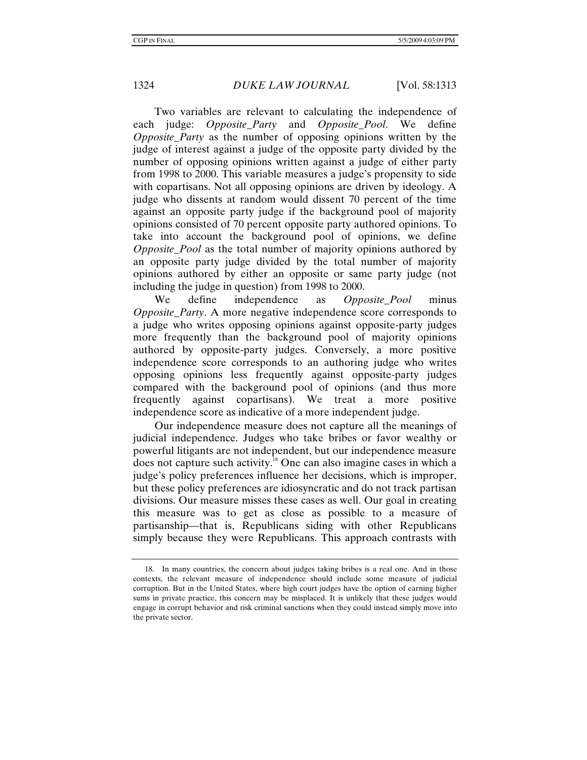Two variables are relevant to calculating the independence of each judge: *Opposite\_Party* and *Opposite\_Pool*. We define *Opposite Party* as the number of opposing opinions written by the judge of interest against a judge of the opposite party divided by the number of opposing opinions written against a judge of either party from 1998 to 2000. This variable measures a judge's propensity to side with copartisans. Not all opposing opinions are driven by ideology. A judge who dissents at random would dissent 70 percent of the time against an opposite party judge if the background pool of majority opinions consisted of 70 percent opposite party authored opinions. To take into account the background pool of opinions, we define *Opposite\_Pool* as the total number of majority opinions authored by an opposite party judge divided by the total number of majority opinions authored by either an opposite or same party judge (not including the judge in question) from 1998 to 2000.

We define independence as *Opposite\_Pool* minus *Opposite Party.* A more negative independence score corresponds to a judge who writes opposing opinions against opposite-party judges more frequently than the background pool of majority opinions authored by opposite-party judges. Conversely, a more positive independence score corresponds to an authoring judge who writes opposing opinions less frequently against opposite-party judges compared with the background pool of opinions (and thus more frequently against copartisans). We treat a more positive independence score as indicative of a more independent judge.

Our independence measure does not capture all the meanings of judicial independence. Judges who take bribes or favor wealthy or powerful litigants are not independent, but our independence measure does not capture such activity.<sup>18</sup> One can also imagine cases in which a judge's policy preferences influence her decisions, which is improper, but these policy preferences are idiosyncratic and do not track partisan divisions. Our measure misses these cases as well. Our goal in creating this measure was to get as close as possible to a measure of partisanship—that is, Republicans siding with other Republicans simply because they were Republicans. This approach contrasts with

 <sup>18.</sup> In many countries, the concern about judges taking bribes is a real one. And in those contexts, the relevant measure of independence should include some measure of judicial corruption. But in the United States, where high court judges have the option of earning higher sums in private practice, this concern may be misplaced. It is unlikely that these judges would engage in corrupt behavior and risk criminal sanctions when they could instead simply move into the private sector.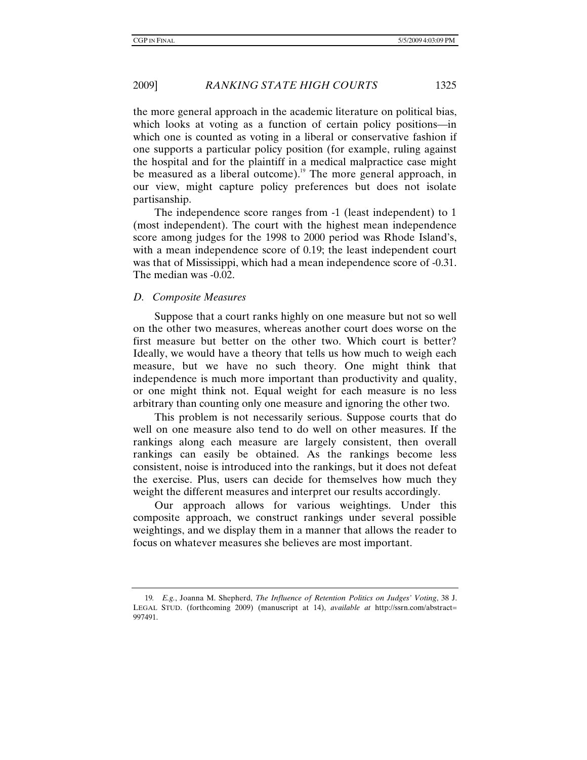the more general approach in the academic literature on political bias, which looks at voting as a function of certain policy positions—in which one is counted as voting in a liberal or conservative fashion if one supports a particular policy position (for example, ruling against the hospital and for the plaintiff in a medical malpractice case might be measured as a liberal outcome).<sup>19</sup> The more general approach, in our view, might capture policy preferences but does not isolate partisanship.

The independence score ranges from -1 (least independent) to 1 (most independent). The court with the highest mean independence score among judges for the 1998 to 2000 period was Rhode Island's, with a mean independence score of 0.19; the least independent court was that of Mississippi, which had a mean independence score of -0.31. The median was -0.02.

#### *D. Composite Measures*

Suppose that a court ranks highly on one measure but not so well on the other two measures, whereas another court does worse on the first measure but better on the other two. Which court is better? Ideally, we would have a theory that tells us how much to weigh each measure, but we have no such theory. One might think that independence is much more important than productivity and quality, or one might think not. Equal weight for each measure is no less arbitrary than counting only one measure and ignoring the other two.

This problem is not necessarily serious. Suppose courts that do well on one measure also tend to do well on other measures. If the rankings along each measure are largely consistent, then overall rankings can easily be obtained. As the rankings become less consistent, noise is introduced into the rankings, but it does not defeat the exercise. Plus, users can decide for themselves how much they weight the different measures and interpret our results accordingly.

Our approach allows for various weightings. Under this composite approach, we construct rankings under several possible weightings, and we display them in a manner that allows the reader to focus on whatever measures she believes are most important.

<sup>19</sup>*. E.g.*, Joanna M. Shepherd, *The Influence of Retention Politics on Judges' Voting*, 38 J. LEGAL STUD. (forthcoming 2009) (manuscript at 14), *available at* http://ssrn.com/abstract= 997491.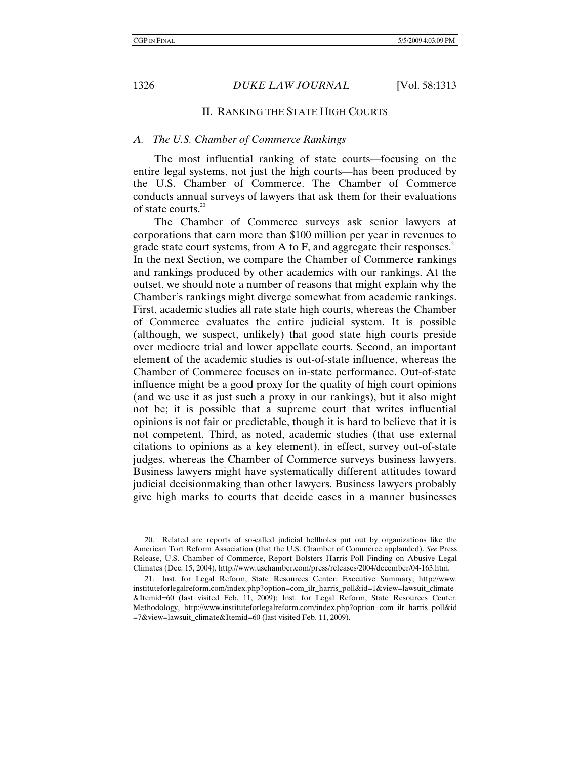#### II. RANKING THE STATE HIGH COURTS

#### *A. The U.S. Chamber of Commerce Rankings*

The most influential ranking of state courts—focusing on the entire legal systems, not just the high courts—has been produced by the U.S. Chamber of Commerce. The Chamber of Commerce conducts annual surveys of lawyers that ask them for their evaluations of state courts. $20$ 

The Chamber of Commerce surveys ask senior lawyers at corporations that earn more than \$100 million per year in revenues to grade state court systems, from A to F, and aggregate their responses.<sup>21</sup> In the next Section, we compare the Chamber of Commerce rankings and rankings produced by other academics with our rankings. At the outset, we should note a number of reasons that might explain why the Chamber's rankings might diverge somewhat from academic rankings. First, academic studies all rate state high courts, whereas the Chamber of Commerce evaluates the entire judicial system. It is possible (although, we suspect, unlikely) that good state high courts preside over mediocre trial and lower appellate courts. Second, an important element of the academic studies is out-of-state influence, whereas the Chamber of Commerce focuses on in-state performance. Out-of-state influence might be a good proxy for the quality of high court opinions (and we use it as just such a proxy in our rankings), but it also might not be; it is possible that a supreme court that writes influential opinions is not fair or predictable, though it is hard to believe that it is not competent. Third, as noted, academic studies (that use external citations to opinions as a key element), in effect, survey out-of-state judges, whereas the Chamber of Commerce surveys business lawyers. Business lawyers might have systematically different attitudes toward judicial decisionmaking than other lawyers. Business lawyers probably give high marks to courts that decide cases in a manner businesses

 <sup>20.</sup> Related are reports of so-called judicial hellholes put out by organizations like the American Tort Reform Association (that the U.S. Chamber of Commerce applauded). *See* Press Release, U.S. Chamber of Commerce, Report Bolsters Harris Poll Finding on Abusive Legal Climates (Dec. 15, 2004), http://www.uschamber.com/press/releases/2004/december/04-163.htm.

 <sup>21.</sup> Inst. for Legal Reform, State Resources Center: Executive Summary, http://www. instituteforlegalreform.com/index.php?option=com\_ilr\_harris\_poll&id=1&view=lawsuit\_climate &Itemid=60 (last visited Feb. 11, 2009); Inst. for Legal Reform, State Resources Center: Methodology, http://www.instituteforlegalreform.com/index.php?option=com\_ilr\_harris\_poll&id =7&view=lawsuit\_climate&Itemid=60 (last visited Feb. 11, 2009).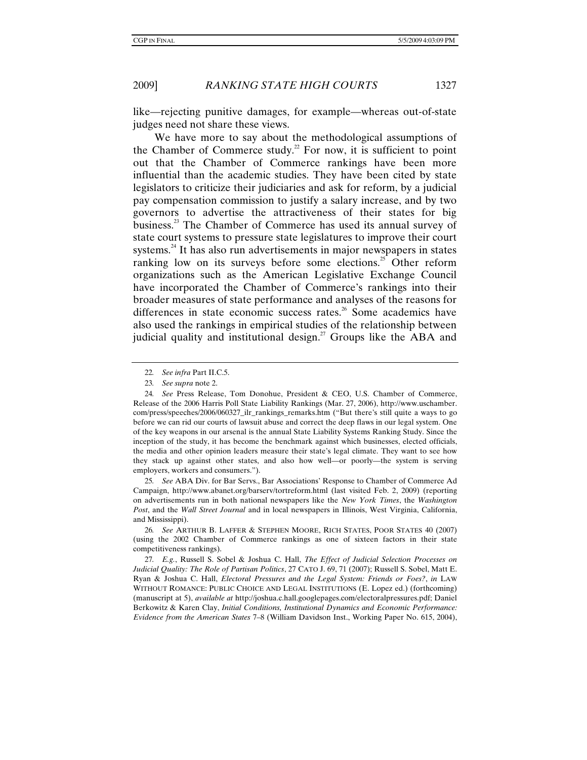like—rejecting punitive damages, for example—whereas out-of-state judges need not share these views.

We have more to say about the methodological assumptions of the Chamber of Commerce study.<sup>22</sup> For now, it is sufficient to point out that the Chamber of Commerce rankings have been more influential than the academic studies. They have been cited by state legislators to criticize their judiciaries and ask for reform, by a judicial pay compensation commission to justify a salary increase, and by two governors to advertise the attractiveness of their states for big business.23 The Chamber of Commerce has used its annual survey of state court systems to pressure state legislatures to improve their court systems.<sup>24</sup> It has also run advertisements in major newspapers in states ranking low on its surveys before some elections.<sup>25</sup> Other reform organizations such as the American Legislative Exchange Council have incorporated the Chamber of Commerce's rankings into their broader measures of state performance and analyses of the reasons for differences in state economic success rates.<sup>26</sup> Some academics have also used the rankings in empirical studies of the relationship between judicial quality and institutional design.<sup>27</sup> Groups like the ABA and

25*. See* ABA Div. for Bar Servs., Bar Associations' Response to Chamber of Commerce Ad Campaign, http://www.abanet.org/barserv/tortreform.html (last visited Feb. 2, 2009) (reporting on advertisements run in both national newspapers like the *New York Times*, the *Washington Post*, and the *Wall Street Journal* and in local newspapers in Illinois, West Virginia, California, and Mississippi).

26*. See* ARTHUR B. LAFFER & STEPHEN MOORE, RICH STATES, POOR STATES 40 (2007) (using the 2002 Chamber of Commerce rankings as one of sixteen factors in their state competitiveness rankings).

27*. E.g.*, Russell S. Sobel & Joshua C. Hall, *The Effect of Judicial Selection Processes on Judicial Quality: The Role of Partisan Politics*, 27 CATO J. 69, 71 (2007); Russell S. Sobel, Matt E. Ryan & Joshua C. Hall, *Electoral Pressures and the Legal System: Friends or Foes?*, *in* LAW WITHOUT ROMANCE: PUBLIC CHOICE AND LEGAL INSTITUTIONS (E. Lopez ed.) (forthcoming) (manuscript at 5), *available at* http://joshua.c.hall.googlepages.com/electoralpressures.pdf; Daniel Berkowitz & Karen Clay, *Initial Conditions, Institutional Dynamics and Economic Performance: Evidence from the American States* 7–8 (William Davidson Inst., Working Paper No. 615, 2004),

<sup>22</sup>*. See infra* Part II.C.5.

<sup>23</sup>*. See supra* note 2.

<sup>24</sup>*. See* Press Release, Tom Donohue, President & CEO, U.S. Chamber of Commerce, Release of the 2006 Harris Poll State Liability Rankings (Mar. 27, 2006), http://www.uschamber. com/press/speeches/2006/060327 ilr\_rankings\_remarks.htm ("But there's still quite a ways to go before we can rid our courts of lawsuit abuse and correct the deep flaws in our legal system. One of the key weapons in our arsenal is the annual State Liability Systems Ranking Study. Since the inception of the study, it has become the benchmark against which businesses, elected officials, the media and other opinion leaders measure their state's legal climate. They want to see how they stack up against other states, and also how well—or poorly—the system is serving employers, workers and consumers.").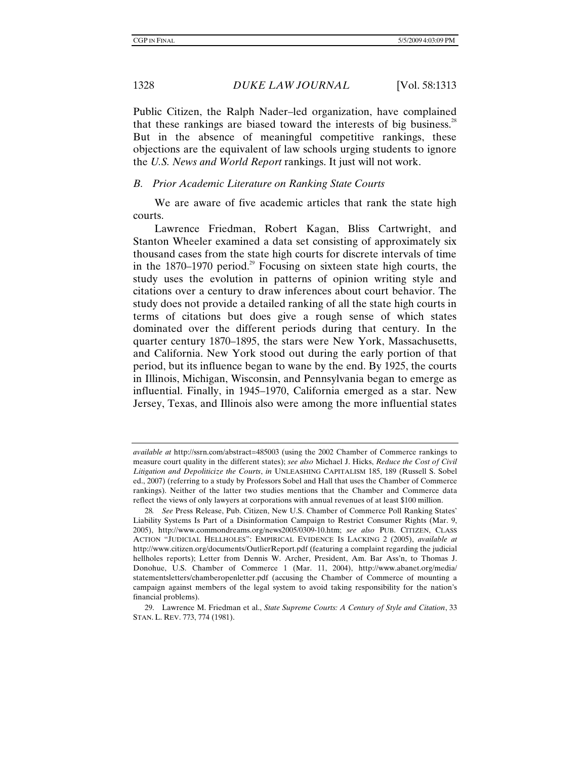Public Citizen, the Ralph Nader–led organization, have complained that these rankings are biased toward the interests of big business.<sup>28</sup> But in the absence of meaningful competitive rankings, these objections are the equivalent of law schools urging students to ignore the *U.S. News and World Report* rankings. It just will not work.

#### *B. Prior Academic Literature on Ranking State Courts*

We are aware of five academic articles that rank the state high courts.

Lawrence Friedman, Robert Kagan, Bliss Cartwright, and Stanton Wheeler examined a data set consisting of approximately six thousand cases from the state high courts for discrete intervals of time in the  $1870-1970$  period.<sup>29</sup> Focusing on sixteen state high courts, the study uses the evolution in patterns of opinion writing style and citations over a century to draw inferences about court behavior. The study does not provide a detailed ranking of all the state high courts in terms of citations but does give a rough sense of which states dominated over the different periods during that century. In the quarter century 1870–1895, the stars were New York, Massachusetts, and California. New York stood out during the early portion of that period, but its influence began to wane by the end. By 1925, the courts in Illinois, Michigan, Wisconsin, and Pennsylvania began to emerge as influential. Finally, in 1945–1970, California emerged as a star. New Jersey, Texas, and Illinois also were among the more influential states

*available at* http://ssrn.com/abstract=485003 (using the 2002 Chamber of Commerce rankings to measure court quality in the different states); *see also* Michael J. Hicks, *Reduce the Cost of Civil Litigation and Depoliticize the Courts*, *in* UNLEASHING CAPITALISM 185, 189 (Russell S. Sobel ed., 2007) (referring to a study by Professors Sobel and Hall that uses the Chamber of Commerce rankings). Neither of the latter two studies mentions that the Chamber and Commerce data reflect the views of only lawyers at corporations with annual revenues of at least \$100 million.

<sup>28</sup>*. See* Press Release, Pub. Citizen, New U.S. Chamber of Commerce Poll Ranking States' Liability Systems Is Part of a Disinformation Campaign to Restrict Consumer Rights (Mar. 9, 2005), http://www.commondreams.org/news2005/0309-10.htm; *see also* PUB. CITIZEN, CLASS ACTION "JUDICIAL HELLHOLES": EMPIRICAL EVIDENCE IS LACKING 2 (2005), *available at* http://www.citizen.org/documents/OutlierReport.pdf (featuring a complaint regarding the judicial hellholes reports); Letter from Dennis W. Archer, President, Am. Bar Ass'n, to Thomas J. Donohue, U.S. Chamber of Commerce 1 (Mar. 11, 2004), http://www.abanet.org/media/ statementsletters/chamberopenletter.pdf (accusing the Chamber of Commerce of mounting a campaign against members of the legal system to avoid taking responsibility for the nation's financial problems).

 <sup>29.</sup> Lawrence M. Friedman et al., *State Supreme Courts: A Century of Style and Citation*, 33 STAN. L. REV. 773, 774 (1981).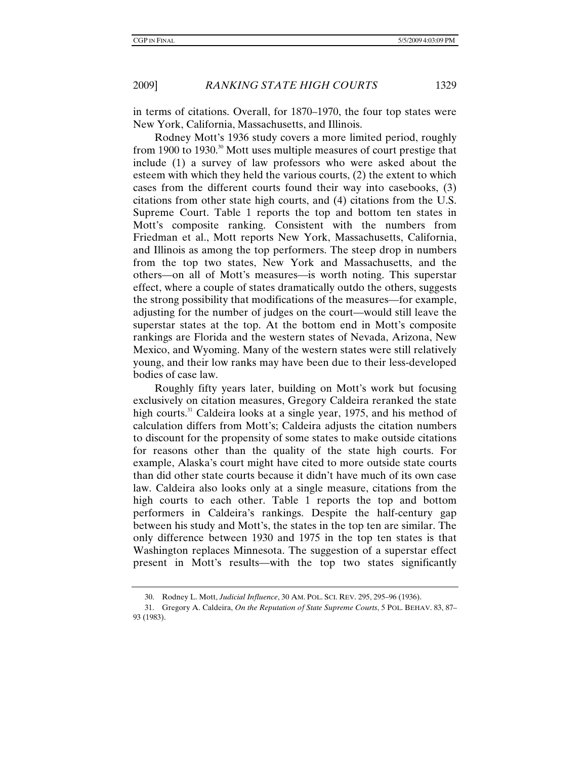in terms of citations. Overall, for 1870–1970, the four top states were New York, California, Massachusetts, and Illinois.

Rodney Mott's 1936 study covers a more limited period, roughly from 1900 to 1930.<sup>30</sup> Mott uses multiple measures of court prestige that include (1) a survey of law professors who were asked about the esteem with which they held the various courts, (2) the extent to which cases from the different courts found their way into casebooks, (3) citations from other state high courts, and (4) citations from the U.S. Supreme Court. Table 1 reports the top and bottom ten states in Mott's composite ranking. Consistent with the numbers from Friedman et al., Mott reports New York, Massachusetts, California, and Illinois as among the top performers. The steep drop in numbers from the top two states, New York and Massachusetts, and the others—on all of Mott's measures—is worth noting. This superstar effect, where a couple of states dramatically outdo the others, suggests the strong possibility that modifications of the measures—for example, adjusting for the number of judges on the court—would still leave the superstar states at the top. At the bottom end in Mott's composite rankings are Florida and the western states of Nevada, Arizona, New Mexico, and Wyoming. Many of the western states were still relatively young, and their low ranks may have been due to their less-developed bodies of case law.

Roughly fifty years later, building on Mott's work but focusing exclusively on citation measures, Gregory Caldeira reranked the state high courts.<sup>31</sup> Caldeira looks at a single year, 1975, and his method of calculation differs from Mott's; Caldeira adjusts the citation numbers to discount for the propensity of some states to make outside citations for reasons other than the quality of the state high courts. For example, Alaska's court might have cited to more outside state courts than did other state courts because it didn't have much of its own case law. Caldeira also looks only at a single measure, citations from the high courts to each other. Table 1 reports the top and bottom performers in Caldeira's rankings. Despite the half-century gap between his study and Mott's, the states in the top ten are similar. The only difference between 1930 and 1975 in the top ten states is that Washington replaces Minnesota. The suggestion of a superstar effect present in Mott's results—with the top two states significantly

 <sup>30.</sup> Rodney L. Mott, *Judicial Influence*, 30 AM. POL. SCI. REV. 295, 295–96 (1936).

 <sup>31.</sup> Gregory A. Caldeira, *On the Reputation of State Supreme Courts*, 5 POL. BEHAV. 83, 87– 93 (1983).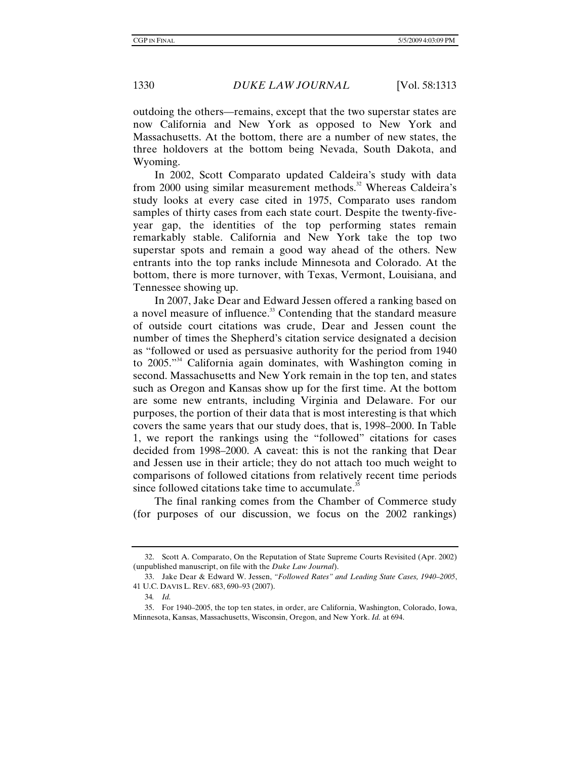outdoing the others—remains, except that the two superstar states are now California and New York as opposed to New York and Massachusetts. At the bottom, there are a number of new states, the three holdovers at the bottom being Nevada, South Dakota, and Wyoming.

In 2002, Scott Comparato updated Caldeira's study with data from 2000 using similar measurement methods.<sup>32</sup> Whereas Caldeira's study looks at every case cited in 1975, Comparato uses random samples of thirty cases from each state court. Despite the twenty-fiveyear gap, the identities of the top performing states remain remarkably stable. California and New York take the top two superstar spots and remain a good way ahead of the others. New entrants into the top ranks include Minnesota and Colorado. At the bottom, there is more turnover, with Texas, Vermont, Louisiana, and Tennessee showing up.

In 2007, Jake Dear and Edward Jessen offered a ranking based on a novel measure of influence.<sup>33</sup> Contending that the standard measure of outside court citations was crude, Dear and Jessen count the number of times the Shepherd's citation service designated a decision as "followed or used as persuasive authority for the period from 1940 to 2005."34 California again dominates, with Washington coming in second. Massachusetts and New York remain in the top ten, and states such as Oregon and Kansas show up for the first time. At the bottom are some new entrants, including Virginia and Delaware. For our purposes, the portion of their data that is most interesting is that which covers the same years that our study does, that is, 1998–2000. In Table 1, we report the rankings using the "followed" citations for cases decided from 1998–2000. A caveat: this is not the ranking that Dear and Jessen use in their article; they do not attach too much weight to comparisons of followed citations from relatively recent time periods since followed citations take time to accumulate. $35$ 

The final ranking comes from the Chamber of Commerce study (for purposes of our discussion, we focus on the 2002 rankings)

 <sup>32.</sup> Scott A. Comparato, On the Reputation of State Supreme Courts Revisited (Apr. 2002) (unpublished manuscript, on file with the *Duke Law Journal*).

 <sup>33.</sup> Jake Dear & Edward W. Jessen, *"Followed Rates" and Leading State Cases, 1940–2005*, 41 U.C. DAVIS L. REV. 683, 690–93 (2007).

<sup>34</sup>*. Id.*

 <sup>35.</sup> For 1940–2005, the top ten states, in order, are California, Washington, Colorado, Iowa, Minnesota, Kansas, Massachusetts, Wisconsin, Oregon, and New York. *Id.* at 694.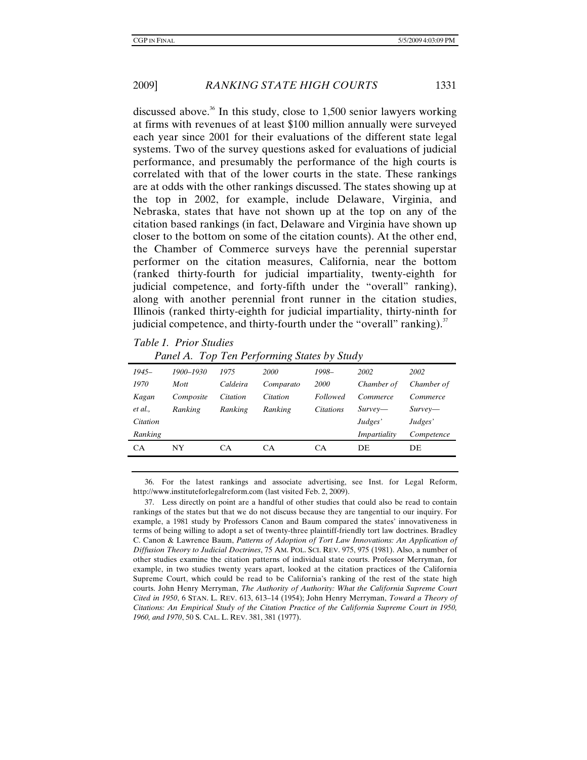discussed above.<sup>36</sup> In this study, close to 1,500 senior lawyers working at firms with revenues of at least \$100 million annually were surveyed each year since 2001 for their evaluations of the different state legal systems. Two of the survey questions asked for evaluations of judicial performance, and presumably the performance of the high courts is correlated with that of the lower courts in the state. These rankings are at odds with the other rankings discussed. The states showing up at the top in 2002, for example, include Delaware, Virginia, and Nebraska, states that have not shown up at the top on any of the citation based rankings (in fact, Delaware and Virginia have shown up closer to the bottom on some of the citation counts). At the other end, the Chamber of Commerce surveys have the perennial superstar performer on the citation measures, California, near the bottom (ranked thirty-fourth for judicial impartiality, twenty-eighth for judicial competence, and forty-fifth under the "overall" ranking), along with another perennial front runner in the citation studies, Illinois (ranked thirty-eighth for judicial impartiality, thirty-ninth for judicial competence, and thirty-fourth under the "overall" ranking). $37$ 

#### *Table 1. Prior Studies*

|           | T and TV. TOP TON I GIOINING DRIGS BY SHAW |          |             |             |              |            |
|-----------|--------------------------------------------|----------|-------------|-------------|--------------|------------|
| $1945-$   | 1900–1930                                  | 1975     | <i>2000</i> | 1998-       | 2002         | 2002       |
| 1970      | Mott                                       | Caldeira | Comparato   | <i>2000</i> | Chamber of   | Chamber of |
| Kagan     | Composite                                  | Citation | Citation    | Followed    | Commerce     | Commerce   |
| et al.,   | Ranking                                    | Ranking  | Ranking     | Citations   | $Surve$ —    | $Surve$ —  |
| Citation  |                                            |          |             |             | Judges'      | Judges'    |
| Ranking   |                                            |          |             |             | Impartiality | Competence |
| <b>CA</b> | NY                                         | CA       | СA          | CA          | DE           | DE         |
|           |                                            |          |             |             |              |            |

 *Panel A. Top Ten Performing States by Study* 

 36. For the latest rankings and associate advertising, see Inst. for Legal Reform, http://www.instituteforlegalreform.com (last visited Feb. 2, 2009).

 37. Less directly on point are a handful of other studies that could also be read to contain rankings of the states but that we do not discuss because they are tangential to our inquiry. For example, a 1981 study by Professors Canon and Baum compared the states' innovativeness in terms of being willing to adopt a set of twenty-three plaintiff-friendly tort law doctrines. Bradley C. Canon & Lawrence Baum, *Patterns of Adoption of Tort Law Innovations: An Application of Diffusion Theory to Judicial Doctrines*, 75 AM. POL. SCI. REV. 975, 975 (1981). Also, a number of other studies examine the citation patterns of individual state courts. Professor Merryman, for example, in two studies twenty years apart, looked at the citation practices of the California Supreme Court, which could be read to be California's ranking of the rest of the state high courts. John Henry Merryman, *The Authority of Authority: What the California Supreme Court Cited in 1950*, 6 STAN. L. REV. 613, 613–14 (1954); John Henry Merryman, *Toward a Theory of Citations: An Empirical Study of the Citation Practice of the California Supreme Court in 1950, 1960, and 1970*, 50 S. CAL. L. REV. 381, 381 (1977).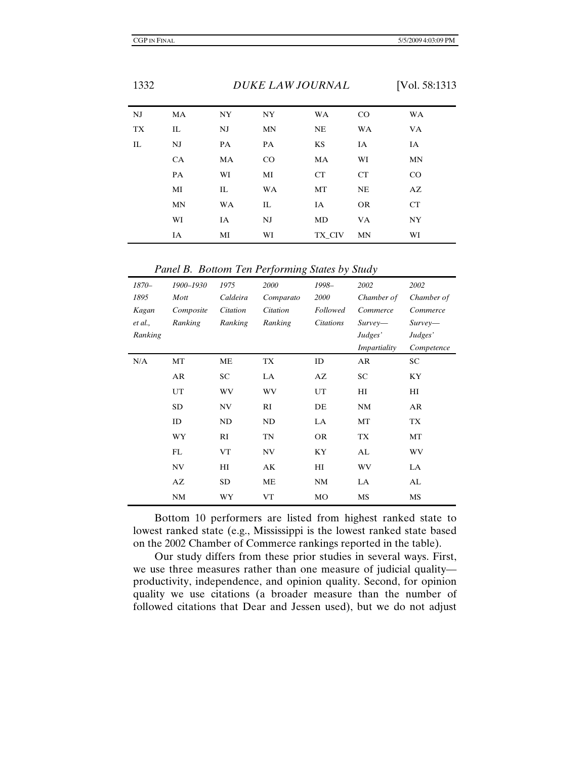| NJ        | MA        | <b>NY</b> | NY | <b>WA</b> | CO        | <b>WA</b> |
|-----------|-----------|-----------|----|-----------|-----------|-----------|
| <b>TX</b> | IL        | NJ        | MN | <b>NE</b> | <b>WA</b> | VA        |
| IL        | NJ        | PA        | PA | KS        | IA        | IA        |
|           | <b>CA</b> | MA        | CO | MA        | WI        | MN        |
|           | PA        | WI        | MI | CT        | CT        | CO        |
|           | MI        | IL        | WA | MT        | NE        | AZ        |
|           | <b>MN</b> | WA        | IL | IA        | <b>OR</b> | CT        |
|           | WI        | IA        | NJ | MD        | VA        | NY.       |
|           | IA        | MI        | WI | TX_CIV    | MN        | WI        |

 *Panel B. Bottom Ten Performing States by Study* 

| 1870-   | 1900-1930 | 1975      | 2000      | 1998-            | 2002         | 2002       |
|---------|-----------|-----------|-----------|------------------|--------------|------------|
| 1895    | Mott      | Caldeira  | Comparato | 2000             | Chamber of   | Chamber of |
| Kagan   | Composite | Citation  | Citation  | <b>Followed</b>  | Commerce     | Commerce   |
| et al., | Ranking   | Ranking   | Ranking   | <i>Citations</i> | $Surve$ —    | $Surve$ —  |
| Ranking |           |           |           |                  | Judges'      | Judges'    |
|         |           |           |           |                  | Impartiality | Competence |
| N/A     | MT        | <b>ME</b> | TX        | ID               | AR           | SC         |
|         | AR        | SC        | LA.       | AZ               | SC           | KY         |
|         | UT        | WV        | WV        | UT               | HI           | HІ         |
|         | SD.       | NV        | RI        | DE               | <b>NM</b>    | AR         |
|         | ID        | ND        | ND        | LA               | MT           | TX         |
|         | WY        | RI        | TN        | <b>OR</b>        | <b>TX</b>    | MT         |
|         | FL        | <b>VT</b> | NV        | KY               | AL           | WV         |
|         | NV        | H         | AK        | HI               | WV           | LA         |
|         | AZ        | <b>SD</b> | ME        | <b>NM</b>        | LA           | AL         |
|         | <b>NM</b> | WY        | <b>VT</b> | MO               | MS           | MS         |

Bottom 10 performers are listed from highest ranked state to lowest ranked state (e.g., Mississippi is the lowest ranked state based on the 2002 Chamber of Commerce rankings reported in the table).

Our study differs from these prior studies in several ways. First, we use three measures rather than one measure of judicial quality productivity, independence, and opinion quality. Second, for opinion quality we use citations (a broader measure than the number of followed citations that Dear and Jessen used), but we do not adjust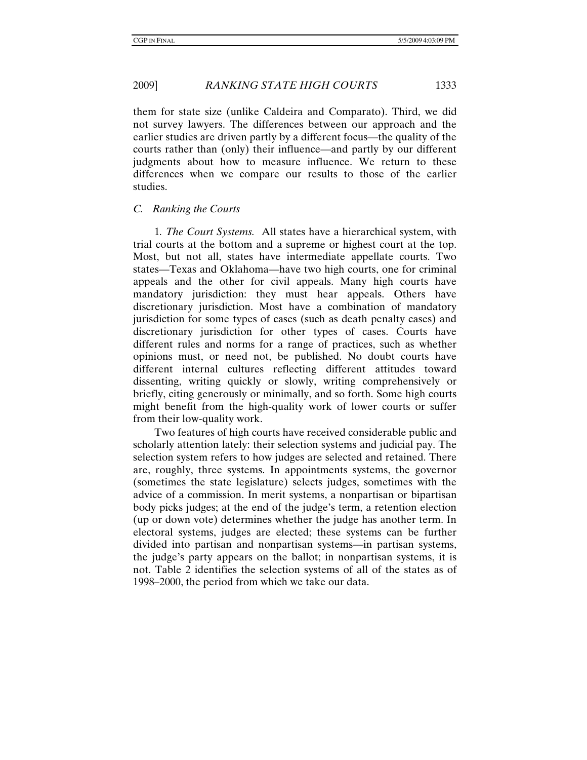them for state size (unlike Caldeira and Comparato). Third, we did not survey lawyers. The differences between our approach and the earlier studies are driven partly by a different focus—the quality of the courts rather than (only) their influence—and partly by our different judgments about how to measure influence. We return to these differences when we compare our results to those of the earlier studies.

#### *C. Ranking the Courts*

1*. The Court Systems.* All states have a hierarchical system, with trial courts at the bottom and a supreme or highest court at the top. Most, but not all, states have intermediate appellate courts. Two states—Texas and Oklahoma—have two high courts, one for criminal appeals and the other for civil appeals. Many high courts have mandatory jurisdiction: they must hear appeals. Others have discretionary jurisdiction. Most have a combination of mandatory jurisdiction for some types of cases (such as death penalty cases) and discretionary jurisdiction for other types of cases. Courts have different rules and norms for a range of practices, such as whether opinions must, or need not, be published. No doubt courts have different internal cultures reflecting different attitudes toward dissenting, writing quickly or slowly, writing comprehensively or briefly, citing generously or minimally, and so forth. Some high courts might benefit from the high-quality work of lower courts or suffer from their low-quality work.

Two features of high courts have received considerable public and scholarly attention lately: their selection systems and judicial pay. The selection system refers to how judges are selected and retained. There are, roughly, three systems. In appointments systems, the governor (sometimes the state legislature) selects judges, sometimes with the advice of a commission. In merit systems, a nonpartisan or bipartisan body picks judges; at the end of the judge's term, a retention election (up or down vote) determines whether the judge has another term. In electoral systems, judges are elected; these systems can be further divided into partisan and nonpartisan systems—in partisan systems, the judge's party appears on the ballot; in nonpartisan systems, it is not. Table 2 identifies the selection systems of all of the states as of 1998*–*2000, the period from which we take our data.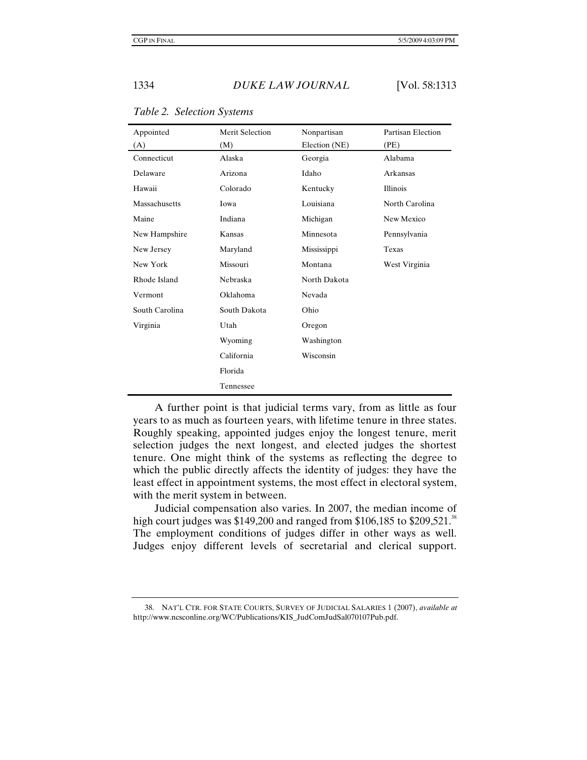| Appointed      | <b>Merit Selection</b> | Nonpartisan   | <b>Partisan Election</b> |
|----------------|------------------------|---------------|--------------------------|
| (A)            | (M)                    | Election (NE) | (PE)                     |
| Connecticut    | Alaska                 | Georgia       | Alabama                  |
| Delaware       | Arizona                | Idaho         | Arkansas                 |
| Hawaii         | Colorado               | Kentucky      | Illinois                 |
| Massachusetts  | Iowa                   | Louisiana     | North Carolina           |
| Maine          | Indiana                | Michigan      | New Mexico               |
| New Hampshire  | Kansas                 | Minnesota     | Pennsylvania             |
| New Jersey     | Maryland               | Mississippi   | Texas                    |
| New York       | Missouri               | Montana       | West Virginia            |
| Rhode Island   | Nebraska               | North Dakota  |                          |
| Vermont        | Oklahoma               | Nevada        |                          |
| South Carolina | South Dakota           | Ohio          |                          |
| Virginia       | Utah                   | Oregon        |                          |
|                | Wyoming                | Washington    |                          |
|                | California             | Wisconsin     |                          |
|                | Florida                |               |                          |
|                | Tennessee              |               |                          |

*Table 2. Selection Systems* 

A further point is that judicial terms vary, from as little as four years to as much as fourteen years, with lifetime tenure in three states. Roughly speaking, appointed judges enjoy the longest tenure, merit selection judges the next longest, and elected judges the shortest tenure. One might think of the systems as reflecting the degree to which the public directly affects the identity of judges: they have the least effect in appointment systems, the most effect in electoral system, with the merit system in between.

Judicial compensation also varies. In 2007, the median income of high court judges was \$149,200 and ranged from \$106,185 to \$209,521.<sup>38</sup> The employment conditions of judges differ in other ways as well. Judges enjoy different levels of secretarial and clerical support.

 <sup>38.</sup> NAT'L CTR. FOR STATE COURTS, SURVEY OF JUDICIAL SALARIES 1 (2007), *available at* http://www.ncsconline.org/WC/Publications/KIS\_JudComJudSal070107Pub.pdf.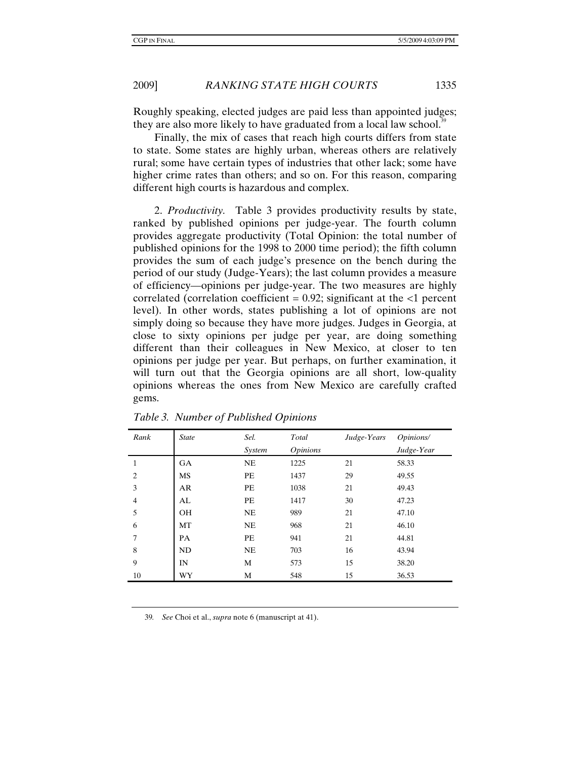Roughly speaking, elected judges are paid less than appointed judges; they are also more likely to have graduated from a local law school.<sup>39</sup>

Finally, the mix of cases that reach high courts differs from state to state. Some states are highly urban, whereas others are relatively rural; some have certain types of industries that other lack; some have higher crime rates than others; and so on. For this reason, comparing different high courts is hazardous and complex.

2. *Productivity.* Table 3 provides productivity results by state, ranked by published opinions per judge-year. The fourth column provides aggregate productivity (Total Opinion: the total number of published opinions for the 1998 to 2000 time period); the fifth column provides the sum of each judge's presence on the bench during the period of our study (Judge-Years); the last column provides a measure of efficiency—opinions per judge-year. The two measures are highly correlated (correlation coefficient =  $0.92$ ; significant at the  $\langle 1 \rangle$  percent level). In other words, states publishing a lot of opinions are not simply doing so because they have more judges. Judges in Georgia, at close to sixty opinions per judge per year, are doing something different than their colleagues in New Mexico, at closer to ten opinions per judge per year. But perhaps, on further examination, it will turn out that the Georgia opinions are all short, low-quality opinions whereas the ones from New Mexico are carefully crafted gems.

| Rank           | <b>State</b> | Sel.      | Total           | Judge-Years | Opinions/  |
|----------------|--------------|-----------|-----------------|-------------|------------|
|                |              | System    | <i>Opinions</i> |             | Judge-Year |
| 1              | <b>GA</b>    | NE        | 1225            | 21          | 58.33      |
| $\overline{c}$ | MS           | PE        | 1437            | 29          | 49.55      |
| 3              | AR           | PE        | 1038            | 21          | 49.43      |
| $\overline{4}$ | AL           | PE        | 1417            | 30          | 47.23      |
| 5              | <b>OH</b>    | NE        | 989             | 21          | 47.10      |
| 6              | MT           | NE        | 968             | 21          | 46.10      |
| 7              | PA           | PE        | 941             | 21          | 44.81      |
| 8              | ND           | <b>NE</b> | 703             | 16          | 43.94      |
| 9              | IN           | М         | 573             | 15          | 38.20      |
| 10             | WY           | М         | 548             | 15          | 36.53      |

*Table 3. Number of Published Opinions* 

39*. See* Choi et al., *supra* note 6 (manuscript at 41).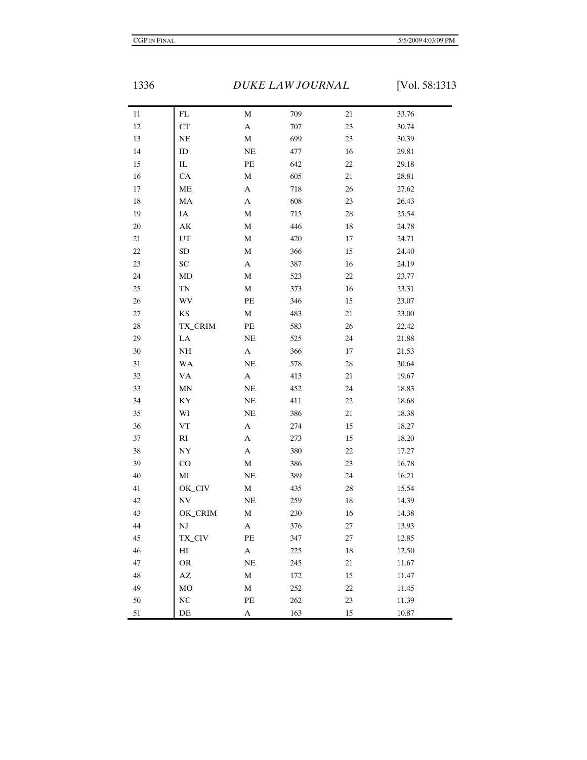1336 *DUKE LAW JOURNAL* [Vol. 58:1313

| 11     | FL                     | M                         | 709     | 21     | 33.76 |
|--------|------------------------|---------------------------|---------|--------|-------|
| $12\,$ | ${\cal C}{\cal T}$     | $\mathbf A$               | $707\,$ | $23\,$ | 30.74 |
| 13     | NE                     | $\mathbf M$               | 699     | $23\,$ | 30.39 |
| 14     | ID                     | NE                        | 477     | 16     | 29.81 |
| 15     | ${\rm IL}$             | $\rm PE$                  | 642     | $22\,$ | 29.18 |
| 16     | ${\rm CA}$             | $\mathbf M$               | 605     | $21\,$ | 28.81 |
| $17\,$ | ME                     | $\mathbf A$               | 718     | 26     | 27.62 |
| $18\,$ | MA                     | $\mathbf A$               | 608     | $23\,$ | 26.43 |
| 19     | IA                     | $\mathbf M$               | 715     | $28\,$ | 25.54 |
| 20     | $\mathbf{A}\mathbf{K}$ | $\mathbf M$               | 446     | 18     | 24.78 |
| $21\,$ | $_{\rm UT}$            | $\mathbf M$               | 420     | $17\,$ | 24.71 |
| 22     | SD                     | $\mathbf M$               | 366     | 15     | 24.40 |
| 23     | ${\rm SC}$             | $\mathbf A$               | 387     | 16     | 24.19 |
| 24     | MD                     | $\mathbf M$               | 523     | $22\,$ | 23.77 |
| 25     | $\mathbf{TN}$          | $\mathbf M$               | 373     | $16\,$ | 23.31 |
| 26     | WV                     | PE                        | 346     | 15     | 23.07 |
| $27\,$ | KS                     | $\mathbf M$               | 483     | $21\,$ | 23.00 |
| $28\,$ | TX_CRIM                | PE                        | 583     | $26\,$ | 22.42 |
| 29     | ${\rm LA}$             | NE                        | 525     | 24     | 21.88 |
| $30\,$ | NH                     | $\mathbf A$               | 366     | $17\,$ | 21.53 |
| $31\,$ | WA                     | NE                        | 578     | $28\,$ | 20.64 |
| 32     | VA                     | $\mathbf A$               | 413     | 21     | 19.67 |
| 33     | MN                     | $\rm NE$                  | 452     | 24     | 18.83 |
| 34     | KY                     | NE                        | 411     | $22\,$ | 18.68 |
| 35     | WI                     | NE                        | 386     | 21     | 18.38 |
| 36     | ${\rm VT}$             | A                         | 274     | 15     | 18.27 |
| 37     | $\mathbf{R}\mathbf{I}$ | $\mathbf A$               | 273     | 15     | 18.20 |
| 38     | ${\rm NY}$             | $\mathbf A$               | 380     | 22     | 17.27 |
| 39     | $\rm CO$               | $\mathbf M$               | 386     | $23\,$ | 16.78 |
| 40     | МI                     | NE                        | 389     | 24     | 16.21 |
| $41\,$ | OK_CIV                 | $\mathbf M$               | 435     | 28     | 15.54 |
| $42\,$ | N V                    | $\rm NE$                  | 259     | $18\,$ | 14.39 |
| 43     | OK_CRIM                | M                         | 230     | $16\,$ | 14.38 |
| $44\,$ | $_{\rm NJ}$            | A                         | 376     | 27     | 13.93 |
| 45     | TX_CIV                 | PE                        | 347     | 27     | 12.85 |
| 46     | HI                     | $\mathbf{A}$              | 225     | $18\,$ | 12.50 |
| 47     | OR                     | $\rm NE$                  | 245     | 21     | 11.67 |
| 48     | $\mathbf{A}\mathbf{Z}$ | $\mathbf M$               | 172     | 15     | 11.47 |
| 49     | M <sub>O</sub>         | $\mathbf M$               | 252     | 22     | 11.45 |
| 50     | NC                     | $\rm PE$                  | 262     | 23     | 11.39 |
| $51\,$ | $\rm{DE}$              | $\boldsymbol{\mathsf{A}}$ | 163     | $15\,$ | 10.87 |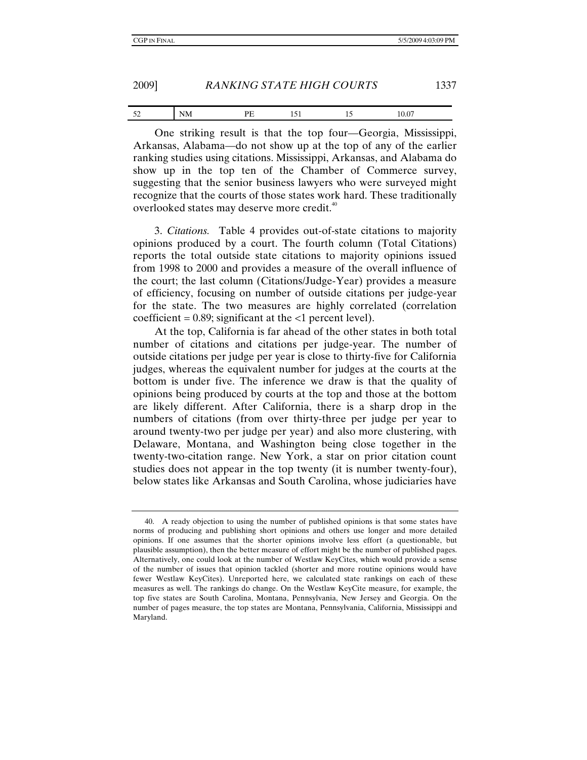| 2009] | <b>RANKING STATE HIGH COURTS</b> |  |
|-------|----------------------------------|--|
|       |                                  |  |

| $-1$<br>◡▵ |       | ᆠᆑ |      | J.U  |
|------------|-------|----|------|------|
|            | $  -$ |    | ____ | ---- |

One striking result is that the top four—Georgia, Mississippi, Arkansas, Alabama—do not show up at the top of any of the earlier ranking studies using citations. Mississippi, Arkansas, and Alabama do show up in the top ten of the Chamber of Commerce survey, suggesting that the senior business lawyers who were surveyed might recognize that the courts of those states work hard. These traditionally overlooked states may deserve more credit.<sup>40</sup>

3. *Citations.* Table 4 provides out-of-state citations to majority opinions produced by a court. The fourth column (Total Citations) reports the total outside state citations to majority opinions issued from 1998 to 2000 and provides a measure of the overall influence of the court; the last column (Citations/Judge-Year) provides a measure of efficiency, focusing on number of outside citations per judge-year for the state. The two measures are highly correlated (correlation coefficient =  $0.89$ ; significant at the  $\langle 1 \rangle$  percent level).

At the top, California is far ahead of the other states in both total number of citations and citations per judge-year. The number of outside citations per judge per year is close to thirty-five for California judges, whereas the equivalent number for judges at the courts at the bottom is under five. The inference we draw is that the quality of opinions being produced by courts at the top and those at the bottom are likely different. After California, there is a sharp drop in the numbers of citations (from over thirty-three per judge per year to around twenty-two per judge per year) and also more clustering, with Delaware, Montana, and Washington being close together in the twenty-two-citation range. New York, a star on prior citation count studies does not appear in the top twenty (it is number twenty-four), below states like Arkansas and South Carolina, whose judiciaries have

 <sup>40.</sup> A ready objection to using the number of published opinions is that some states have norms of producing and publishing short opinions and others use longer and more detailed opinions. If one assumes that the shorter opinions involve less effort (a questionable, but plausible assumption), then the better measure of effort might be the number of published pages. Alternatively, one could look at the number of Westlaw KeyCites, which would provide a sense of the number of issues that opinion tackled (shorter and more routine opinions would have fewer Westlaw KeyCites). Unreported here, we calculated state rankings on each of these measures as well. The rankings do change. On the Westlaw KeyCite measure, for example, the top five states are South Carolina, Montana, Pennsylvania, New Jersey and Georgia. On the number of pages measure, the top states are Montana, Pennsylvania, California, Mississippi and Maryland.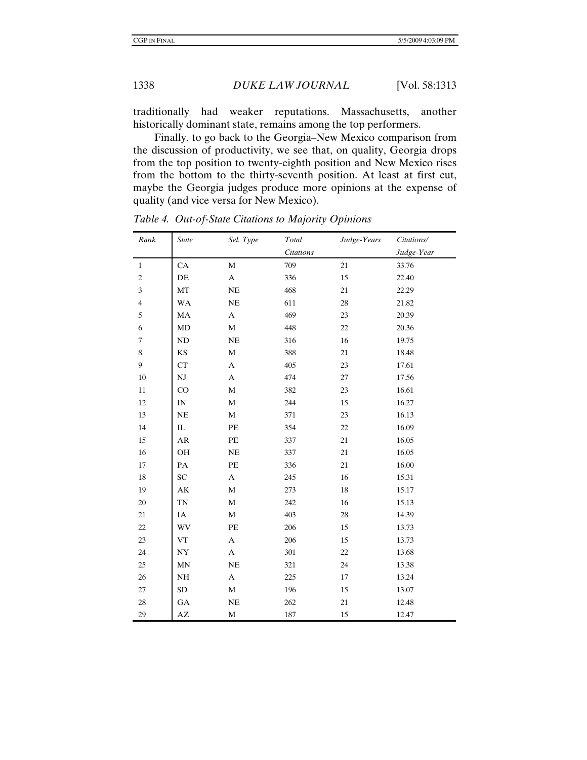traditionally had weaker reputations. Massachusetts, another historically dominant state, remains among the top performers.

Finally, to go back to the Georgia–New Mexico comparison from the discussion of productivity, we see that, on quality, Georgia drops from the top position to twenty-eighth position and New Mexico rises from the bottom to the thirty-seventh position. At least at first cut, maybe the Georgia judges produce more opinions at the expense of quality (and vice versa for New Mexico).

| Rank             | <b>State</b>             | Sel. Type                 | Total            | Judge-Years | Citations/ |
|------------------|--------------------------|---------------------------|------------------|-------------|------------|
|                  |                          |                           | <b>Citations</b> |             | Judge-Year |
| $\mathbf{1}$     | CA                       | M                         | 709              | 21          | 33.76      |
| $\boldsymbol{2}$ | DE                       | $\mathbf A$               | 336              | 15          | 22.40      |
| 3                | MT                       | $\rm NE$                  | 468              | 21          | 22.29      |
| $\overline{4}$   | <b>WA</b>                | NE                        | 611              | 28          | 21.82      |
| 5                | MA                       | A                         | 469              | 23          | 20.39      |
| 6                | MD                       | M                         | 448              | 22          | 20.36      |
| $\tau$           | ND                       | NE                        | 316              | 16          | 19.75      |
| 8                | KS                       | $\mathbf M$               | 388              | 21          | 18.48      |
| 9                | CT                       | A                         | 405              | 23          | 17.61      |
| $10\,$           | $\mathbf{N}\mathbf{J}$   | A                         | 474              | $27\,$      | 17.56      |
| 11               | CO                       | M                         | 382              | 23          | 16.61      |
| 12               | $\ensuremath{\text{IN}}$ | $\mathbf M$               | 244              | 15          | 16.27      |
| 13               | <b>NE</b>                | M                         | 371              | 23          | 16.13      |
| 14               | IL                       | PE                        | 354              | $22\,$      | 16.09      |
| 15               | AR                       | $\rm PE$                  | 337              | 21          | 16.05      |
| 16               | OH                       | $\rm NE$                  | 337              | 21          | 16.05      |
| 17               | PA                       | $\rm PE$                  | 336              | 21          | 16.00      |
| 18               | SC                       | A                         | 245              | 16          | 15.31      |
| 19               | $\mathbf{A}\mathbf{K}$   | M                         | 273              | 18          | 15.17      |
| 20               | <b>TN</b>                | $\mathbf M$               | 242              | 16          | 15.13      |
| 21               | IA                       | M                         | 403              | 28          | 14.39      |
| 22               | WV                       | $\rm PE$                  | 206              | 15          | 13.73      |
| 23               | VT                       | $\boldsymbol{\mathsf{A}}$ | 206              | 15          | 13.73      |
| 24               | ${\rm NY}$               | $\mathbf A$               | 301              | 22          | 13.68      |
| 25               | MN                       | $\rm NE$                  | 321              | 24          | 13.38      |
| 26               | NH                       | A                         | 225              | 17          | 13.24      |
| 27               | SD                       | $\mathbf M$               | 196              | 15          | 13.07      |
| 28               | GA                       | $\rm NE$                  | 262              | 21          | 12.48      |
| 29               | AZ                       | $\mathbf M$               | 187              | 15          | 12.47      |

*Table 4. Out-of-State Citations to Majority Opinions*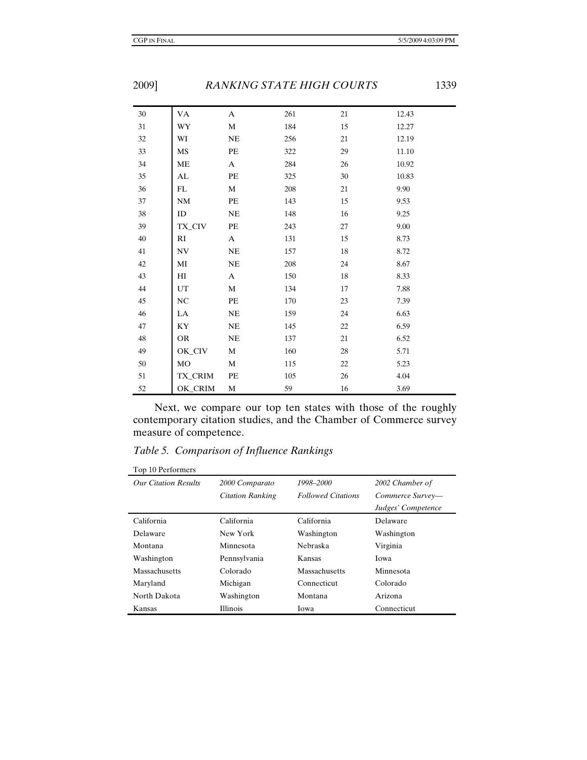| 30     | VA        | A            | 261 | 21 | 12.43 |
|--------|-----------|--------------|-----|----|-------|
| $31\,$ | WY        | M            | 184 | 15 | 12.27 |
| $32\,$ | WI        | NE           | 256 | 21 | 12.19 |
| 33     | MS        | PE           | 322 | 29 | 11.10 |
| $34\,$ | ME        | $\mathbf{A}$ | 284 | 26 | 10.92 |
| 35     | AL        | PE           | 325 | 30 | 10.83 |
| 36     | FL        | M            | 208 | 21 | 9.90  |
| $37\,$ | <b>NM</b> | PE           | 143 | 15 | 9.53  |
| 38     | ID        | NE           | 148 | 16 | 9.25  |
| 39     | TX_CIV    | PE           | 243 | 27 | 9.00  |
| 40     | RI        | $\mathbf{A}$ | 131 | 15 | 8.73  |
| 41     | NV        | $\rm NE$     | 157 | 18 | 8.72  |
| 42     | МI        | NE           | 208 | 24 | 8.67  |
| 43     | HI        | A            | 150 | 18 | 8.33  |
| 44     | UT        | M            | 134 | 17 | 7.88  |
| 45     | NC        | $\rm PE$     | 170 | 23 | 7.39  |
| 46     | LA        | NE           | 159 | 24 | 6.63  |
| 47     | KY        | NE           | 145 | 22 | 6.59  |
| 48     | <b>OR</b> | NE           | 137 | 21 | 6.52  |
| 49     | OK_CIV    | M            | 160 | 28 | 5.71  |
| 50     | MO        | М            | 115 | 22 | 5.23  |
| $51\,$ | TX_CRIM   | PE           | 105 | 26 | 4.04  |
| 52     | OK_CRIM   | M            | 59  | 16 | 3.69  |

Next, we compare our top ten states with those of the roughly contemporary citation studies, and the Chamber of Commerce survey measure of competence.

*Table 5. Comparison of Influence Rankings* 

| Top 10 Performers           |                         |                           |                    |
|-----------------------------|-------------------------|---------------------------|--------------------|
| <b>Our Citation Results</b> | 2000 Comparato          | 1998–2000                 | 2002 Chamber of    |
|                             | <b>Citation Ranking</b> | <b>Followed Citations</b> | Commerce Survey-   |
|                             |                         |                           | Judges' Competence |
| California                  | California              | California                | Delaware           |
| Delaware                    | New York                | Washington                | Washington         |
| Montana                     | Minnesota               | <b>Nebraska</b>           | Virginia           |
| Washington                  | Pennsylvania            | Kansas                    | Iowa               |
| Massachusetts               | Colorado                | Massachusetts             | Minnesota          |
| Maryland                    | Michigan                | Connecticut               | Colorado           |
| North Dakota                | Washington              | Montana                   | Arizona            |
| Kansas                      | <b>Illinois</b>         | Iowa                      | Connecticut        |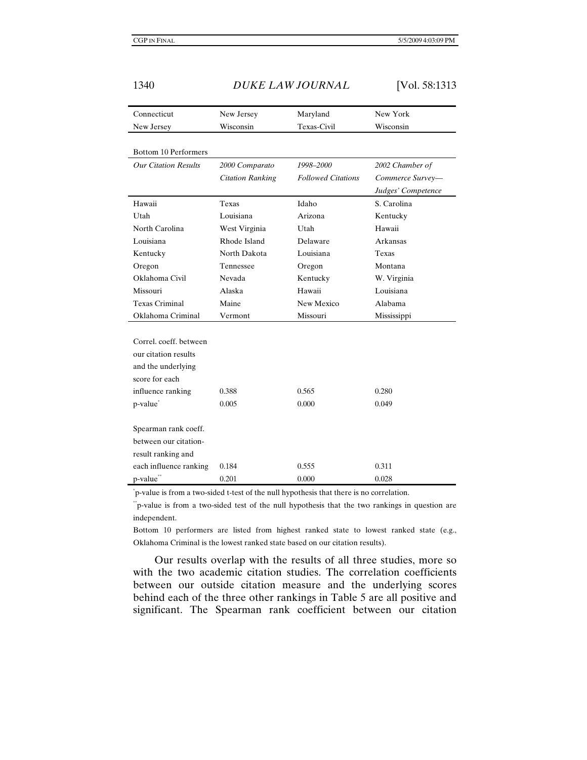1340 *DUKE LAW JOURNAL* [Vol. 58:1313

| Connecticut                 | New Jersey              | Maryland                  | New York           |
|-----------------------------|-------------------------|---------------------------|--------------------|
| New Jersey                  | Wisconsin               | Texas-Civil               | Wisconsin          |
|                             |                         |                           |                    |
| Bottom 10 Performers        |                         |                           |                    |
| <b>Our Citation Results</b> | 2000 Comparato          | 1998-2000                 | 2002 Chamber of    |
|                             | <b>Citation Ranking</b> | <b>Followed Citations</b> | Commerce Survey-   |
|                             |                         |                           | Judges' Competence |
| Hawaii                      | Texas                   | Idaho                     | S. Carolina        |
| Utah                        | Louisiana               | Arizona                   | Kentucky           |
| North Carolina              | West Virginia           | Utah                      | Hawaii             |
| Louisiana                   | Rhode Island            | Delaware                  | Arkansas           |
| Kentucky                    | North Dakota            | Louisiana                 | Texas              |
| Oregon                      | Tennessee               | Oregon                    | Montana            |
| Oklahoma Civil              | Nevada                  | Kentucky                  | W. Virginia        |
| Missouri                    | Alaska                  | Hawaii                    | Louisiana          |
| <b>Texas Criminal</b>       | Maine                   | New Mexico                | Alabama            |
| Oklahoma Criminal           | Vermont                 | Missouri                  | Mississippi        |
|                             |                         |                           |                    |
| Correl, coeff, between      |                         |                           |                    |
| our citation results        |                         |                           |                    |
| and the underlying          |                         |                           |                    |
| score for each              |                         |                           |                    |
| influence ranking           | 0.388                   | 0.565                     | 0.280              |
| p-value <sup>®</sup>        | 0.005                   | 0.000                     | 0.049              |
|                             |                         |                           |                    |
| Spearman rank coeff.        |                         |                           |                    |
| between our citation-       |                         |                           |                    |
| result ranking and          |                         |                           |                    |
| each influence ranking      | 0.184                   | 0.555                     | 0.311              |
| p-value**                   | 0.201                   | 0.000                     | 0.028              |

\* p-value is from a two-sided t-test of the null hypothesis that there is no correlation.

\*\*p-value is from a two-sided test of the null hypothesis that the two rankings in question are independent.

Bottom 10 performers are listed from highest ranked state to lowest ranked state (e.g., Oklahoma Criminal is the lowest ranked state based on our citation results).

Our results overlap with the results of all three studies, more so with the two academic citation studies. The correlation coefficients between our outside citation measure and the underlying scores behind each of the three other rankings in Table 5 are all positive and significant. The Spearman rank coefficient between our citation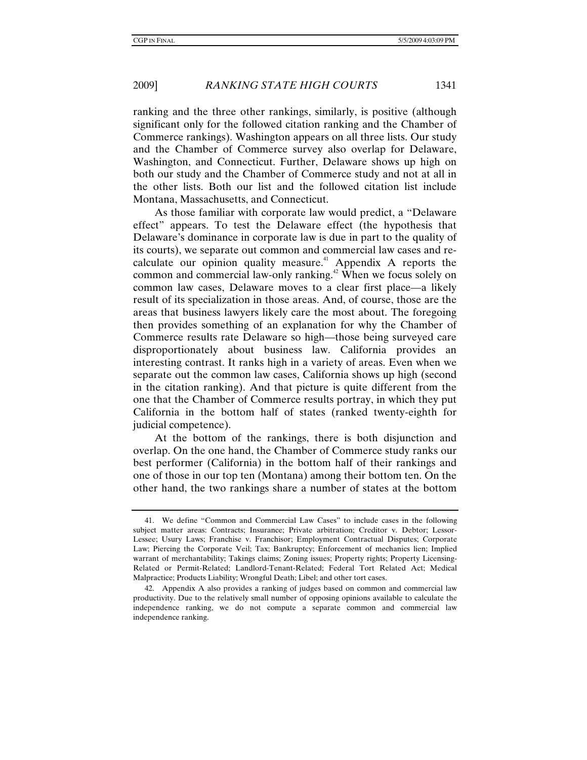ranking and the three other rankings, similarly, is positive (although significant only for the followed citation ranking and the Chamber of Commerce rankings). Washington appears on all three lists. Our study and the Chamber of Commerce survey also overlap for Delaware, Washington, and Connecticut. Further, Delaware shows up high on both our study and the Chamber of Commerce study and not at all in the other lists. Both our list and the followed citation list include Montana, Massachusetts, and Connecticut.

As those familiar with corporate law would predict, a "Delaware effect" appears. To test the Delaware effect (the hypothesis that Delaware's dominance in corporate law is due in part to the quality of its courts), we separate out common and commercial law cases and recalculate our opinion quality measure.<sup>41</sup> Appendix A reports the common and commercial law-only ranking.<sup>42</sup> When we focus solely on common law cases, Delaware moves to a clear first place—a likely result of its specialization in those areas. And, of course, those are the areas that business lawyers likely care the most about. The foregoing then provides something of an explanation for why the Chamber of Commerce results rate Delaware so high—those being surveyed care disproportionately about business law. California provides an interesting contrast. It ranks high in a variety of areas. Even when we separate out the common law cases, California shows up high (second in the citation ranking). And that picture is quite different from the one that the Chamber of Commerce results portray, in which they put California in the bottom half of states (ranked twenty-eighth for judicial competence).

At the bottom of the rankings, there is both disjunction and overlap. On the one hand, the Chamber of Commerce study ranks our best performer (California) in the bottom half of their rankings and one of those in our top ten (Montana) among their bottom ten. On the other hand, the two rankings share a number of states at the bottom

 <sup>41.</sup> We define "Common and Commercial Law Cases" to include cases in the following subject matter areas: Contracts; Insurance; Private arbitration; Creditor v. Debtor; Lessor-Lessee; Usury Laws; Franchise v. Franchisor; Employment Contractual Disputes; Corporate Law; Piercing the Corporate Veil; Tax; Bankruptcy; Enforcement of mechanics lien; Implied warrant of merchantability; Takings claims; Zoning issues; Property rights; Property Licensing-Related or Permit-Related; Landlord-Tenant-Related; Federal Tort Related Act; Medical Malpractice; Products Liability; Wrongful Death; Libel; and other tort cases.

 <sup>42.</sup> Appendix A also provides a ranking of judges based on common and commercial law productivity. Due to the relatively small number of opposing opinions available to calculate the independence ranking, we do not compute a separate common and commercial law independence ranking.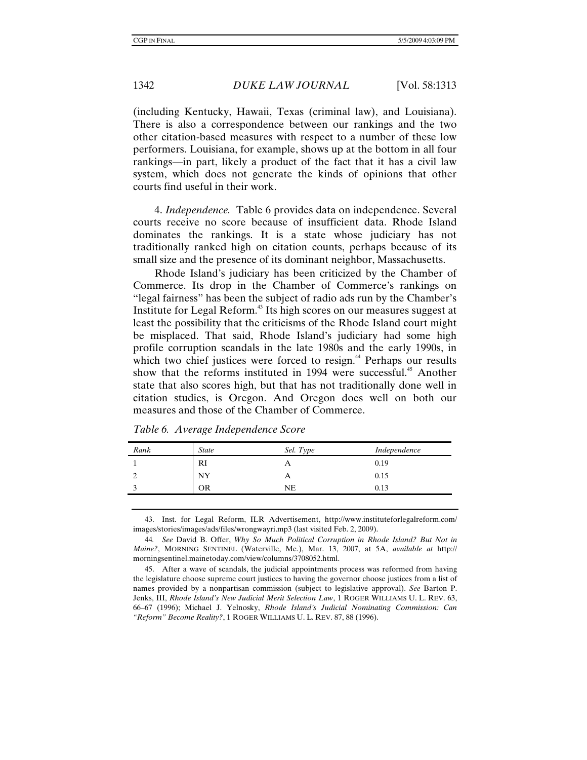(including Kentucky, Hawaii, Texas (criminal law), and Louisiana). There is also a correspondence between our rankings and the two other citation-based measures with respect to a number of these low performers. Louisiana, for example, shows up at the bottom in all four rankings—in part, likely a product of the fact that it has a civil law system, which does not generate the kinds of opinions that other courts find useful in their work.

4. *Independence.* Table 6 provides data on independence. Several courts receive no score because of insufficient data. Rhode Island dominates the rankings. It is a state whose judiciary has not traditionally ranked high on citation counts, perhaps because of its small size and the presence of its dominant neighbor, Massachusetts.

Rhode Island's judiciary has been criticized by the Chamber of Commerce. Its drop in the Chamber of Commerce's rankings on "legal fairness" has been the subject of radio ads run by the Chamber's Institute for Legal Reform.43 Its high scores on our measures suggest at least the possibility that the criticisms of the Rhode Island court might be misplaced. That said, Rhode Island's judiciary had some high profile corruption scandals in the late 1980s and the early 1990s, in which two chief justices were forced to resign.<sup>44</sup> Perhaps our results show that the reforms instituted in 1994 were successful.<sup>45</sup> Another state that also scores high, but that has not traditionally done well in citation studies, is Oregon. And Oregon does well on both our measures and those of the Chamber of Commerce.

| Rank | <b>State</b> | Sel. Type  | Independence |
|------|--------------|------------|--------------|
|      | RI           | A          | 0.19         |
|      | NY           | $\sqrt{ }$ | 0.15         |
|      | OR           | NΕ         | 0.13         |

*Table 6. Average Independence Score* 

 43. Inst. for Legal Reform, ILR Advertisement, http://www.instituteforlegalreform.com/ images/stories/images/ads/files/wrongwayri.mp3 (last visited Feb. 2, 2009).

44*. See* David B. Offer, *Why So Much Political Corruption in Rhode Island? But Not in Maine?*, MORNING SENTINEL (Waterville, Me.), Mar. 13, 2007, at 5A, *available at* http:// morningsentinel.mainetoday.com/view/columns/3708052.html.

 45. After a wave of scandals, the judicial appointments process was reformed from having the legislature choose supreme court justices to having the governor choose justices from a list of names provided by a nonpartisan commission (subject to legislative approval). *See* Barton P. Jenks, III, *Rhode Island's New Judicial Merit Selection Law*, 1 ROGER WILLIAMS U. L. REV. 63, 66–67 (1996); Michael J. Yelnosky, *Rhode Island's Judicial Nominating Commission: Can "Reform" Become Reality?*, 1 ROGER WILLIAMS U. L. REV. 87, 88 (1996).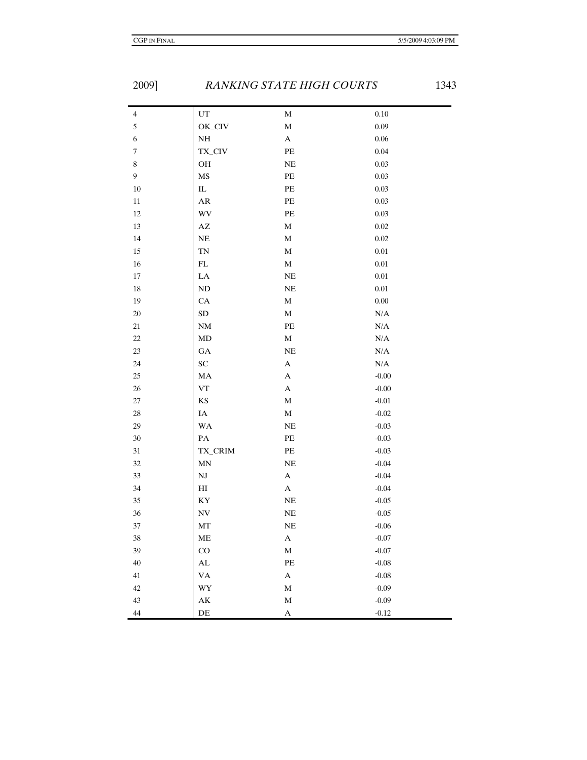| $\overline{4}$   | $\mathop{\rm UT}$      | $\mathbf M$      | $0.10\,$  |
|------------------|------------------------|------------------|-----------|
| $\mathfrak s$    | OK_CIV                 | $\mathbf M$      | 0.09      |
| $\boldsymbol{6}$ | $\rm NH$               | $\mathbf A$      | $0.06\,$  |
| $\boldsymbol{7}$ | TX_CIV                 | $\rm PE$         | 0.04      |
| $\,8\,$          | OH                     | $\rm NE$         | $0.03\,$  |
| $\overline{9}$   | MS                     | $\rm PE$         | $0.03\,$  |
| $10\,$           | $\rm IL$               | $\rm PE$         | $0.03\,$  |
| $11\,$           | AR                     | PE               | $0.03\,$  |
| $12\,$           | WV                     | PE               | $0.03\,$  |
| 13               | $\mathbf{A}\mathbf{Z}$ | $\mathbf M$      | $0.02\,$  |
| 14               | $\rm NE$               | $\mathbf M$      | $0.02\,$  |
| 15               | TN                     | $\mathbf M$      | $0.01\,$  |
| $16\,$           | ${\rm FL}$             | $\mathbf M$      | $0.01\,$  |
| 17               | LA                     | NE               | $0.01\,$  |
| $18\,$           | $\rm ND$               | $\rm NE$         | $0.01\,$  |
| 19               | CA                     | $\mathbf M$      | $0.00\,$  |
| 20               | ${\rm SD}$             | $\mathbf M$      | $\rm N/A$ |
| $21\,$           | NM                     | $\rm PE$         | $\rm N/A$ |
| 22               | MD                     | $\mathbf M$      | $\rm N/A$ |
| 23               | GA                     | $\rm NE$         | $\rm N/A$ |
| 24               | ${\rm SC}$             | $\mathbf A$      | $\rm N/A$ |
| $25\,$           | MA                     | $\mathbf A$      | $-0.00$   |
| $26\,$           | <b>VT</b>              | $\boldsymbol{A}$ | $-0.00$   |
| $27\,$           | KS                     | $\mathbf M$      | $-0.01$   |
| $28\,$           | $\rm IA$               | $\mathbf M$      | $-0.02$   |
| 29               | WA                     | NE               | $-0.03$   |
| $30\,$           | $\mathbf{PA}$          | $\rm PE$         | $-0.03$   |
| 31               | TX_CRIM                | $\rm PE$         | $-0.03$   |
| 32               | MN                     | <b>NE</b>        | $-0.04$   |
| 33               | NJ                     | $\mathbf A$      | $-0.04$   |
| 34               | $\rm HI$               | $\mathbf A$      | $-0.04$   |
| 35               | KY                     | $\rm NE$         | $-0.05$   |
| 36               | $\mathbf{N}\mathbf{V}$ | $\rm NE$         | $-0.05$   |
| 37               | MT                     | $\rm NE$         | $-0.06$   |
| 38               | МE                     | A                | $-0.07$   |
| 39               | CO                     | $\mathbf M$      | $-0.07$   |
| 40               | $\mathbf{AL}$          | $\rm PE$         | $-0.08$   |
| 41               | <b>VA</b>              | $\mathbf A$      | $-0.08$   |
| 42               | WY                     | $\mathbf M$      | $-0.09$   |
| 43               | $\mathbf{A}\mathbf{K}$ | $\mathbf M$      | $-0.09$   |
| $44\,$           | $\rm DE$               | A                | $-0.12$   |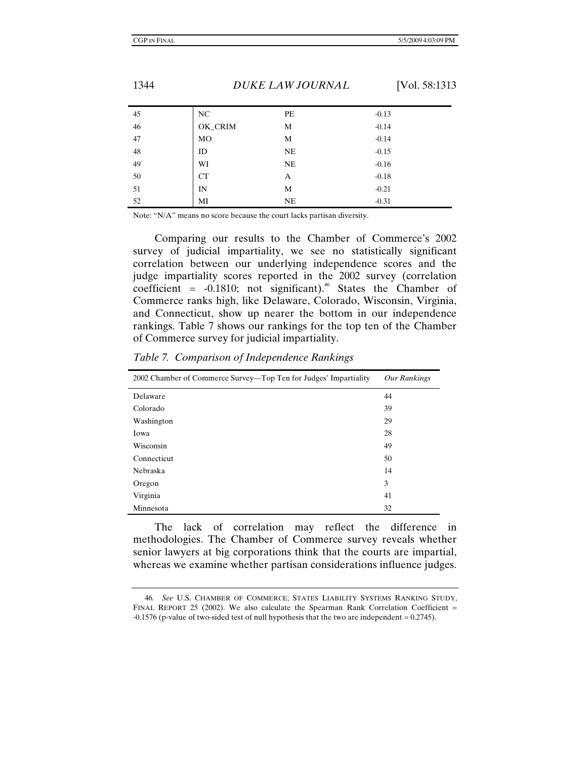| 45 | NC      | PE        | $-0.13$ |
|----|---------|-----------|---------|
| 46 | OK_CRIM | M         | $-0.14$ |
| 47 | MO      | M         | $-0.14$ |
| 48 | ID      | NE        | $-0.15$ |
| 49 | WI      | <b>NE</b> | $-0.16$ |
| 50 | CT      | A         | $-0.18$ |
| 51 | IN      | M         | $-0.21$ |
| 52 | МI      | NE        | $-0.31$ |

Note: "N/A" means no score because the court lacks partisan diversity.

Comparing our results to the Chamber of Commerce's 2002 survey of judicial impartiality, we see no statistically significant correlation between our underlying independence scores and the judge impartiality scores reported in the 2002 survey (correlation coefficient =  $-0.1810$ ; not significant).<sup>46</sup> States the Chamber of Commerce ranks high, like Delaware, Colorado, Wisconsin, Virginia, and Connecticut, show up nearer the bottom in our independence rankings. Table 7 shows our rankings for the top ten of the Chamber of Commerce survey for judicial impartiality.

| 2002 Chamber of Commerce Survey—Top Ten for Judges' Impartiality | <b>Our Rankings</b> |
|------------------------------------------------------------------|---------------------|
| Delaware                                                         | 44                  |
| Colorado                                                         | 39                  |
| Washington                                                       | 29                  |
| Iowa                                                             | 28                  |
| Wisconsin                                                        | 49                  |
| Connecticut                                                      | 50                  |
| <b>Nebraska</b>                                                  | 14                  |
| Oregon                                                           | 3                   |
| Virginia                                                         | 41                  |
| Minnesota                                                        | 32                  |

*Table 7. Comparison of Independence Rankings* 

The lack of correlation may reflect the difference in methodologies. The Chamber of Commerce survey reveals whether senior lawyers at big corporations think that the courts are impartial, whereas we examine whether partisan considerations influence judges.

<sup>46</sup>*. See* U.S. CHAMBER OF COMMERCE, STATES LIABILITY SYSTEMS RANKING STUDY, FINAL REPORT 25 (2002). We also calculate the Spearman Rank Correlation Coefficient  $=$  $-0.1576$  (p-value of two-sided test of null hypothesis that the two are independent  $= 0.2745$ ).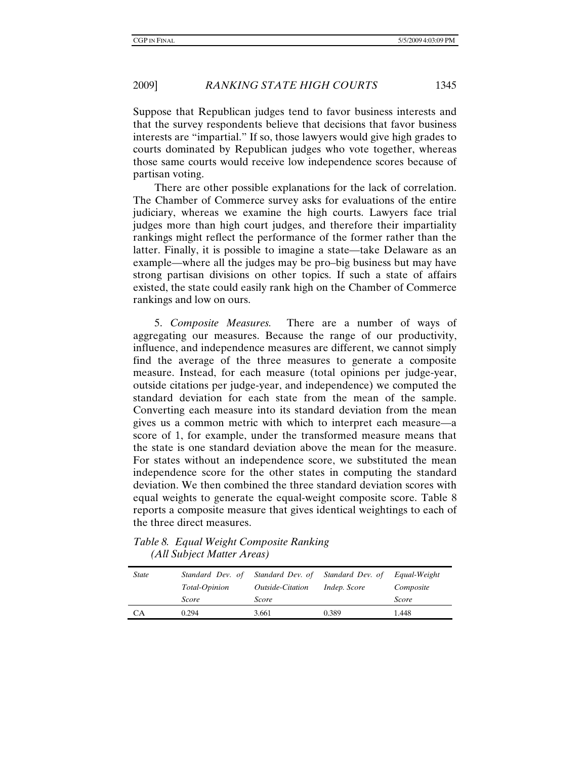Suppose that Republican judges tend to favor business interests and that the survey respondents believe that decisions that favor business interests are "impartial." If so, those lawyers would give high grades to courts dominated by Republican judges who vote together, whereas those same courts would receive low independence scores because of partisan voting.

There are other possible explanations for the lack of correlation. The Chamber of Commerce survey asks for evaluations of the entire judiciary, whereas we examine the high courts. Lawyers face trial judges more than high court judges, and therefore their impartiality rankings might reflect the performance of the former rather than the latter. Finally, it is possible to imagine a state—take Delaware as an example—where all the judges may be pro–big business but may have strong partisan divisions on other topics. If such a state of affairs existed, the state could easily rank high on the Chamber of Commerce rankings and low on ours.

5. *Composite Measures.* There are a number of ways of aggregating our measures. Because the range of our productivity, influence, and independence measures are different, we cannot simply find the average of the three measures to generate a composite measure. Instead, for each measure (total opinions per judge-year, outside citations per judge-year, and independence) we computed the standard deviation for each state from the mean of the sample. Converting each measure into its standard deviation from the mean gives us a common metric with which to interpret each measure—a score of 1, for example, under the transformed measure means that the state is one standard deviation above the mean for the measure. For states without an independence score, we substituted the mean independence score for the other states in computing the standard deviation. We then combined the three standard deviation scores with equal weights to generate the equal-weight composite score. Table 8 reports a composite measure that gives identical weightings to each of the three direct measures.

*Table 8. Equal Weight Composite Ranking (All Subject Matter Areas)* 

| <i>State</i> | Standard Dev. of     | Standard Dev. of               | Standard Dev. of    | Equal-Weight |
|--------------|----------------------|--------------------------------|---------------------|--------------|
|              | <i>Total-Opinion</i> | <i><b>Outside-Citation</b></i> | <i>Indep.</i> Score | Composite    |
|              | Score                | Score                          |                     | Score        |
| СA           | 0.294                | 3.661                          | 0.389               | 1.448        |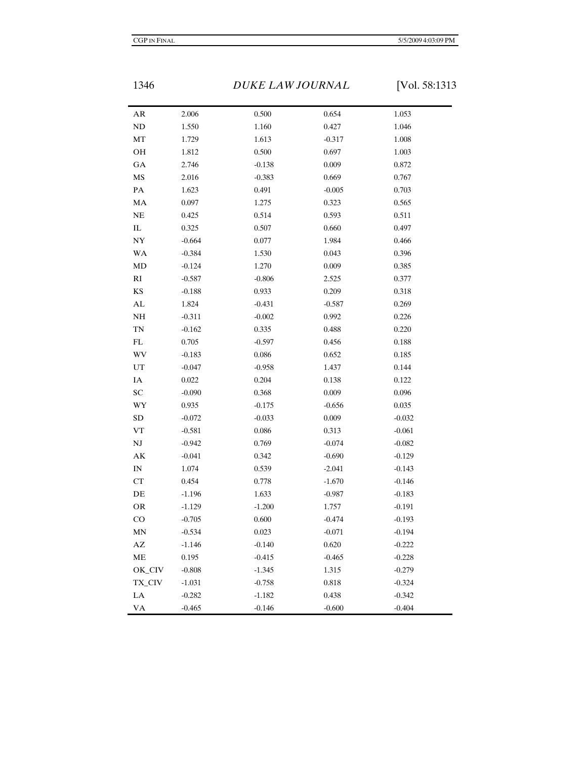1346 *DUKE LAW JOURNAL* [Vol. 58:1313

| AR                         | 2.006    | 0.500    | 0.654    | 1.053    |
|----------------------------|----------|----------|----------|----------|
| $\rm ND$                   | 1.550    | 1.160    | 0.427    | 1.046    |
| MT                         | 1.729    | 1.613    | $-0.317$ | 1.008    |
| OH                         | 1.812    | 0.500    | 0.697    | 1.003    |
| GA                         | 2.746    | $-0.138$ | 0.009    | 0.872    |
| MS                         | 2.016    | $-0.383$ | 0.669    | 0.767    |
| $\mathbf{PA}$              | 1.623    | 0.491    | $-0.005$ | 0.703    |
| MA                         | 0.097    | 1.275    | 0.323    | 0.565    |
| NE                         | 0.425    | 0.514    | 0.593    | 0.511    |
| $\rm IL$                   | 0.325    | 0.507    | 0.660    | 0.497    |
| NY                         | $-0.664$ | 0.077    | 1.984    | 0.466    |
| WA                         | $-0.384$ | 1.530    | 0.043    | 0.396    |
| MD                         | $-0.124$ | 1.270    | 0.009    | 0.385    |
| $\mathbf{R}\mathbf{I}$     | $-0.587$ | $-0.806$ | 2.525    | 0.377    |
| KS                         | $-0.188$ | 0.933    | 0.209    | 0.318    |
| AL                         | 1.824    | $-0.431$ | $-0.587$ | 0.269    |
| NH                         | $-0.311$ | $-0.002$ | 0.992    | 0.226    |
| <b>TN</b>                  | $-0.162$ | 0.335    | 0.488    | 0.220    |
| $\mathop{\rm FL}\nolimits$ | 0.705    | $-0.597$ | 0.456    | 0.188    |
| WV                         | $-0.183$ | 0.086    | 0.652    | 0.185    |
| UT                         | $-0.047$ | $-0.958$ | 1.437    | 0.144    |
| IA                         | 0.022    | 0.204    | 0.138    | 0.122    |
| ${\rm SC}$                 | $-0.090$ | 0.368    | 0.009    | 0.096    |
| WY                         | 0.935    | $-0.175$ | $-0.656$ | 0.035    |
| <b>SD</b>                  | $-0.072$ | $-0.033$ | 0.009    | $-0.032$ |
| <b>VT</b>                  | $-0.581$ | 0.086    | 0.313    | $-0.061$ |
| $\mathbf{N}\mathbf{J}$     | $-0.942$ | 0.769    | $-0.074$ | $-0.082$ |
| AK                         | $-0.041$ | 0.342    | $-0.690$ | $-0.129$ |
| $\ensuremath{\text{IN}}$   | 1.074    | 0.539    | $-2.041$ | $-0.143$ |
| CT                         | 0.454    | 0.778    | $-1.670$ | $-0.146$ |
| DE                         | $-1.196$ | 1.633    | $-0.987$ | $-0.183$ |
| <b>OR</b>                  | $-1.129$ | $-1.200$ | 1.757    | $-0.191$ |
| CO                         | $-0.705$ | 0.600    | $-0.474$ | $-0.193$ |
| MN                         | $-0.534$ | 0.023    | $-0.071$ | $-0.194$ |
| AΖ                         | $-1.146$ | $-0.140$ | 0.620    | $-0.222$ |
| $\rm ME$                   | 0.195    | $-0.415$ | $-0.465$ | $-0.228$ |
| OK_CIV                     | $-0.808$ | $-1.345$ | 1.315    | $-0.279$ |
| TX_CIV                     | $-1.031$ | $-0.758$ | 0.818    | $-0.324$ |
| ${\rm LA}$                 | $-0.282$ | $-1.182$ | 0.438    | $-0.342$ |
| VA                         | $-0.465$ | $-0.146$ | $-0.600$ | $-0.404$ |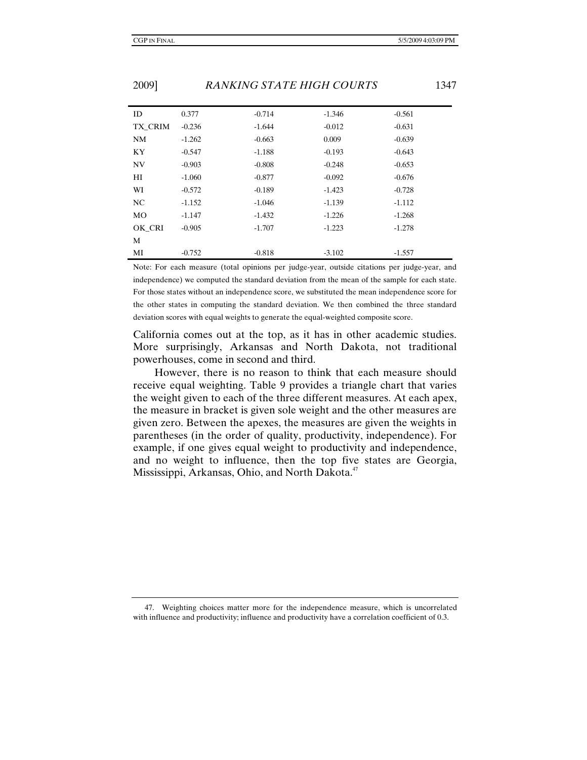| ID        | 0.377    | $-0.714$ | $-1.346$ | $-0.561$ |
|-----------|----------|----------|----------|----------|
| TX CRIM   | $-0.236$ | $-1.644$ | $-0.012$ | $-0.631$ |
| <b>NM</b> | $-1.262$ | $-0.663$ | 0.009    | $-0.639$ |
| KY        | $-0.547$ | $-1.188$ | $-0.193$ | $-0.643$ |
| <b>NV</b> | $-0.903$ | $-0.808$ | $-0.248$ | $-0.653$ |
| HI        | $-1.060$ | $-0.877$ | $-0.092$ | $-0.676$ |
| WI        | $-0.572$ | $-0.189$ | $-1.423$ | $-0.728$ |
| NC        | $-1.152$ | $-1.046$ | $-1.139$ | $-1.112$ |
| <b>MO</b> | $-1.147$ | $-1.432$ | $-1.226$ | $-1.268$ |
| OK CRI    | $-0.905$ | $-1.707$ | $-1.223$ | $-1.278$ |
| M         |          |          |          |          |
| MI        | $-0.752$ | $-0.818$ | $-3.102$ | $-1.557$ |

Note: For each measure (total opinions per judge-year, outside citations per judge-year, and independence) we computed the standard deviation from the mean of the sample for each state. For those states without an independence score, we substituted the mean independence score for the other states in computing the standard deviation. We then combined the three standard deviation scores with equal weights to generate the equal-weighted composite score.

California comes out at the top, as it has in other academic studies. More surprisingly, Arkansas and North Dakota, not traditional powerhouses, come in second and third.

However, there is no reason to think that each measure should receive equal weighting. Table 9 provides a triangle chart that varies the weight given to each of the three different measures. At each apex, the measure in bracket is given sole weight and the other measures are given zero. Between the apexes, the measures are given the weights in parentheses (in the order of quality, productivity, independence). For example, if one gives equal weight to productivity and independence, and no weight to influence, then the top five states are Georgia, Mississippi, Arkansas, Ohio, and North Dakota.<sup>47</sup>

 <sup>47.</sup> Weighting choices matter more for the independence measure, which is uncorrelated with influence and productivity; influence and productivity have a correlation coefficient of 0.3.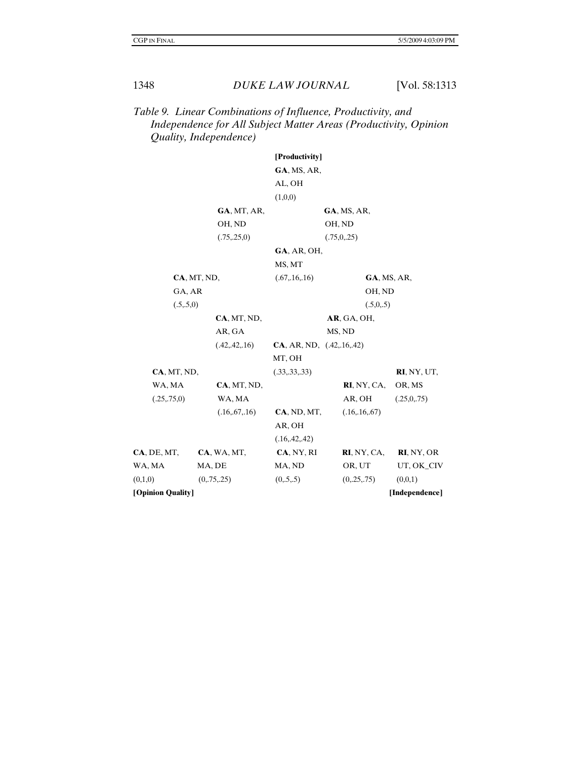# *Table 9. Linear Combinations of Influence, Productivity, and Independence for All Subject Matter Areas (Productivity, Opinion Quality, Independence)*

|                     |                 | [Productivity]             |                 |                |
|---------------------|-----------------|----------------------------|-----------------|----------------|
|                     |                 | GA, MS, AR,                |                 |                |
|                     |                 | AL, OH                     |                 |                |
|                     |                 | (1,0,0)                    |                 |                |
|                     | GA, MT, AR,     |                            | GA, MS, AR,     |                |
|                     | OH, ND          |                            | OH, ND          |                |
|                     | (.75, .25, 0)   |                            | (.75,0,.25)     |                |
|                     |                 | GA, AR, OH,                |                 |                |
|                     |                 | MS, MT                     |                 |                |
|                     | CA, MT, ND,     | (.67, .16, .16)            | GA, MS, AR,     |                |
| GA, AR              |                 | OH, ND                     |                 |                |
| (.5,.5,0)           |                 |                            | (.5,0,.5)       |                |
|                     | CA, MT, ND,     |                            | AR, GA, OH,     |                |
|                     | AR, GA          |                            | MS, ND          |                |
|                     | (.42, .42, .16) | CA, AR, ND, (0.42, 16, 42) |                 |                |
|                     |                 | MT, OH                     |                 |                |
| CA, MT, ND,         |                 | (.33, .33, .33)            |                 | RI, NY, UT,    |
| WA, MA              | CA, MT, ND,     |                            | RI, NY, CA,     | OR, MS         |
| (.25, .75, 0)       | WA, MA          |                            | AR, OH          | (.25,0,.75)    |
|                     | (.16, .67, .16) | CA, ND, MT,                | (.16, .16, .67) |                |
|                     |                 | AR, OH                     |                 |                |
|                     |                 | (.16, .42, .42)            |                 |                |
| <b>CA</b> , DE, MT, | CA, WA, MT,     | CA, NY, RI                 | RI, NY, CA,     | RI, NY, OR     |
| WA, MA              | MA, DE          | MA, ND                     | OR, UT          | UT, OK_CIV     |
| (0,1,0)             | (0, 75, 25)     | (0, 5, 5)                  | (0, 25, 75)     | (0,0,1)        |
| [Opinion Quality]   |                 |                            |                 | [Independence] |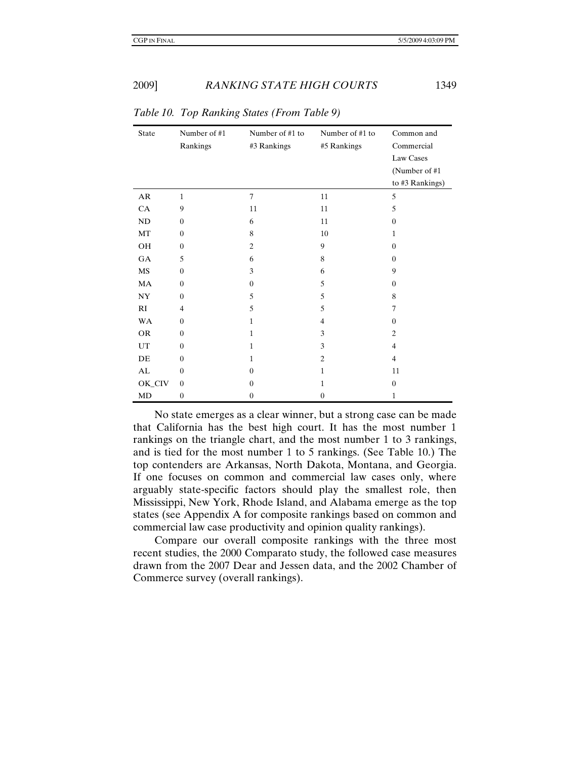| State     | Number of #1<br>Rankings | Number of #1 to<br>#3 Rankings | Number of #1 to<br>#5 Rankings | Common and<br>Commercial<br>Law Cases<br>(Number of #1) |
|-----------|--------------------------|--------------------------------|--------------------------------|---------------------------------------------------------|
|           |                          |                                |                                | to #3 Rankings)                                         |
| AR        | $\mathbf{1}$             | $\overline{7}$                 | 11                             | 5                                                       |
| CA        | 9                        | 11                             | 11                             | 5                                                       |
| ND        | $\Omega$                 | 6                              | 11                             | $\overline{0}$                                          |
| MT        | $\Omega$                 | 8                              | 10                             | $\mathbf{1}$                                            |
| OH        | $\Omega$                 | $\overline{c}$                 | 9                              | $\theta$                                                |
| <b>GA</b> | 5                        | 6                              | 8                              | $\mathbf{0}$                                            |
| MS        | $\overline{0}$           | 3                              | 6                              | 9                                                       |
| <b>MA</b> | $\overline{0}$           | $\overline{0}$                 | 5                              | $\mathbf{0}$                                            |
| NY.       | $\Omega$                 | 5                              | 5                              | 8                                                       |
| RI        | $\overline{4}$           | 5                              | 5                              | $\tau$                                                  |
| <b>WA</b> | $\overline{0}$           | $\mathbf{1}$                   | $\overline{4}$                 | $\mathbf{0}$                                            |
| <b>OR</b> | $\theta$                 | $\mathbf{1}$                   | 3                              | $\overline{c}$                                          |
| UT        | $\Omega$                 | $\mathbf{1}$                   | 3                              | $\overline{4}$                                          |
| DE        | $\Omega$                 | 1                              | $\overline{c}$                 | $\overline{4}$                                          |
| AL        | $\theta$                 | $\Omega$                       | $\mathbf{1}$                   | 11                                                      |
| OK_CIV    | $\overline{0}$           | $\Omega$                       | $\mathbf{1}$                   | $\overline{0}$                                          |
| MD        | $\overline{0}$           | $\theta$                       | $\overline{0}$                 | $\mathbf{1}$                                            |

*Table 10. Top Ranking States (From Table 9)* 

No state emerges as a clear winner, but a strong case can be made that California has the best high court. It has the most number 1 rankings on the triangle chart, and the most number 1 to 3 rankings, and is tied for the most number 1 to 5 rankings. (See Table 10.) The top contenders are Arkansas, North Dakota, Montana, and Georgia. If one focuses on common and commercial law cases only, where arguably state-specific factors should play the smallest role, then Mississippi, New York, Rhode Island, and Alabama emerge as the top states (see Appendix A for composite rankings based on common and commercial law case productivity and opinion quality rankings).

Compare our overall composite rankings with the three most recent studies, the 2000 Comparato study, the followed case measures drawn from the 2007 Dear and Jessen data, and the 2002 Chamber of Commerce survey (overall rankings).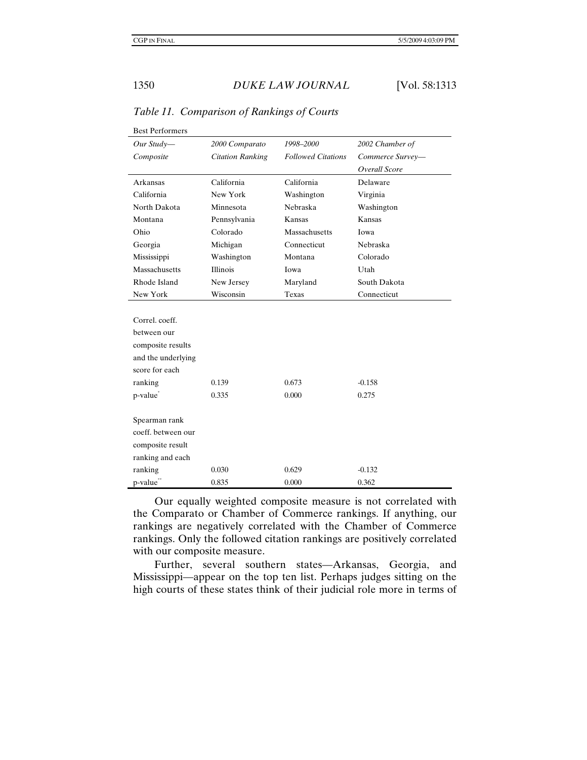| <b>Best Performers</b> |                         |                           |                  |
|------------------------|-------------------------|---------------------------|------------------|
| Our Study-             | 2000 Comparato          | 1998-2000                 | 2002 Chamber of  |
| Composite              | <b>Citation Ranking</b> | <b>Followed Citations</b> | Commerce Survey- |
|                        |                         |                           | Overall Score    |
| Arkansas               | California              | California                | Delaware         |
| California             | New York                | Washington                | Virginia         |
| North Dakota           | Minnesota               | Nebraska                  | Washington       |
| Montana                | Pennsylvania            | Kansas                    | Kansas           |
| Ohio                   | Colorado                | Massachusetts             | Iowa             |
| Georgia                | Michigan                | Connecticut               | Nebraska         |
| Mississippi            | Washington              | Montana                   | Colorado         |
| Massachusetts          | <b>Illinois</b>         | Iowa                      | Utah             |
| Rhode Island           | New Jersey              | Maryland                  | South Dakota     |
| New York               | Wisconsin               | Texas                     | Connecticut      |
|                        |                         |                           |                  |
| Correl. coeff.         |                         |                           |                  |
| between our            |                         |                           |                  |
| composite results      |                         |                           |                  |
| and the underlying     |                         |                           |                  |
| score for each         |                         |                           |                  |
| ranking                | 0.139                   | 0.673                     | $-0.158$         |
| p-value*               | 0.335                   | 0.000                     | 0.275            |
|                        |                         |                           |                  |
| Spearman rank          |                         |                           |                  |
| coeff, between our     |                         |                           |                  |
| composite result       |                         |                           |                  |
| ranking and each       |                         |                           |                  |
| ranking                | 0.030                   | 0.629                     | $-0.132$         |
| p-value**              | 0.835                   | 0.000                     | 0.362            |

*Table 11. Comparison of Rankings of Courts* 

Our equally weighted composite measure is not correlated with the Comparato or Chamber of Commerce rankings. If anything, our rankings are negatively correlated with the Chamber of Commerce rankings. Only the followed citation rankings are positively correlated with our composite measure.

Further, several southern states—Arkansas, Georgia, and Mississippi—appear on the top ten list. Perhaps judges sitting on the high courts of these states think of their judicial role more in terms of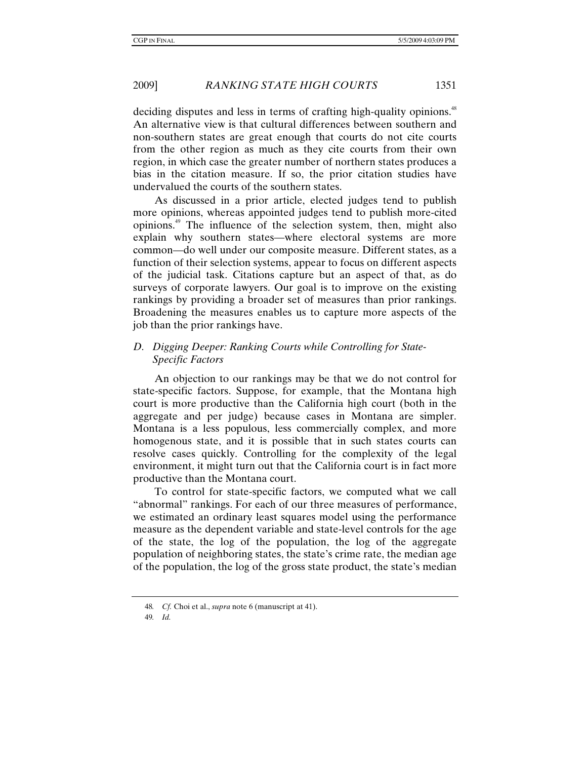2009] *RANKING STATE HIGH COURTS* 1351

deciding disputes and less in terms of crafting high-quality opinions.<sup>48</sup> An alternative view is that cultural differences between southern and non-southern states are great enough that courts do not cite courts from the other region as much as they cite courts from their own region, in which case the greater number of northern states produces a bias in the citation measure. If so, the prior citation studies have undervalued the courts of the southern states.

As discussed in a prior article, elected judges tend to publish more opinions, whereas appointed judges tend to publish more-cited opinions.49 The influence of the selection system, then, might also explain why southern states—where electoral systems are more common—do well under our composite measure. Different states, as a function of their selection systems, appear to focus on different aspects of the judicial task. Citations capture but an aspect of that, as do surveys of corporate lawyers. Our goal is to improve on the existing rankings by providing a broader set of measures than prior rankings. Broadening the measures enables us to capture more aspects of the job than the prior rankings have.

#### *D. Digging Deeper: Ranking Courts while Controlling for State-Specific Factors*

An objection to our rankings may be that we do not control for state-specific factors. Suppose, for example, that the Montana high court is more productive than the California high court (both in the aggregate and per judge) because cases in Montana are simpler. Montana is a less populous, less commercially complex, and more homogenous state, and it is possible that in such states courts can resolve cases quickly. Controlling for the complexity of the legal environment, it might turn out that the California court is in fact more productive than the Montana court.

To control for state-specific factors, we computed what we call "abnormal" rankings. For each of our three measures of performance, we estimated an ordinary least squares model using the performance measure as the dependent variable and state-level controls for the age of the state, the log of the population, the log of the aggregate population of neighboring states, the state's crime rate, the median age of the population, the log of the gross state product, the state's median

<sup>48</sup>*. Cf.* Choi et al., *supra* note 6 (manuscript at 41).

<sup>49</sup>*. Id.*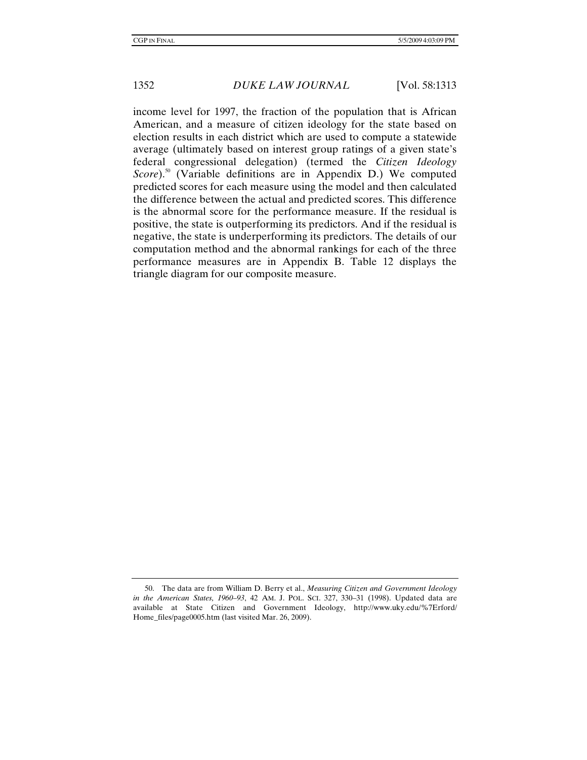income level for 1997, the fraction of the population that is African American, and a measure of citizen ideology for the state based on election results in each district which are used to compute a statewide average (ultimately based on interest group ratings of a given state's federal congressional delegation) (termed the *Citizen Ideology Score*).<sup>50</sup> (Variable definitions are in Appendix D.) We computed predicted scores for each measure using the model and then calculated the difference between the actual and predicted scores. This difference is the abnormal score for the performance measure. If the residual is positive, the state is outperforming its predictors. And if the residual is negative, the state is underperforming its predictors. The details of our computation method and the abnormal rankings for each of the three performance measures are in Appendix B. Table 12 displays the triangle diagram for our composite measure.

 <sup>50.</sup> The data are from William D. Berry et al., *Measuring Citizen and Government Ideology in the American States, 1960–93*, 42 AM. J. POL. SCI. 327, 330–31 (1998). Updated data are available at State Citizen and Government Ideology, http://www.uky.edu/%7Erford/ Home\_files/page0005.htm (last visited Mar. 26, 2009).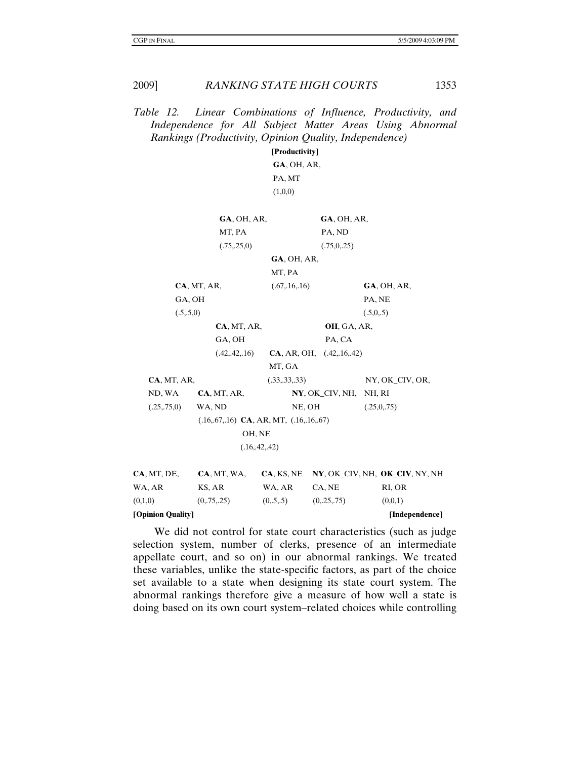*Table 12. Linear Combinations of Influence, Productivity, and Independence for All Subject Matter Areas Using Abnormal Rankings (Productivity, Opinion Quality, Independence)* 

> **[Productivity] GA**, OH, AR, PA, MT  $(1,0,0)$

|                   | GA, OH, AR,                                             |                 | $GA$ , OH, AR,                 |                                |
|-------------------|---------------------------------------------------------|-----------------|--------------------------------|--------------------------------|
|                   | MT, PA                                                  |                 | PA, ND                         |                                |
|                   | (.75, .25, 0)                                           |                 | (.75,0,.25)                    |                                |
|                   |                                                         | $GA$ , OH, AR,  |                                |                                |
|                   |                                                         | MT, PA          |                                |                                |
|                   | CA, MT, AR,                                             | (.67, .16, .16) |                                | $GA$ , OH, AR,                 |
| GA, OH            |                                                         |                 |                                | PA, NE                         |
| (.5,.5,0)         |                                                         |                 |                                | (.5,0,.5)                      |
|                   | CA, MT, AR,                                             |                 | <b>OH, GA, AR,</b>             |                                |
|                   | GA, OH                                                  |                 | PA, CA                         |                                |
|                   | (.42, .42, .16)                                         |                 | CA, AR, OH, (0.42, 0.16, 0.42) |                                |
|                   |                                                         | MT, GA          |                                |                                |
| CA, MT, AR,       |                                                         | (.33, .33, .33) |                                | NY, OK_CIV, OR,                |
| ND, WA            | CA, MT, AR,                                             |                 | $NY, OK_CIV, NH,$              | NH, RI                         |
| (.25, .75, 0)     | WA, ND                                                  | NE, OH          |                                | (.25,0,.75)                    |
|                   | $(.16, .67, .16)$ <b>CA</b> , AR, MT, $(.16, .16, .67)$ |                 |                                |                                |
|                   | OH, NE                                                  |                 |                                |                                |
|                   | (.16, .42, .42)                                         |                 |                                |                                |
| CA, MT, DE,       | CA, MT, WA,                                             | CA, KS, NE      |                                | NY, OK_CIV, NH, OK_CIV, NY, NH |
| WA, AR            | KS, AR                                                  | WA, AR          | CA, NE                         | RI, OR                         |
| (0,1,0)           | (0, 75, 25)                                             | (0, 5, 5)       | (0, 25, 75)                    | (0,0,1)                        |
| [Opinion Quality] |                                                         |                 |                                | [Independence]                 |

 We did not control for state court characteristics (such as judge selection system, number of clerks, presence of an intermediate appellate court, and so on) in our abnormal rankings. We treated these variables, unlike the state-specific factors, as part of the choice set available to a state when designing its state court system. The abnormal rankings therefore give a measure of how well a state is doing based on its own court system–related choices while controlling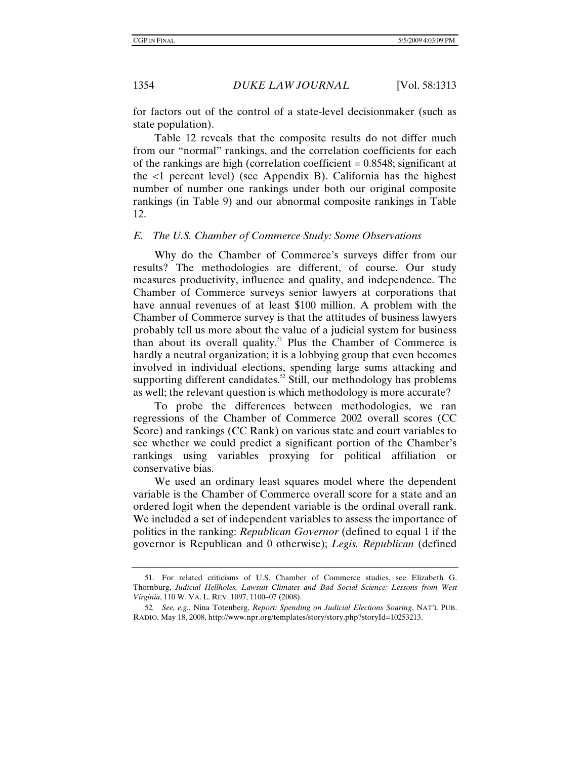for factors out of the control of a state-level decisionmaker (such as state population).

Table 12 reveals that the composite results do not differ much from our "normal" rankings, and the correlation coefficients for each of the rankings are high (correlation coefficient  $= 0.8548$ ; significant at the <1 percent level) (see Appendix B). California has the highest number of number one rankings under both our original composite rankings (in Table 9) and our abnormal composite rankings in Table 12.

#### *E. The U.S. Chamber of Commerce Study: Some Observations*

Why do the Chamber of Commerce's surveys differ from our results? The methodologies are different, of course. Our study measures productivity, influence and quality, and independence. The Chamber of Commerce surveys senior lawyers at corporations that have annual revenues of at least \$100 million. A problem with the Chamber of Commerce survey is that the attitudes of business lawyers probably tell us more about the value of a judicial system for business than about its overall quality.51 Plus the Chamber of Commerce is hardly a neutral organization; it is a lobbying group that even becomes involved in individual elections, spending large sums attacking and supporting different candidates.<sup>52</sup> Still, our methodology has problems as well; the relevant question is which methodology is more accurate?

To probe the differences between methodologies, we ran regressions of the Chamber of Commerce 2002 overall scores (CC Score) and rankings (CC Rank) on various state and court variables to see whether we could predict a significant portion of the Chamber's rankings using variables proxying for political affiliation or conservative bias.

We used an ordinary least squares model where the dependent variable is the Chamber of Commerce overall score for a state and an ordered logit when the dependent variable is the ordinal overall rank. We included a set of independent variables to assess the importance of politics in the ranking: *Republican Governor* (defined to equal 1 if the governor is Republican and 0 otherwise); *Legis. Republican* (defined

 <sup>51.</sup> For related criticisms of U.S. Chamber of Commerce studies, see Elizabeth G. Thornburg, *Judicial Hellholes, Lawsuit Climates and Bad Social Science: Lessons from West Virginia*, 110 W. VA. L. REV. 1097, 1100–07 (2008).

<sup>52</sup>*. See, e.g.*, Nina Totenberg, *Report: Spending on Judicial Elections Soaring*, NAT'L PUB. RADIO, May 18, 2008, http://www.npr.org/templates/story/story.php?storyId=10253213.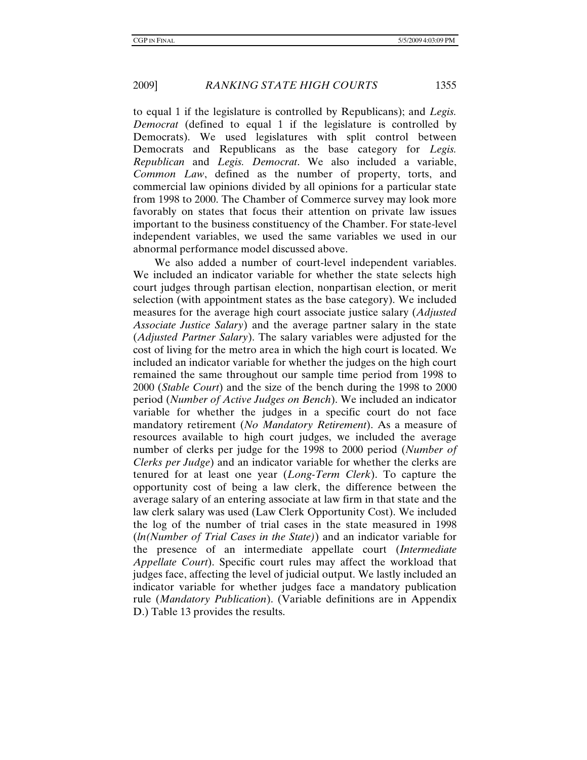to equal 1 if the legislature is controlled by Republicans); and *Legis. Democrat* (defined to equal 1 if the legislature is controlled by Democrats). We used legislatures with split control between Democrats and Republicans as the base category for *Legis. Republican* and *Legis. Democrat*. We also included a variable, *Common Law*, defined as the number of property, torts, and commercial law opinions divided by all opinions for a particular state from 1998 to 2000. The Chamber of Commerce survey may look more favorably on states that focus their attention on private law issues important to the business constituency of the Chamber. For state-level independent variables, we used the same variables we used in our abnormal performance model discussed above.

We also added a number of court-level independent variables. We included an indicator variable for whether the state selects high court judges through partisan election, nonpartisan election, or merit selection (with appointment states as the base category). We included measures for the average high court associate justice salary (*Adjusted Associate Justice Salary*) and the average partner salary in the state (*Adjusted Partner Salary*). The salary variables were adjusted for the cost of living for the metro area in which the high court is located. We included an indicator variable for whether the judges on the high court remained the same throughout our sample time period from 1998 to 2000 (*Stable Court*) and the size of the bench during the 1998 to 2000 period (*Number of Active Judges on Bench*). We included an indicator variable for whether the judges in a specific court do not face mandatory retirement (*No Mandatory Retirement*). As a measure of resources available to high court judges, we included the average number of clerks per judge for the 1998 to 2000 period (*Number of Clerks per Judge*) and an indicator variable for whether the clerks are tenured for at least one year (*Long-Term Clerk*). To capture the opportunity cost of being a law clerk, the difference between the average salary of an entering associate at law firm in that state and the law clerk salary was used (Law Clerk Opportunity Cost). We included the log of the number of trial cases in the state measured in 1998 (*ln(Number of Trial Cases in the State)*) and an indicator variable for the presence of an intermediate appellate court (*Intermediate Appellate Court*). Specific court rules may affect the workload that judges face, affecting the level of judicial output. We lastly included an indicator variable for whether judges face a mandatory publication rule (*Mandatory Publication*). (Variable definitions are in Appendix D.) Table 13 provides the results.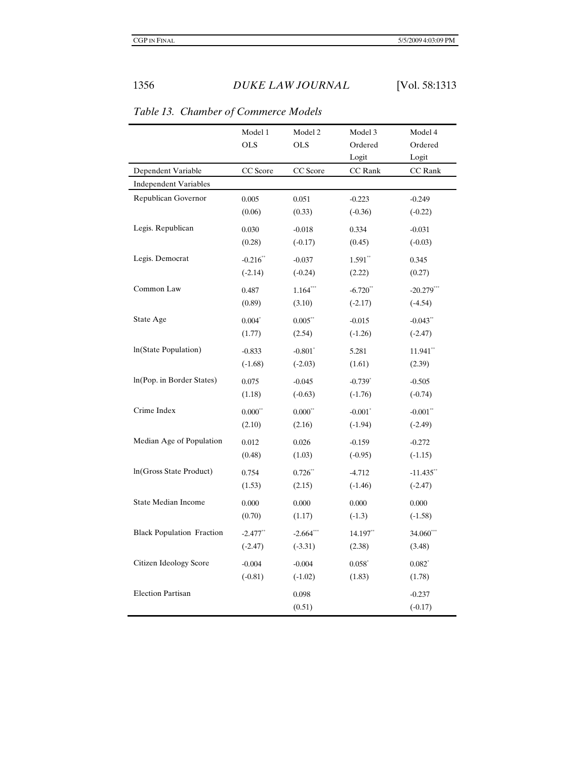|                                  | Model 1<br><b>OLS</b>  | Model 2<br><b>OLS</b> | Model 3<br>Ordered<br>Logit | Model 4<br>Ordered<br>Logit |
|----------------------------------|------------------------|-----------------------|-----------------------------|-----------------------------|
| Dependent Variable               | CC Score               | CC Score              | CC Rank                     | CC Rank                     |
| <b>Independent Variables</b>     |                        |                       |                             |                             |
| Republican Governor              | 0.005                  | 0.051                 | $-0.223$                    | $-0.249$                    |
|                                  | (0.06)                 | (0.33)                | $(-0.36)$                   | $(-0.22)$                   |
| Legis. Republican                | 0.030                  | $-0.018$              | 0.334                       | $-0.031$                    |
|                                  | (0.28)                 | $(-0.17)$             | (0.45)                      | $(-0.03)$                   |
| Legis. Democrat                  | $-0.216$ **            | $-0.037$              | $1.591**$                   | 0.345                       |
|                                  | $(-2.14)$              | $(-0.24)$             | (2.22)                      | (0.27)                      |
| Common Law                       | 0.487                  | $1.164***$            | $-6.720$ **                 | $-20.279$ ***               |
|                                  | (0.89)                 | (3.10)                | $(-2.17)$                   | $(-4.54)$                   |
| State Age                        | $0.004*$               | $0.005$ **            | $-0.015$                    | $-0.043$ **                 |
|                                  | (1.77)                 | (2.54)                | $(-1.26)$                   | $(-2.47)$                   |
| In(State Population)             | $-0.833$               | $-0.801$ <sup>*</sup> | 5.281                       | $11.941$ **                 |
|                                  | $(-1.68)$              | $(-2.03)$             | (1.61)                      | (2.39)                      |
| In(Pop. in Border States)        | 0.075                  | $-0.045$              | $-0.739$ <sup>*</sup>       | $-0.505$                    |
|                                  | (1.18)                 | $(-0.63)$             | $(-1.76)$                   | $(-0.74)$                   |
| Crime Index                      | $0.000^{**}$           | $0.000^{**}$          | $-0.001$ <sup>*</sup>       | $-0.001$ **                 |
|                                  | (2.10)                 | (2.16)                | $(-1.94)$                   | $(-2.49)$                   |
| Median Age of Population         | 0.012                  | 0.026                 | $-0.159$                    | $-0.272$                    |
|                                  | (0.48)                 | (1.03)                | $(-0.95)$                   | $(-1.15)$                   |
| In(Gross State Product)          | 0.754                  | $0.726$ <sup>**</sup> | $-4.712$                    | $-11.435$ **                |
|                                  | (1.53)                 | (2.15)                | $(-1.46)$                   | $(-2.47)$                   |
| <b>State Median Income</b>       | 0.000                  | 0.000                 | 0.000                       | 0.000                       |
|                                  | (0.70)                 | (1.17)                | $(-1.3)$                    | $(-1.58)$                   |
| <b>Black Population Fraction</b> | $-2.477$ <sup>**</sup> | $-2.664$ ***          | 14.197**                    | 34.060***                   |
|                                  | $(-2.47)$              | $(-3.31)$             | (2.38)                      | (3.48)                      |
| Citizen Ideology Score           | $-0.004$               | $-0.004$              | $0.058*$                    | $0.082*$                    |
|                                  | $(-0.81)$              | $(-1.02)$             | (1.83)                      | (1.78)                      |
| <b>Election Partisan</b>         |                        | 0.098                 |                             | $-0.237$                    |
|                                  |                        | (0.51)                |                             | $(-0.17)$                   |

*Table 13. Chamber of Commerce Models*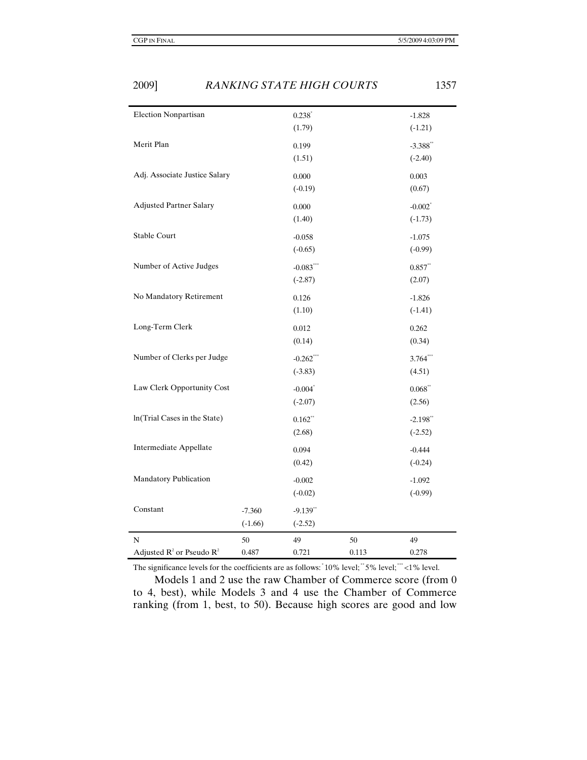| N<br>Adjusted $R^2$ or Pseudo $R^2$ | 50                    | 49<br>0.721              | 50 | 49                                 |
|-------------------------------------|-----------------------|--------------------------|----|------------------------------------|
| Constant                            | $-7.360$<br>$(-1.66)$ | $-9.139**$<br>$(-2.52)$  |    |                                    |
| Mandatory Publication               |                       | $-0.002$<br>$(-0.02)$    |    | $-1.092$<br>$(-0.99)$              |
| Intermediate Appellate              |                       | 0.094<br>(0.42)          |    | $-0.444$<br>$(-0.24)$              |
|                                     |                       | (2.68)                   |    | $(-2.52)$                          |
| In(Trial Cases in the State)        |                       | $(-2.07)$<br>$0.162**$   |    | (2.56)<br>$-2.198$ **              |
| Law Clerk Opportunity Cost          |                       | $-0.004$ <sup>*</sup>    |    | $0.068**$                          |
| Number of Clerks per Judge          |                       | $-0.262***$<br>$(-3.83)$ |    | $3.764***$<br>(4.51)               |
| Long-Term Clerk                     |                       | 0.012<br>(0.14)          |    | 0.262<br>(0.34)                    |
| No Mandatory Retirement             |                       | 0.126<br>(1.10)          |    | $-1.826$<br>$(-1.41)$              |
| Number of Active Judges             |                       | $-0.083***$<br>$(-2.87)$ |    | $0.857**$<br>(2.07)                |
| Stable Court                        |                       | $-0.058$<br>$(-0.65)$    |    | $-1.075$<br>$(-0.99)$              |
| <b>Adjusted Partner Salary</b>      |                       | 0.000<br>(1.40)          |    | $-0.002$ <sup>*</sup><br>$(-1.73)$ |
| Adj. Associate Justice Salary       |                       | 0.000<br>$(-0.19)$       |    | 0.003<br>(0.67)                    |
| Merit Plan                          |                       | 0.199<br>(1.51)          |    | $-3.388$ **<br>$(-2.40)$           |
|                                     |                       | $0.238*$<br>(1.79)       |    | $(-1.21)$                          |

The significance levels for the coefficients are as follows:  $10\%$  level;  $5\%$  level;  $4\%$  level.

Models 1 and 2 use the raw Chamber of Commerce score (from 0 to 4, best), while Models 3 and 4 use the Chamber of Commerce ranking (from 1, best, to 50). Because high scores are good and low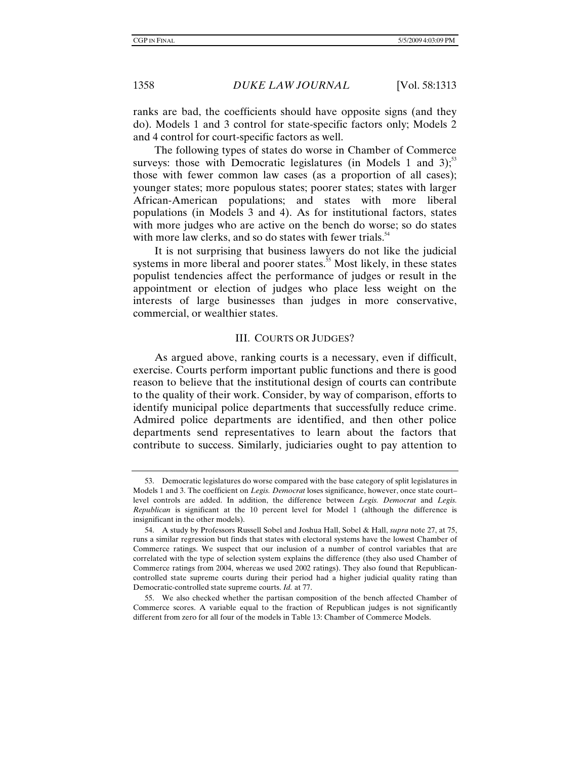ranks are bad, the coefficients should have opposite signs (and they do). Models 1 and 3 control for state-specific factors only; Models 2 and 4 control for court-specific factors as well.

The following types of states do worse in Chamber of Commerce surveys: those with Democratic legislatures (in Models 1 and 3);<sup>53</sup> those with fewer common law cases (as a proportion of all cases); younger states; more populous states; poorer states; states with larger African-American populations; and states with more liberal populations (in Models 3 and 4). As for institutional factors, states with more judges who are active on the bench do worse; so do states with more law clerks, and so do states with fewer trials. $54$ 

It is not surprising that business lawyers do not like the judicial systems in more liberal and poorer states.<sup>55</sup> Most likely, in these states populist tendencies affect the performance of judges or result in the appointment or election of judges who place less weight on the interests of large businesses than judges in more conservative, commercial, or wealthier states.

#### III. COURTS OR JUDGES?

As argued above, ranking courts is a necessary, even if difficult, exercise. Courts perform important public functions and there is good reason to believe that the institutional design of courts can contribute to the quality of their work. Consider, by way of comparison, efforts to identify municipal police departments that successfully reduce crime. Admired police departments are identified, and then other police departments send representatives to learn about the factors that contribute to success. Similarly, judiciaries ought to pay attention to

 <sup>53.</sup> Democratic legislatures do worse compared with the base category of split legislatures in Models 1 and 3. The coefficient on *Legis. Democrat* loses significance, however, once state court– level controls are added. In addition, the difference between *Legis. Democrat* and *Legis. Republican* is significant at the 10 percent level for Model 1 (although the difference is insignificant in the other models).

 <sup>54.</sup> A study by Professors Russell Sobel and Joshua Hall, Sobel & Hall, *supra* note 27, at 75, runs a similar regression but finds that states with electoral systems have the lowest Chamber of Commerce ratings. We suspect that our inclusion of a number of control variables that are correlated with the type of selection system explains the difference (they also used Chamber of Commerce ratings from 2004, whereas we used 2002 ratings). They also found that Republicancontrolled state supreme courts during their period had a higher judicial quality rating than Democratic-controlled state supreme courts. *Id.* at 77.

 <sup>55.</sup> We also checked whether the partisan composition of the bench affected Chamber of Commerce scores. A variable equal to the fraction of Republican judges is not significantly different from zero for all four of the models in Table 13: Chamber of Commerce Models.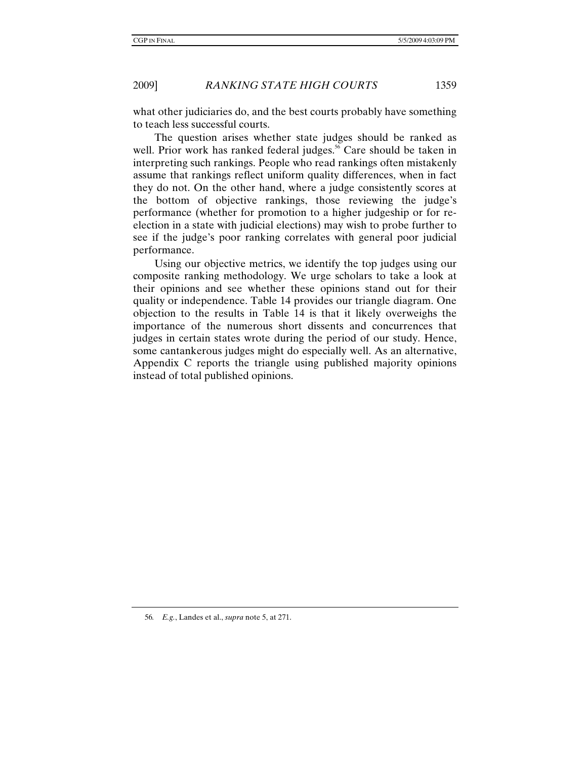what other judiciaries do, and the best courts probably have something to teach less successful courts.

The question arises whether state judges should be ranked as well. Prior work has ranked federal judges.<sup>56</sup> Care should be taken in interpreting such rankings. People who read rankings often mistakenly assume that rankings reflect uniform quality differences, when in fact they do not. On the other hand, where a judge consistently scores at the bottom of objective rankings, those reviewing the judge's performance (whether for promotion to a higher judgeship or for reelection in a state with judicial elections) may wish to probe further to see if the judge's poor ranking correlates with general poor judicial performance.

Using our objective metrics, we identify the top judges using our composite ranking methodology. We urge scholars to take a look at their opinions and see whether these opinions stand out for their quality or independence. Table 14 provides our triangle diagram. One objection to the results in Table 14 is that it likely overweighs the importance of the numerous short dissents and concurrences that judges in certain states wrote during the period of our study. Hence, some cantankerous judges might do especially well. As an alternative, Appendix C reports the triangle using published majority opinions instead of total published opinions.

<sup>56</sup>*. E.g.*, Landes et al., *supra* note 5, at 271.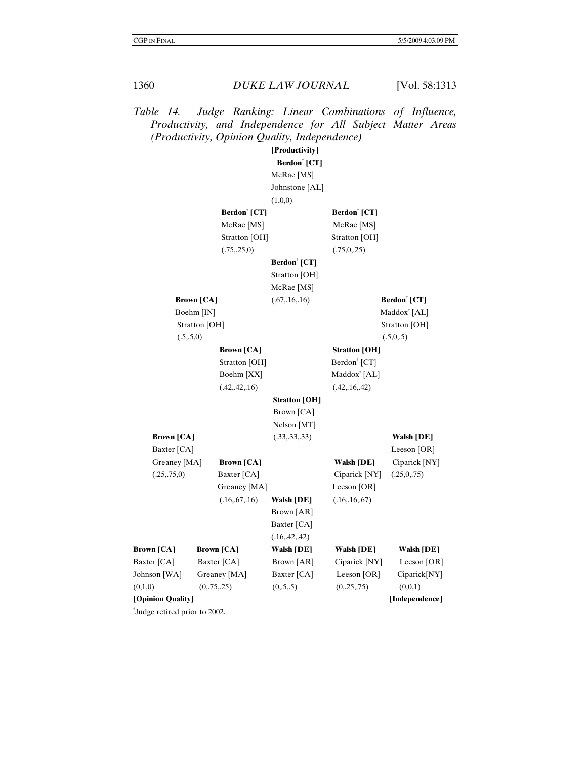*Table 14. Judge Ranking: Linear Combinations of Influence, Productivity, and Independence for All Subject Matter Areas (Productivity, Opinion Quality, Independence)* 

|                   |                   |                          | [Productivity]           |                          |                          |
|-------------------|-------------------|--------------------------|--------------------------|--------------------------|--------------------------|
|                   |                   |                          | Berdon <sup>†</sup> [CT] |                          |                          |
|                   |                   |                          | McRae [MS]               |                          |                          |
|                   |                   |                          | Johnstone [AL]           |                          |                          |
|                   |                   |                          | (1,0,0)                  |                          |                          |
|                   |                   | Berdon <sup>†</sup> [CT] |                          | Berdon <sup>†</sup> [CT] |                          |
|                   |                   | McRae [MS]               |                          | McRae [MS]               |                          |
|                   |                   | Stratton [OH]            |                          | Stratton [OH]            |                          |
|                   |                   | (.75, .25, 0)            |                          | (.75, 0, .25)            |                          |
|                   |                   |                          | Berdon <sup>†</sup> [CT] |                          |                          |
|                   |                   |                          | Stratton [OH]            |                          |                          |
|                   |                   |                          | McRae [MS]               |                          |                          |
|                   | <b>Brown [CA]</b> |                          | (.67, .16, .16)          |                          | Berdon <sup>†</sup> [CT] |
|                   | Boehm [IN]        |                          |                          |                          | Maddox <sup>†</sup> [AL] |
|                   | Stratton [OH]     |                          |                          |                          | Stratton [OH]            |
|                   | (.5,.5,0)         |                          |                          |                          | (.5,0,.5)                |
|                   |                   | <b>Brown</b> [CA]        |                          | <b>Stratton</b> [OH]     |                          |
|                   |                   | Stratton [OH]            |                          | Berdon <sup>†</sup> [CT] |                          |
|                   |                   | Boehm [XX]               |                          | Maddox <sup>†</sup> [AL] |                          |
|                   |                   | (.42, .42, .16)          |                          | (.42, .16, .42)          |                          |
|                   |                   |                          | <b>Stratton [OH]</b>     |                          |                          |
|                   |                   |                          | Brown [CA]               |                          |                          |
|                   |                   |                          | Nelson [MT]              |                          |                          |
| <b>Brown</b> [CA] |                   |                          | (.33, .33, .33)          |                          | Walsh [DE]               |
| Baxter [CA]       |                   |                          |                          |                          | Leeson $[OR]$            |
| Greaney [MA]      |                   | <b>Brown</b> [CA]        |                          | <b>Walsh [DE]</b>        | Ciparick [NY]            |
| (.25,.75,0)       |                   | Baxter [CA]              |                          | Ciparick [NY]            | (.25,0,.75)              |
|                   |                   | Greaney [MA]             |                          | Leeson $[OR]$            |                          |
|                   |                   | (.16, .67, .16)          | <b>Walsh [DE]</b>        | (.16, .16, .67)          |                          |
|                   |                   |                          | Brown [AR]               |                          |                          |
|                   |                   |                          | Baxter [CA]              |                          |                          |
|                   |                   |                          | (.16, .42, .42)          |                          |                          |
| <b>Brown</b> [CA] |                   | <b>Brown</b> [CA]        | <b>Walsh [DE]</b>        | <b>Walsh [DE]</b>        | <b>Walsh [DE]</b>        |
| Baxter [CA]       |                   | Baxter [CA]              | Brown [AR]               | Ciparick [NY]            | Leeson [OR]              |
| Johnson [WA]      |                   | Greaney [MA]             | Baxter [CA]              | Leeson [OR]              | Ciparick[NY]             |
| (0,1,0)           |                   | (0, 75, 25)              | (0, 5, 5)                | (0, 25, 75)              | (0,0,1)                  |
| [Opinion Quality] |                   |                          |                          |                          | [Independence]           |

† Judge retired prior to 2002.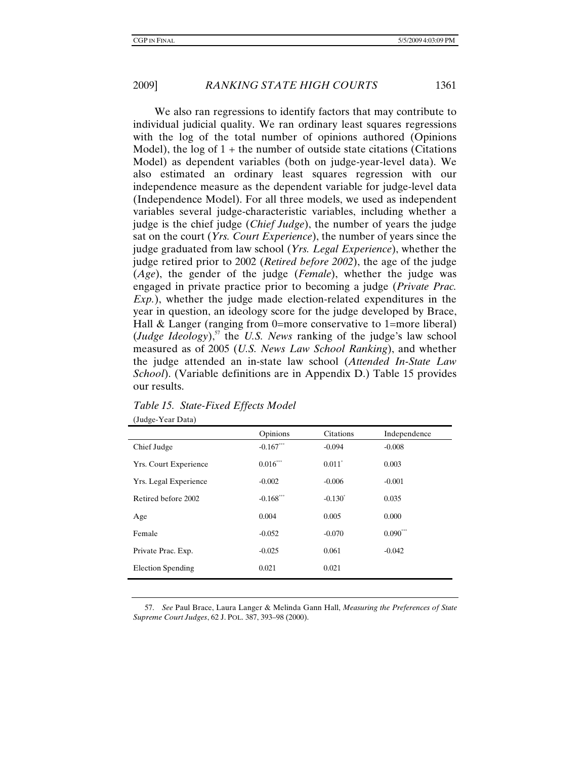We also ran regressions to identify factors that may contribute to individual judicial quality. We ran ordinary least squares regressions with the log of the total number of opinions authored (Opinions Model), the log of  $1 +$  the number of outside state citations (Citations Model) as dependent variables (both on judge-year-level data). We also estimated an ordinary least squares regression with our independence measure as the dependent variable for judge-level data (Independence Model). For all three models, we used as independent variables several judge-characteristic variables, including whether a judge is the chief judge (*Chief Judge*), the number of years the judge sat on the court (*Yrs. Court Experience*), the number of years since the judge graduated from law school (*Yrs. Legal Experience*), whether the judge retired prior to 2002 (*Retired before 2002*), the age of the judge (*Age*), the gender of the judge (*Female*), whether the judge was engaged in private practice prior to becoming a judge (*Private Prac. Exp.*), whether the judge made election-related expenditures in the year in question, an ideology score for the judge developed by Brace, Hall & Langer (ranging from 0=more conservative to 1=more liberal)  $(Judge \, Ideology)$ ,<sup>57</sup> the *U.S. News* ranking of the judge's law school measured as of 2005 (*U.S. News Law School Ranking*), and whether the judge attended an in-state law school (*Attended In-State Law School*). (Variable definitions are in Appendix D.) Table 15 provides our results.

|                              | Opinions    | Citations            | Independence |
|------------------------------|-------------|----------------------|--------------|
| Chief Judge                  | $-0.167***$ | $-0.094$             | $-0.008$     |
| <b>Yrs. Court Experience</b> | $0.016***$  | $0.011$ <sup>*</sup> | 0.003        |
| Yrs. Legal Experience        | $-0.002$    | $-0.006$             | $-0.001$     |
| Retired before 2002          | $-0.168***$ | $-0.130^*$           | 0.035        |
| Age                          | 0.004       | 0.005                | 0.000        |
| Female                       | $-0.052$    | $-0.070$             | $0.090***$   |
| Private Prac. Exp.           | $-0.025$    | 0.061                | $-0.042$     |
| Election Spending            | 0.021       | 0.021                |              |

# *Table 15. State-Fixed Effects Model*

(Judge-Year Data)

 57. *See* Paul Brace, Laura Langer & Melinda Gann Hall, *Measuring the Preferences of State Supreme Court Judges*, 62 J. POL. 387, 393–98 (2000).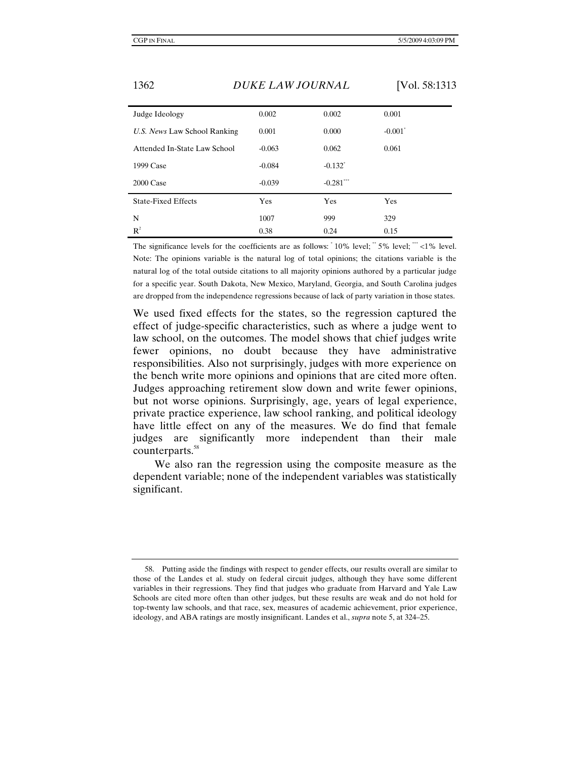| Judge Ideology               | 0.002    | 0.002                  | 0.001                 |
|------------------------------|----------|------------------------|-----------------------|
| U.S. News Law School Ranking | 0.001    | 0.000                  | $-0.001$ <sup>*</sup> |
| Attended In-State Law School | $-0.063$ | 0.062                  | 0.061                 |
| 1999 Case                    | $-0.084$ | $-0.132$ <sup>*</sup>  |                       |
| 2000 Case                    | $-0.039$ | $-0.281$ <sup>**</sup> |                       |
| <b>State-Fixed Effects</b>   | Yes      | Yes                    | Yes                   |
| N                            | 1007     | 999                    | 329                   |
| R <sup>2</sup>               | 0.38     | 0.24                   | 0.15                  |

The significance levels for the coefficients are as follows:  $10\%$  level;  $5\%$  level;  $**$  <1% level. Note: The opinions variable is the natural log of total opinions; the citations variable is the natural log of the total outside citations to all majority opinions authored by a particular judge for a specific year. South Dakota, New Mexico, Maryland, Georgia, and South Carolina judges are dropped from the independence regressions because of lack of party variation in those states.

We used fixed effects for the states, so the regression captured the effect of judge-specific characteristics, such as where a judge went to law school, on the outcomes. The model shows that chief judges write fewer opinions, no doubt because they have administrative responsibilities. Also not surprisingly, judges with more experience on the bench write more opinions and opinions that are cited more often. Judges approaching retirement slow down and write fewer opinions, but not worse opinions. Surprisingly, age, years of legal experience, private practice experience, law school ranking, and political ideology have little effect on any of the measures. We do find that female judges are significantly more independent than their male counterparts.<sup>58</sup>

We also ran the regression using the composite measure as the dependent variable; none of the independent variables was statistically significant.

 <sup>58.</sup> Putting aside the findings with respect to gender effects, our results overall are similar to those of the Landes et al. study on federal circuit judges, although they have some different variables in their regressions. They find that judges who graduate from Harvard and Yale Law Schools are cited more often than other judges, but these results are weak and do not hold for top-twenty law schools, and that race, sex, measures of academic achievement, prior experience, ideology, and ABA ratings are mostly insignificant. Landes et al., *supra* note 5, at 324–25.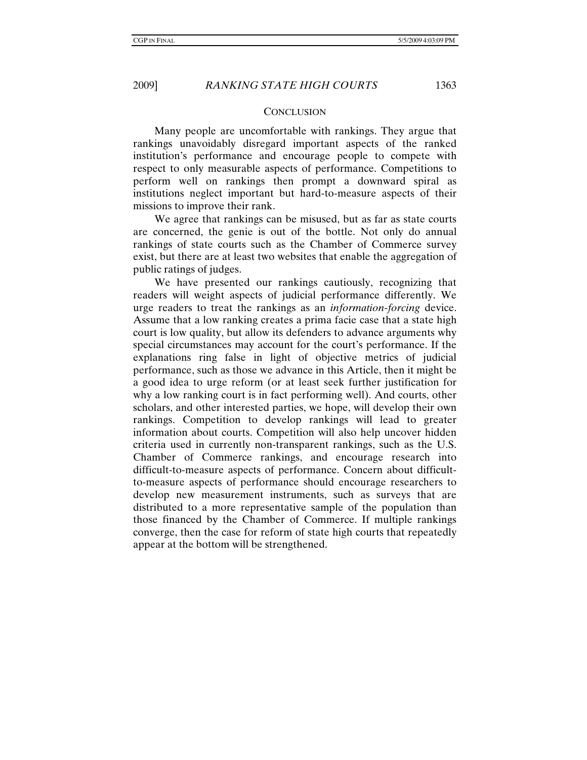#### **CONCLUSION**

Many people are uncomfortable with rankings. They argue that rankings unavoidably disregard important aspects of the ranked institution's performance and encourage people to compete with respect to only measurable aspects of performance. Competitions to perform well on rankings then prompt a downward spiral as institutions neglect important but hard-to-measure aspects of their missions to improve their rank.

We agree that rankings can be misused, but as far as state courts are concerned, the genie is out of the bottle. Not only do annual rankings of state courts such as the Chamber of Commerce survey exist, but there are at least two websites that enable the aggregation of public ratings of judges.

We have presented our rankings cautiously, recognizing that readers will weight aspects of judicial performance differently. We urge readers to treat the rankings as an *information-forcing* device. Assume that a low ranking creates a prima facie case that a state high court is low quality, but allow its defenders to advance arguments why special circumstances may account for the court's performance. If the explanations ring false in light of objective metrics of judicial performance, such as those we advance in this Article, then it might be a good idea to urge reform (or at least seek further justification for why a low ranking court is in fact performing well). And courts, other scholars, and other interested parties, we hope, will develop their own rankings. Competition to develop rankings will lead to greater information about courts. Competition will also help uncover hidden criteria used in currently non-transparent rankings, such as the U.S. Chamber of Commerce rankings, and encourage research into difficult-to-measure aspects of performance. Concern about difficultto-measure aspects of performance should encourage researchers to develop new measurement instruments, such as surveys that are distributed to a more representative sample of the population than those financed by the Chamber of Commerce. If multiple rankings converge, then the case for reform of state high courts that repeatedly appear at the bottom will be strengthened.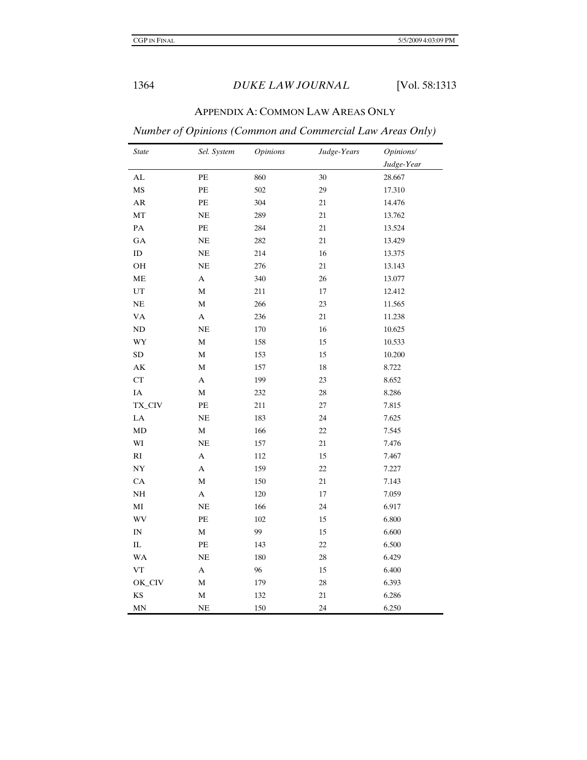# APPENDIX A: COMMON LAW AREAS ONLY

# *Number of Opinions (Common and Commercial Law Areas Only)*

| <b>State</b>           | Sel. System      | <b>Opinions</b> | Judge-Years | Opinions/  |
|------------------------|------------------|-----------------|-------------|------------|
|                        |                  |                 |             | Judge-Year |
| AL                     | PE               | 860             | 30          | 28.667     |
| MS                     | PE               | 502             | 29          | 17.310     |
| ${\sf AR}$             | PE               | 304             | 21          | 14.476     |
| MT                     | NE               | 289             | 21          | 13.762     |
| $\mathbf{PA}$          | PE               | 284             | 21          | 13.524     |
| GA                     | $\rm NE$         | 282             | 21          | 13.429     |
| $\rm ID$               | $\rm NE$         | 214             | 16          | 13.375     |
| OH                     | NE               | 276             | $21\,$      | 13.143     |
| ME                     | $\boldsymbol{A}$ | 340             | 26          | 13.077     |
| $_{\rm UT}$            | $\mathbf M$      | 211             | 17          | 12.412     |
| $\rm NE$               | $\mathbf M$      | 266             | 23          | 11.565     |
| <b>VA</b>              | $\boldsymbol{A}$ | 236             | 21          | 11.238     |
| ND                     | NE               | $170\,$         | 16          | 10.625     |
| WY                     | $\mathbf M$      | 158             | 15          | 10.533     |
| SD                     | $\mathbf M$      | 153             | 15          | 10.200     |
| $\mathbf{A}\mathbf{K}$ | $\mathbf M$      | 157             | 18          | 8.722      |
| CT                     | $\mathbf{A}$     | 199             | 23          | 8.652      |
| $\rm IA$               | $\mathbf M$      | 232             | 28          | 8.286      |
| TX_CIV                 | $\rm PE$         | 211             | 27          | 7.815      |
| ${\rm LA}$             | NE               | 183             | 24          | 7.625      |
| MD                     | $\mathbf M$      | 166             | 22          | 7.545      |
| WI                     | $\rm NE$         | 157             | 21          | 7.476      |
| $\mathbf{R}\mathbf{I}$ | $\mathbf{A}$     | 112             | 15          | 7.467      |
| $\bold{NY}$            | $\mathbf{A}$     | 159             | 22          | 7.227      |
| CA                     | M                | 150             | 21          | 7.143      |
| $\rm NH$               | $\mathbf{A}$     | 120             | 17          | 7.059      |
| MI                     | NE               | 166             | 24          | 6.917      |
| <b>WV</b>              | PE               | 102             | 15          | 6.800      |
| IN                     | $\mathbf M$      | 99              | 15          | 6.600      |
| $\rm IL$               | $\rm PE$         | 143             | 22          | 6.500      |
| <b>WA</b>              | $\rm NE$         | 180             | 28          | 6.429      |
| ${\rm VT}$             | $\mathbf A$      | 96              | 15          | 6.400      |
| OK_CIV                 | $\mathbf M$      | 179             | 28          | 6.393      |
| KS                     | M                | 132             | 21          | 6.286      |
| MN                     | $\rm NE$         | 150             | 24          | 6.250      |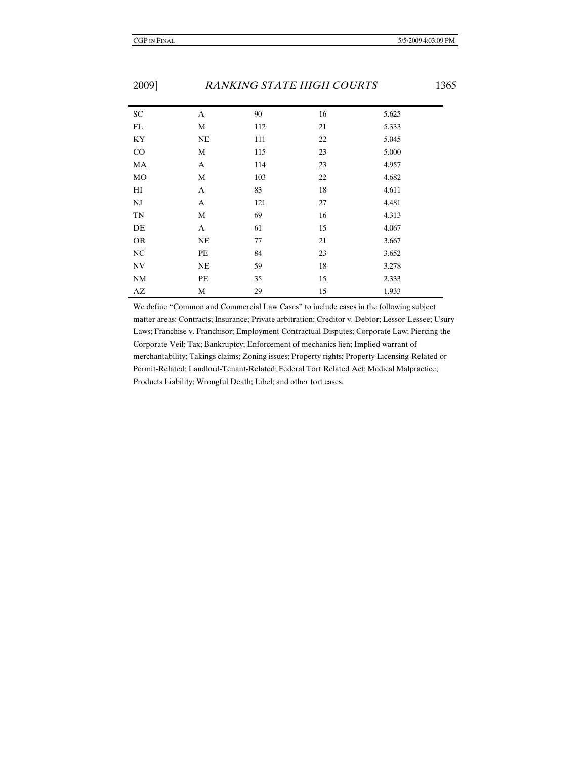| <b>SC</b> | A  | 90  | 16 | 5.625 |  |
|-----------|----|-----|----|-------|--|
| FL        | M  | 112 | 21 | 5.333 |  |
| KY        | NE | 111 | 22 | 5.045 |  |
| CO        | M  | 115 | 23 | 5.000 |  |
| MA        | A  | 114 | 23 | 4.957 |  |
| MO        | M  | 103 | 22 | 4.682 |  |
| HI        | A  | 83  | 18 | 4.611 |  |
| <b>NJ</b> | A  | 121 | 27 | 4.481 |  |
| <b>TN</b> | М  | 69  | 16 | 4.313 |  |
| DE        | A  | 61  | 15 | 4.067 |  |
| <b>OR</b> | NE | 77  | 21 | 3.667 |  |
| NC        | PE | 84  | 23 | 3.652 |  |
| <b>NV</b> | NE | 59  | 18 | 3.278 |  |
| <b>NM</b> | PE | 35  | 15 | 2.333 |  |
| AZ        | M  | 29  | 15 | 1.933 |  |

We define "Common and Commercial Law Cases" to include cases in the following subject matter areas: Contracts; Insurance; Private arbitration; Creditor v. Debtor; Lessor-Lessee; Usury Laws; Franchise v. Franchisor; Employment Contractual Disputes; Corporate Law; Piercing the Corporate Veil; Tax; Bankruptcy; Enforcement of mechanics lien; Implied warrant of merchantability; Takings claims; Zoning issues; Property rights; Property Licensing-Related or Permit-Related; Landlord-Tenant-Related; Federal Tort Related Act; Medical Malpractice; Products Liability; Wrongful Death; Libel; and other tort cases.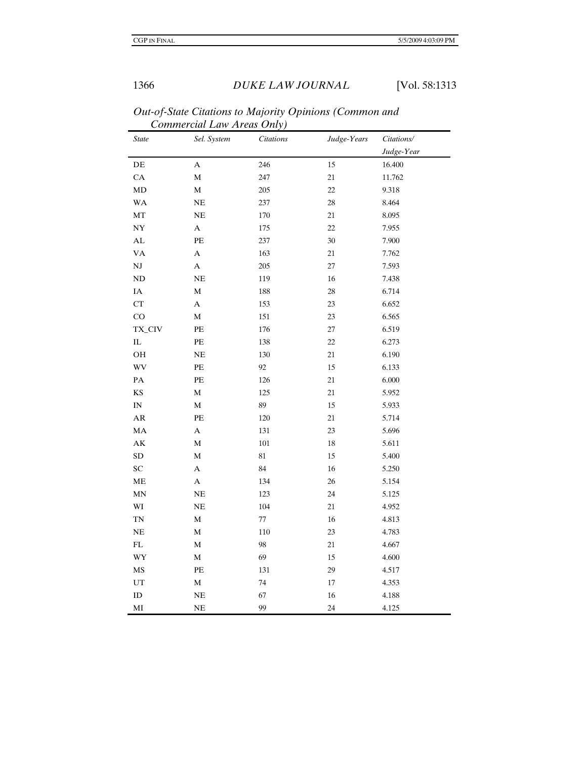| <b>State</b>               | Sel. System      | <b>Citations</b> | Judge-Years | Citations/ |
|----------------------------|------------------|------------------|-------------|------------|
|                            |                  |                  |             | Judge-Year |
| $\rm DE$                   | $\mathbf{A}$     | 246              | 15          | 16.400     |
| CA                         | $\mathbf M$      | 247              | 21          | 11.762     |
| $\rm MD$                   | $\mathbf M$      | 205              | 22          | 9.318      |
| <b>WA</b>                  | $\rm NE$         | 237              | 28          | 8.464      |
| MT                         | NE               | 170              | 21          | 8.095      |
| $\ensuremath{\text{NY}}$   | $\mathbf A$      | 175              | 22          | 7.955      |
| ${\rm AL}$                 | PE               | 237              | 30          | 7.900      |
| <b>VA</b>                  | $\boldsymbol{A}$ | 163              | 21          | 7.762      |
| $\rm{NJ}$                  | A                | 205              | 27          | 7.593      |
| ND                         | NE               | 119              | 16          | 7.438      |
| $\rm IA$                   | $\mathbf M$      | 188              | 28          | 6.714      |
| ${\cal C}{\cal T}$         | $\boldsymbol{A}$ | 153              | 23          | 6.652      |
| CO                         | $\mathbf M$      | 151              | 23          | 6.565      |
| TX_CIV                     | PE               | 176              | 27          | 6.519      |
| ${\rm IL}$                 | PE               | 138              | 22          | 6.273      |
| OH                         | $\rm NE$         | 130              | 21          | 6.190      |
| WV                         | PE               | 92               | 15          | 6.133      |
| $\mathbf{PA}$              | PE               | 126              | 21          | 6.000      |
| $\mathbf{KS}$              | $\mathbf M$      | 125              | 21          | 5.952      |
| $\mathbf{IN}$              | $\mathbf M$      | 89               | 15          | 5.933      |
| ${\sf AR}$                 | $\rm PE$         | 120              | 21          | 5.714      |
| $\rm MA$                   | $\mathbf{A}$     | 131              | 23          | 5.696      |
| $\mathbf{A}\mathbf{K}$     | $\mathbf M$      | $101\,$          | $18\,$      | 5.611      |
| <b>SD</b>                  | $\mathbf M$      | 81               | 15          | 5.400      |
| SC                         | A                | 84               | $16\,$      | 5.250      |
| ME                         | A                | 134              | 26          | 5.154      |
| MN                         | NE               | 123              | 24          | 5.125      |
| WI                         | NE               | 104              | 21          | 4.952      |
| <b>TN</b>                  | $\mathbf M$      | 77               | 16          | 4.813      |
| $\rm NE$                   | $\mathbf M$      | 110              | 23          | 4.783      |
| ${\rm FL}$                 | $\mathbf M$      | 98               | 21          | 4.667      |
| WY                         | $\mathbf M$      | 69               | 15          | 4.600      |
| $\mathbf{M}\mathbf{S}$     | PE               | 131              | 29          | 4.517      |
| $\ensuremath{\mathrm{UT}}$ | $\mathbf M$      | 74               | 17          | 4.353      |
| $\rm ID$                   | NE               | 67               | 16          | 4.188      |
| MI                         | $\rm NE$         | 99               | 24          | 4.125      |

*Out-of-State Citations to Majority Opinions (Common and Commercial Law Areas Only)*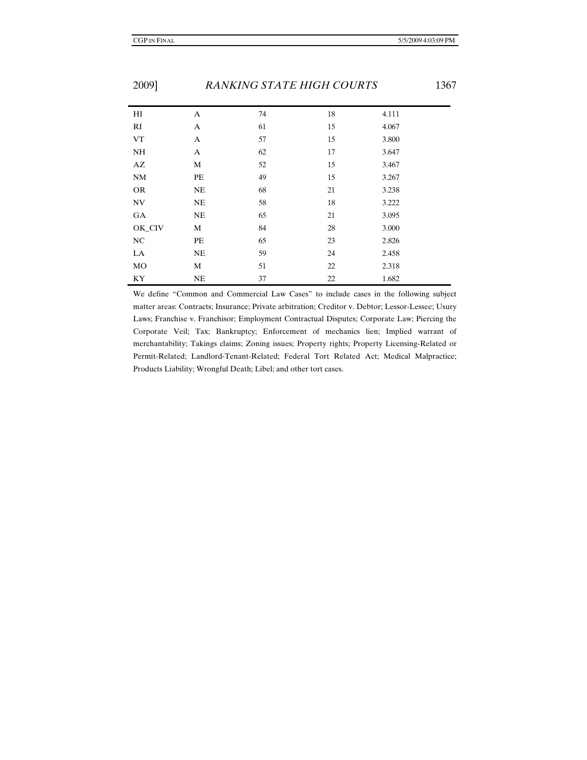| 2002      |           | <u>KARKING STATE HIGH COUNTS</u> |    |       | 1J V |
|-----------|-----------|----------------------------------|----|-------|------|
| HI        | A         | 74                               | 18 | 4.111 |      |
| RI        | A         | 61                               | 15 | 4.067 |      |
| <b>VT</b> | A         | 57                               | 15 | 3.800 |      |
| NH        | A         | 62                               | 17 | 3.647 |      |
| AZ        | M         | 52                               | 15 | 3.467 |      |
| <b>NM</b> | PE        | 49                               | 15 | 3.267 |      |
| <b>OR</b> | NE        | 68                               | 21 | 3.238 |      |
| <b>NV</b> | NE        | 58                               | 18 | 3.222 |      |
| GA        | <b>NE</b> | 65                               | 21 | 3.095 |      |
| OK_CIV    | М         | 84                               | 28 | 3.000 |      |
| <b>NC</b> | PE        | 65                               | 23 | 2.826 |      |
| LA        | <b>NE</b> | 59                               | 24 | 2.458 |      |
| MO        | M         | 51                               | 22 | 2.318 |      |
| KY        | NE        | 37                               | 22 | 1.682 |      |

We define "Common and Commercial Law Cases" to include cases in the following subject matter areas: Contracts; Insurance; Private arbitration; Creditor v. Debtor; Lessor-Lessee; Usury Laws; Franchise v. Franchisor; Employment Contractual Disputes; Corporate Law; Piercing the Corporate Veil; Tax; Bankruptcy; Enforcement of mechanics lien; Implied warrant of merchantability; Takings claims; Zoning issues; Property rights; Property Licensing-Related or Permit-Related; Landlord-Tenant-Related; Federal Tort Related Act; Medical Malpractice; Products Liability; Wrongful Death; Libel; and other tort cases.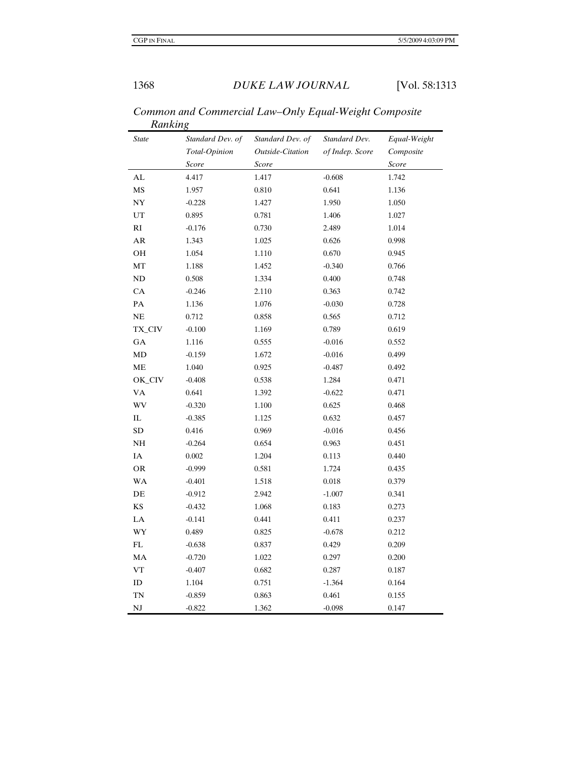| <b>State</b> | Standard Dev. of | Standard Dev. of | Standard Dev.   | Equal-Weight |
|--------------|------------------|------------------|-----------------|--------------|
|              | Total-Opinion    | Outside-Citation | of Indep. Score | Composite    |
|              | Score            | Score            |                 | Score        |
| AL           | 4.417            | 1.417            | $-0.608$        | 1.742        |
| MS           | 1.957            | 0.810            | 0.641           | 1.136        |
| NY           | $-0.228$         | 1.427            | 1.950           | 1.050        |
| UT           | 0.895            | 0.781            | 1.406           | 1.027        |
| RI           | $-0.176$         | 0.730            | 2.489           | 1.014        |
| AR           | 1.343            | 1.025            | 0.626           | 0.998        |
| OH           | 1.054            | 1.110            | 0.670           | 0.945        |
| MT           | 1.188            | 1.452            | $-0.340$        | 0.766        |
| ND           | 0.508            | 1.334            | 0.400           | 0.748        |
| CA           | $-0.246$         | 2.110            | 0.363           | 0.742        |
| PA           | 1.136            | 1.076            | $-0.030$        | 0.728        |
| NE           | 0.712            | 0.858            | 0.565           | 0.712        |
| TX_CIV       | $-0.100$         | 1.169            | 0.789           | 0.619        |
| GA           | 1.116            | 0.555            | $-0.016$        | 0.552        |
| MD           | $-0.159$         | 1.672            | $-0.016$        | 0.499        |
| ME           | 1.040            | 0.925            | $-0.487$        | 0.492        |
| OK_CIV       | $-0.408$         | 0.538            | 1.284           | 0.471        |
| VA           | 0.641            | 1.392            | $-0.622$        | 0.471        |
| WV           | $-0.320$         | 1.100            | 0.625           | 0.468        |
| IL           | $-0.385$         | 1.125            | 0.632           | 0.457        |
| <b>SD</b>    | 0.416            | 0.969            | $-0.016$        | 0.456        |
| NH           | $-0.264$         | 0.654            | 0.963           | 0.451        |
| IA           | 0.002            | 1.204            | 0.113           | 0.440        |
| <b>OR</b>    | $-0.999$         | 0.581            | 1.724           | 0.435        |
| <b>WA</b>    | $-0.401$         | 1.518            | 0.018           | 0.379        |
| DE           | $-0.912$         | 2.942            | $-1.007$        | 0.341        |
| KS           | $-0.432$         | 1.068            | 0.183           | 0.273        |
| LA           | $-0.141$         | 0.441            | 0.411           | 0.237        |
| WY           | 0.489            | 0.825            | $-0.678$        | 0.212        |
| FL           | $-0.638$         | 0.837            | 0.429           | 0.209        |
| MA           | $-0.720$         | 1.022            | 0.297           | 0.200        |
| ${\rm VT}$   | $-0.407$         | 0.682            | 0.287           | 0.187        |
| ID           | 1.104            | 0.751            | $-1.364$        | 0.164        |
| TN           | $-0.859$         | 0.863            | 0.461           | 0.155        |
| NJ           | $-0.822$         | 1.362            | $-0.098$        | 0.147        |

*Common and Commercial Law–Only Equal-Weight Composite Ranking*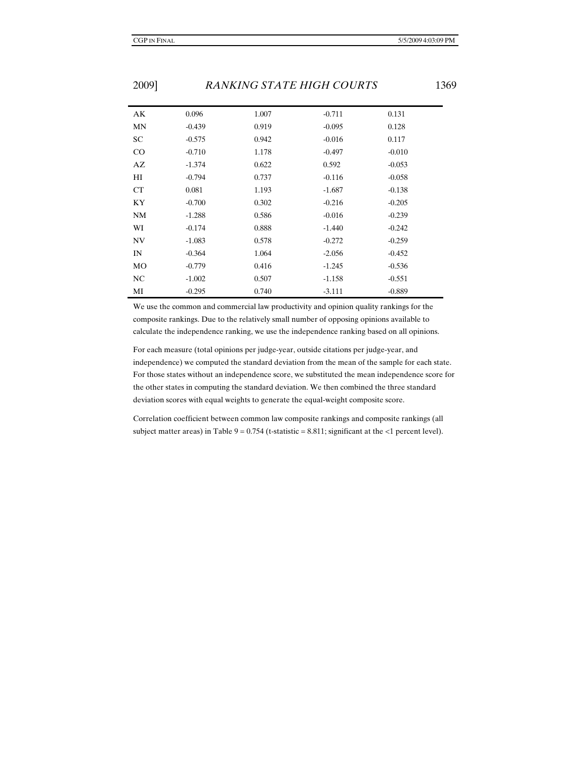| AК        | 0.096    | 1.007 | $-0.711$ | 0.131    |
|-----------|----------|-------|----------|----------|
| MN        | $-0.439$ | 0.919 | $-0.095$ | 0.128    |
| SC        | $-0.575$ | 0.942 | $-0.016$ | 0.117    |
| $\rm CO$  | $-0.710$ | 1.178 | $-0.497$ | $-0.010$ |
| AZ        | $-1.374$ | 0.622 | 0.592    | $-0.053$ |
| HI        | $-0.794$ | 0.737 | $-0.116$ | $-0.058$ |
| <b>CT</b> | 0.081    | 1.193 | $-1.687$ | $-0.138$ |
| KY        | $-0.700$ | 0.302 | $-0.216$ | $-0.205$ |
| NM        | $-1.288$ | 0.586 | $-0.016$ | $-0.239$ |
| WI        | $-0.174$ | 0.888 | $-1.440$ | $-0.242$ |
| <b>NV</b> | $-1.083$ | 0.578 | $-0.272$ | $-0.259$ |
| IN        | $-0.364$ | 1.064 | $-2.056$ | $-0.452$ |
| <b>MO</b> | $-0.779$ | 0.416 | $-1.245$ | $-0.536$ |
| NC        | $-1.002$ | 0.507 | $-1.158$ | $-0.551$ |
| МI        | $-0.295$ | 0.740 | $-3.111$ | $-0.889$ |

We use the common and commercial law productivity and opinion quality rankings for the composite rankings. Due to the relatively small number of opposing opinions available to calculate the independence ranking, we use the independence ranking based on all opinions.

For each measure (total opinions per judge-year, outside citations per judge-year, and independence) we computed the standard deviation from the mean of the sample for each state. For those states without an independence score, we substituted the mean independence score for the other states in computing the standard deviation. We then combined the three standard deviation scores with equal weights to generate the equal-weight composite score.

Correlation coefficient between common law composite rankings and composite rankings (all subject matter areas) in Table  $9 = 0.754$  (t-statistic = 8.811; significant at the <1 percent level).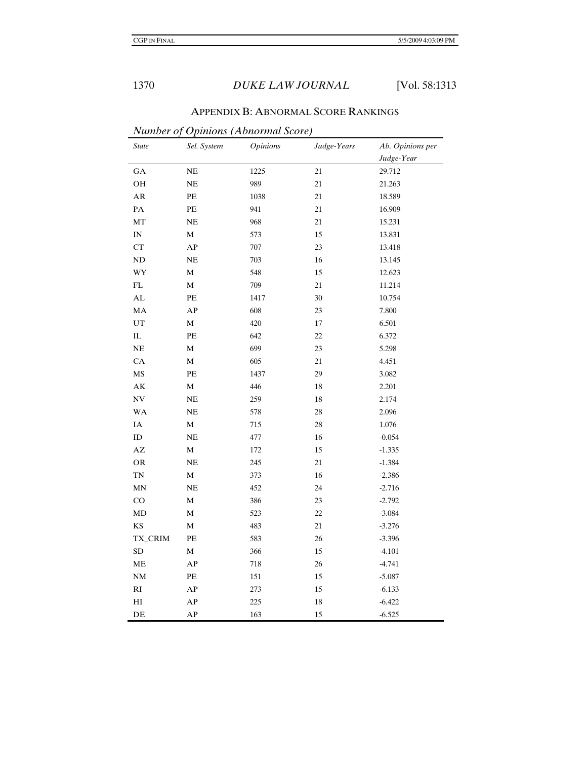| <b>APPENDIX B: ABNORMAL SCORE RANKINGS</b> |  |
|--------------------------------------------|--|
|--------------------------------------------|--|

*Number of Opinions (Abnormal Score)* 

| <b>State</b>               | Sel. System | <b>Opinions</b> | Judge-Years | Ab. Opinions per |
|----------------------------|-------------|-----------------|-------------|------------------|
|                            |             |                 |             | Judge-Year       |
| $_{\mathrm{GA}}$           | $\rm NE$    | 1225            | 21          | 29.712           |
| OH                         | $\rm NE$    | 989             | 21          | 21.263           |
| ${\sf AR}$                 | PE          | 1038            | 21          | 18.589           |
| $\mathbf{PA}$              | $\rm PE$    | 941             | 21          | 16.909           |
| MT                         | $\rm NE$    | 968             | 21          | 15.231           |
| $\mathbf{IN}$              | M           | 573             | 15          | 13.831           |
| ${\cal C}{\cal T}$         | ${\bf AP}$  | 707             | 23          | 13.418           |
| ND                         | $\rm NE$    | 703             | 16          | 13.145           |
| WY                         | $\mathbf M$ | 548             | 15          | 12.623           |
| $\mathop{\rm FL}\nolimits$ | $\mathbf M$ | 709             | 21          | 11.214           |
| $\mathbf{AL}$              | $\rm PE$    | 1417            | 30          | 10.754           |
| MA                         | ${\bf AP}$  | 608             | 23          | 7.800            |
| $_{\rm UT}$                | $\mathbf M$ | 420             | 17          | 6.501            |
| $\rm IL$                   | PE          | 642             | 22          | 6.372            |
| NE                         | $\mathbf M$ | 699             | 23          | 5.298            |
| CA                         | M           | 605             | 21          | 4.451            |
| MS                         | PE          | 1437            | 29          | 3.082            |
| $\mathbf{A}\mathbf{K}$     | $\mathbf M$ | 446             | 18          | 2.201            |
| $\ensuremath{\text{NV}}$   | NE          | 259             | $18\,$      | 2.174            |
| <b>WA</b>                  | NE          | 578             | $28\,$      | 2.096            |
| IA                         | $\mathbf M$ | 715             | $28\,$      | $1.076\,$        |
| ${\rm ID}$                 | NE          | 477             | 16          | $-0.054$         |
| $\mathbf{A}\mathbf{Z}$     | $\mathbf M$ | $172\,$         | 15          | $-1.335$         |
| <b>OR</b>                  | $\rm NE$    | 245             | $21\,$      | $-1.384$         |
| TN                         | $\mathbf M$ | 373             | $16\,$      | $-2.386$         |
| <b>MN</b>                  | NE          | 452             | 24          | $-2.716$         |
| CO                         | $\mathbf M$ | 386             | 23          | $-2.792$         |
| MD                         | $\mathbf M$ | 523             | 22          | $-3.084$         |
| KS                         | $\mathbf M$ | 483             | $21\,$      | $-3.276$         |
| TX_CRIM                    | PE          | 583             | 26          | $-3.396$         |
| ${\rm SD}$                 | $\mathbf M$ | 366             | $15\,$      | $-4.101$         |
| ME                         | ${\bf AP}$  | 718             | 26          | $-4.741$         |
| NM                         | $\rm PE$    | 151             | $15\,$      | $-5.087$         |
| $\mathbf{R}\mathbf{I}$     | ${\bf AP}$  | 273             | $15\,$      | $-6.133$         |
| H <sub>I</sub>             | ${\bf AP}$  | 225             | 18          | $-6.422$         |
| DE                         | ${\bf AP}$  | 163             | 15          | $-6.525$         |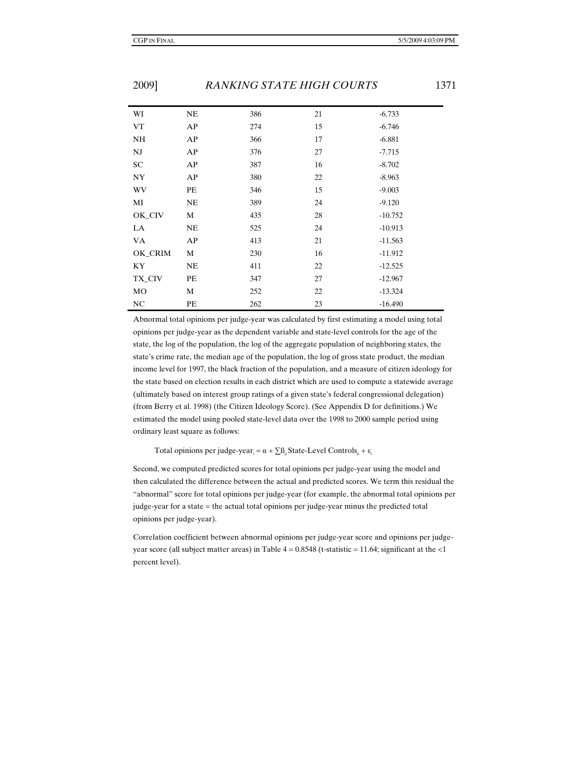| WI      | NE | 386 | 21 | $-6.733$  |
|---------|----|-----|----|-----------|
| VT      | AP | 274 | 15 | $-6.746$  |
| NH      | AP | 366 | 17 | $-6.881$  |
| NJ      | AP | 376 | 27 | $-7.715$  |
| SC      | AP | 387 | 16 | $-8.702$  |
| NY      | AP | 380 | 22 | $-8.963$  |
| WV      | PE | 346 | 15 | $-9.003$  |
| MI      | NE | 389 | 24 | $-9.120$  |
| OK_CIV  | М  | 435 | 28 | $-10.752$ |
| LA      | NE | 525 | 24 | $-10.913$ |
| VA      | AP | 413 | 21 | $-11.563$ |
| OK_CRIM | M  | 230 | 16 | $-11.912$ |
| KY.     | NE | 411 | 22 | $-12.525$ |
| TX_CIV  | PE | 347 | 27 | $-12.967$ |
| MO      | M  | 252 | 22 | $-13.324$ |
| NC      | PE | 262 | 23 | $-16.490$ |

Abnormal total opinions per judge-year was calculated by first estimating a model using total opinions per judge-year as the dependent variable and state-level controls for the age of the state, the log of the population, the log of the aggregate population of neighboring states, the state's crime rate, the median age of the population, the log of gross state product, the median income level for 1997, the black fraction of the population, and a measure of citizen ideology for the state based on election results in each district which are used to compute a statewide average (ultimately based on interest group ratings of a given state's federal congressional delegation) (from Berry et al. 1998) (the Citizen Ideology Score). (See Appendix D for definitions.) We estimated the model using pooled state-level data over the 1998 to 2000 sample period using ordinary least square as follows:

Total opinions per judge-year<sub>i</sub> =  $\alpha + \sum_{i} B_{i}$ State-Level Controls<sub>i</sub> +  $\varepsilon$ <sub>i</sub>

Second, we computed predicted scores for total opinions per judge-year using the model and then calculated the difference between the actual and predicted scores. We term this residual the "abnormal" score for total opinions per judge-year (for example, the abnormal total opinions per judge-year for a state = the actual total opinions per judge-year minus the predicted total opinions per judge-year).

Correlation coefficient between abnormal opinions per judge-year score and opinions per judgeyear score (all subject matter areas) in Table  $4 = 0.8548$  (t-statistic = 11.64; significant at the  $\langle$ 1 percent level).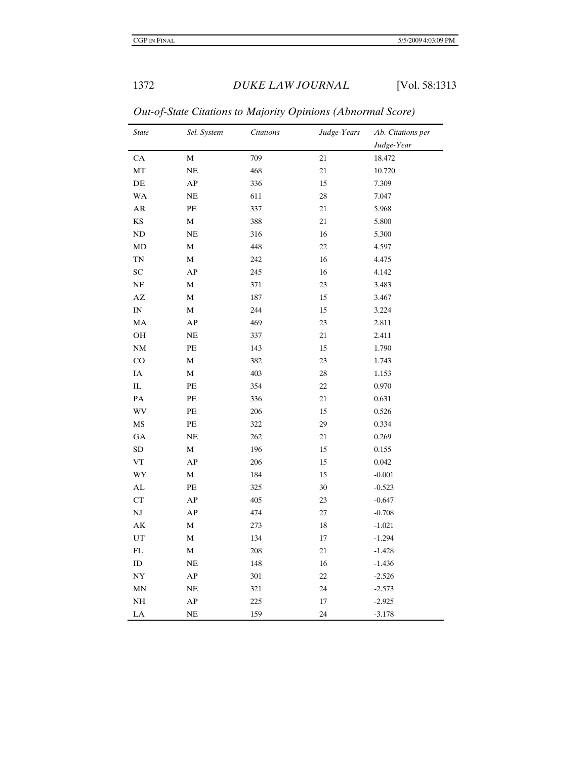| <b>State</b>               | Sel. System | Citations | Judge-Years | Ab. Citations per |
|----------------------------|-------------|-----------|-------------|-------------------|
|                            |             |           |             | Judge-Year        |
| CA                         | $\mathbf M$ | 709       | 21          | 18.472            |
| MT                         | NE          | 468       | $21\,$      | 10.720            |
| $\rm DE$                   | ${\bf AP}$  | 336       | 15          | 7.309             |
| <b>WA</b>                  | NE          | 611       | 28          | 7.047             |
| AR                         | PE          | 337       | $21\,$      | 5.968             |
| $\mathbf{K}\mathbf{S}$     | $\mathbf M$ | 388       | 21          | 5.800             |
| $\rm ND$                   | <b>NE</b>   | 316       | 16          | 5.300             |
| MD                         | $\mathbf M$ | 448       | 22          | 4.597             |
| TN                         | $\mathbf M$ | 242       | 16          | 4.475             |
| SC                         | AP          | 245       | 16          | 4.142             |
| $\rm NE$                   | $\mathbf M$ | 371       | 23          | 3.483             |
| $\mathbf{A}\mathbf{Z}$     | $\mathbf M$ | 187       | 15          | 3.467             |
| $\mathbf{IN}$              | $\mathbf M$ | 244       | 15          | 3.224             |
| MA                         | AP          | 469       | 23          | 2.811             |
| OH                         | NE          | 337       | 21          | 2.411             |
| NM                         | PE          | 143       | 15          | 1.790             |
| $\rm CO$                   | $\mathbf M$ | 382       | 23          | 1.743             |
| IA                         | $\mathbf M$ | 403       | 28          | 1.153             |
| $\rm IL$                   | PE          | 354       | 22          | 0.970             |
| PA                         | PE          | 336       | 21          | 0.631             |
| $\mathbf{W}\mathbf{V}$     | PE          | 206       | 15          | 0.526             |
| $\overline{\text{MS}}$     | PE          | 322       | 29          | 0.334             |
| GA                         | NE          | 262       | $21\,$      | 0.269             |
| ${\rm SD}$                 | $\mathbf M$ | 196       | 15          | 0.155             |
| ${\rm VT}$                 | AP          | 206       | 15          | 0.042             |
| WY                         | $\mathbf M$ | 184       | 15          | $-0.001$          |
| $\mathbf{AL}$              | PE          | 325       | 30          | $-0.523$          |
| ${\cal C}{\cal T}$         | ${\bf AP}$  | 405       | 23          | $-0.647$          |
| $\mathbf{N}\mathbf{J}$     | ${\bf AP}$  | 474       | 27          | $-0.708$          |
| AK                         | $\mathbf M$ | 273       | 18          | $-1.021$          |
| UT                         | M           | 134       | 17          | $-1.294$          |
| $\mathop{\rm FL}\nolimits$ | $\mathbf M$ | 208       | 21          | $-1.428$          |
| ${\rm ID}$                 | $\rm NE$    | 148       | 16          | $-1.436$          |
| $_{\mathrm{NY}}$           | ${\bf AP}$  | $301\,$   | 22          | $-2.526$          |
| MN                         | NE          | 321       | 24          | $-2.573$          |
| $\rm NH$                   | AP          | 225       | 17          | $-2.925$          |
| LA                         | NE          | 159       | 24          | $-3.178$          |

*Out-of-State Citations to Majority Opinions (Abnormal Score)*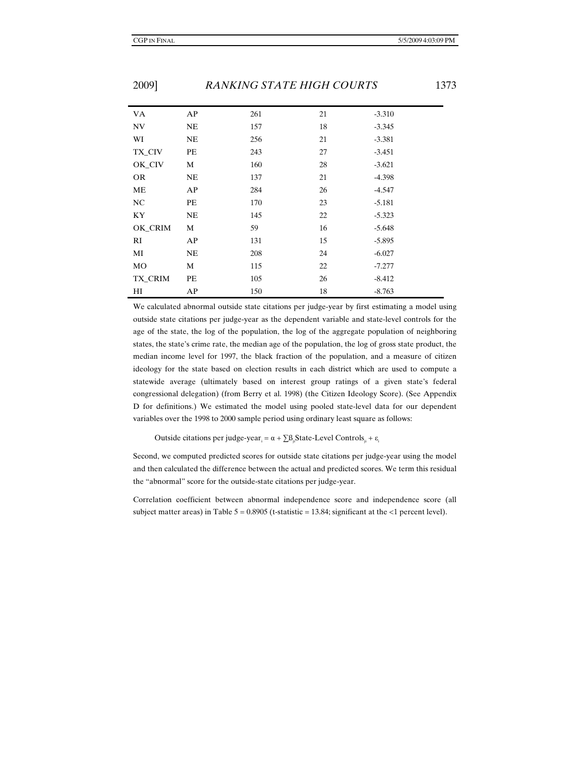| <b>VA</b> | AP        | 261 | 21 | $-3.310$ |
|-----------|-----------|-----|----|----------|
| <b>NV</b> | NE        | 157 | 18 | $-3.345$ |
| WI        | <b>NE</b> | 256 | 21 | $-3.381$ |
| TX_CIV    | PE        | 243 | 27 | $-3.451$ |
| OK_CIV    | M         | 160 | 28 | $-3.621$ |
| <b>OR</b> | NE        | 137 | 21 | $-4.398$ |
| ME        | AP        | 284 | 26 | $-4.547$ |
| NC        | PE        | 170 | 23 | $-5.181$ |
| KY        | NE        | 145 | 22 | $-5.323$ |
| OK_CRIM   | M         | 59  | 16 | $-5.648$ |
| RI        | AP        | 131 | 15 | $-5.895$ |
| MI        | NE        | 208 | 24 | $-6.027$ |
| MO        | M         | 115 | 22 | $-7.277$ |
| TX_CRIM   | PE        | 105 | 26 | $-8.412$ |
| HI        | AP        | 150 | 18 | $-8.763$ |

We calculated abnormal outside state citations per judge-year by first estimating a model using outside state citations per judge-year as the dependent variable and state-level controls for the age of the state, the log of the population, the log of the aggregate population of neighboring states, the state's crime rate, the median age of the population, the log of gross state product, the median income level for 1997, the black fraction of the population, and a measure of citizen ideology for the state based on election results in each district which are used to compute a statewide average (ultimately based on interest group ratings of a given state's federal congressional delegation) (from Berry et al. 1998) (the Citizen Ideology Score). (See Appendix D for definitions.) We estimated the model using pooled state-level data for our dependent variables over the 1998 to 2000 sample period using ordinary least square as follows:

Outside citations per judge-year<sub>i</sub> =  $\alpha + \sum \beta_{ji}$ State-Level Controls<sub>ji</sub> +  $\varepsilon$ <sub>i</sub>

Second, we computed predicted scores for outside state citations per judge-year using the model and then calculated the difference between the actual and predicted scores. We term this residual the "abnormal" score for the outside-state citations per judge-year.

Correlation coefficient between abnormal independence score and independence score (all subject matter areas) in Table  $5 = 0.8905$  (t-statistic = 13.84; significant at the <1 percent level).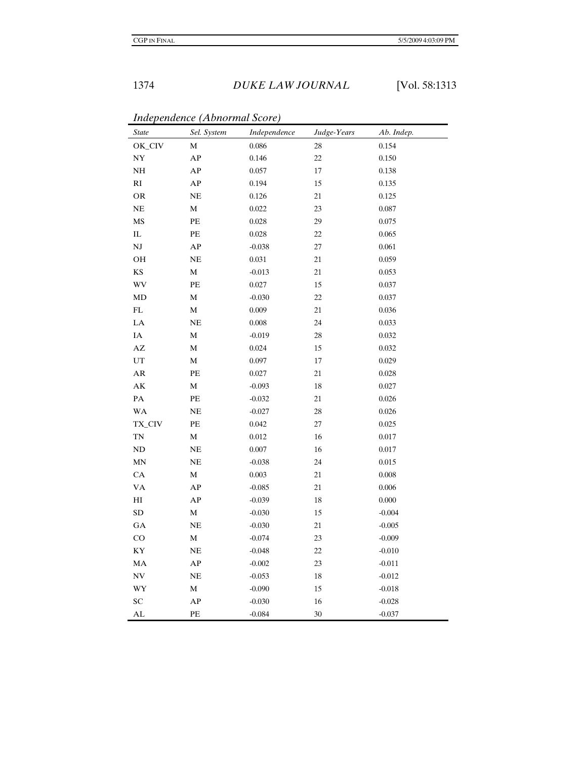| <b>State</b>               | Sel. System    | Independence | Judge-Years | Ab. Indep. |
|----------------------------|----------------|--------------|-------------|------------|
| OK_CIV                     | M              | 0.086        | 28          | 0.154      |
| $\ensuremath{\text{NY}}$   | ${\bf AP}$     | 0.146        | $22\,$      | 0.150      |
| $\rm NH$                   | AP             | 0.057        | $17\,$      | 0.138      |
| $\mathbf{R}\mathbf{I}$     | AP             | 0.194        | 15          | 0.135      |
| <b>OR</b>                  | NE             | 0.126        | $21\,$      | 0.125      |
| $\rm NE$                   | $\mathbf M$    | 0.022        | 23          | $0.087\,$  |
| MS                         | PE             | 0.028        | 29          | 0.075      |
| ${\rm IL}$                 | PE             | 0.028        | 22          | 0.065      |
| $\mathbf{N}\mathbf{J}$     | ${\bf AP}$     | $-0.038$     | $27\,$      | $0.061\,$  |
| OH                         | NE             | 0.031        | $21\,$      | 0.059      |
| $\mathbf{K}\mathbf{S}$     | $\mathbf M$    | $-0.013$     | 21          | 0.053      |
| <b>WV</b>                  | PE             | 0.027        | 15          | 0.037      |
| MD                         | $\mathbf M$    | $-0.030$     | $22\,$      | 0.037      |
| $\mathop{\rm FL}\nolimits$ | M              | 0.009        | $21\,$      | 0.036      |
| ${\rm LA}$                 | NE             | 0.008        | 24          | 0.033      |
| $\rm IA$                   | $\mathbf M$    | $-0.019$     | 28          | 0.032      |
| $\mathbf{A}\mathbf{Z}$     | $\mathbf M$    | 0.024        | 15          | 0.032      |
| UT                         | M              | 0.097        | 17          | 0.029      |
| ${\sf AR}$                 | PE             | 0.027        | 21          | 0.028      |
| $\mathbf{A}\mathbf{K}$     | $\mathbf M$    | $-0.093$     | $18\,$      | 0.027      |
| $\mathbf{PA}$              | PE             | $-0.032$     | 21          | 0.026      |
| <b>WA</b>                  | $\rm NE$       | $-0.027$     | 28          | 0.026      |
| TX_CIV                     | PE             | 0.042        | 27          | 0.025      |
| $\mathbf{TN}$              | $\mathbf M$    | 0.012        | 16          | $0.017\,$  |
| ND                         | NE             | 0.007        | 16          | $0.017\,$  |
| MN                         | $\rm NE$       | $-0.038$     | 24          | $0.015\,$  |
| CA                         | $\mathbf M$    | 0.003        | $21\,$      | $0.008\,$  |
| <b>VA</b>                  | AP             | $-0.085$     | $21\,$      | 0.006      |
| $\rm HI$                   | AP             | $-0.039$     | 18          | 0.000      |
| ${\rm SD}$                 | $\overline{M}$ | $-0.030$     | $15\,$      | $-0.004$   |
| GA                         | $\rm NE$       | $-0.030$     | $21\,$      | $-0.005$   |
| CO                         | $\mathbf M$    | $-0.074$     | 23          | $-0.009$   |
| $\mathbf{K}\mathbf{Y}$     | NE             | $-0.048$     | 22          | $-0.010$   |
| MA                         | ${\bf AP}$     | $-0.002$     | $23\,$      | $-0.011$   |
| N <sub>V</sub>             | $\rm NE$       | $-0.053$     | 18          | $-0.012$   |
| WY                         | $\mathbf M$    | $-0.090$     | 15          | $-0.018$   |
| SC                         | AP             | $-0.030$     | 16          | $-0.028$   |
| AL                         | PE             | $-0.084$     | 30          | $-0.037$   |

*Independence (Abnormal Score)*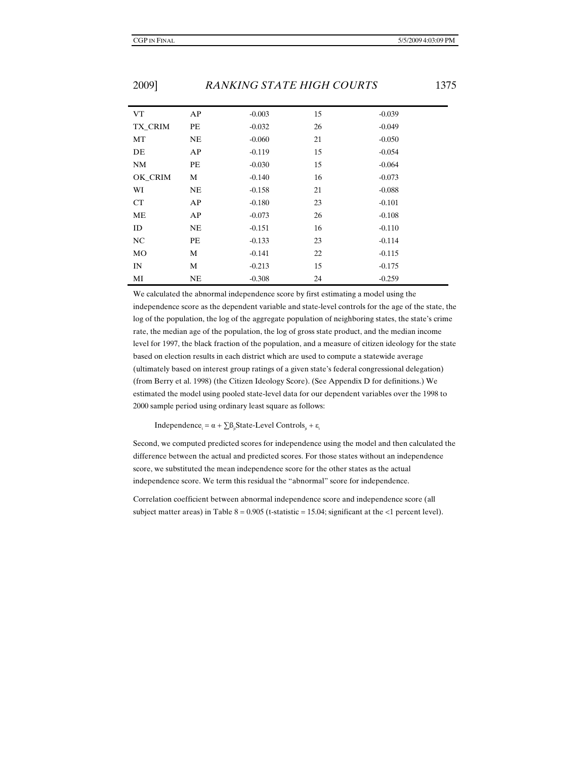| <b>VT</b> | AP        | $-0.003$ | 15 | $-0.039$ |
|-----------|-----------|----------|----|----------|
| TX CRIM   | PЕ        | $-0.032$ | 26 | $-0.049$ |
| MT        | NE        | $-0.060$ | 21 | $-0.050$ |
| DE        | AP        | $-0.119$ | 15 | $-0.054$ |
| <b>NM</b> | PЕ        | $-0.030$ | 15 | $-0.064$ |
| OK CRIM   | М         | $-0.140$ | 16 | $-0.073$ |
| WI        | NE        | $-0.158$ | 21 | $-0.088$ |
| <b>CT</b> | AP        | $-0.180$ | 23 | $-0.101$ |
| ME        | AP        | $-0.073$ | 26 | $-0.108$ |
| ID        | <b>NE</b> | $-0.151$ | 16 | $-0.110$ |
| <b>NC</b> | PE        | $-0.133$ | 23 | $-0.114$ |
| MO        | М         | $-0.141$ | 22 | $-0.115$ |
| IN        | М         | $-0.213$ | 15 | $-0.175$ |
| MI        | NE        | $-0.308$ | 24 | $-0.259$ |

We calculated the abnormal independence score by first estimating a model using the independence score as the dependent variable and state-level controls for the age of the state, the log of the population, the log of the aggregate population of neighboring states, the state's crime rate, the median age of the population, the log of gross state product, and the median income level for 1997, the black fraction of the population, and a measure of citizen ideology for the state based on election results in each district which are used to compute a statewide average (ultimately based on interest group ratings of a given state's federal congressional delegation) (from Berry et al. 1998) (the Citizen Ideology Score). (See Appendix D for definitions.) We estimated the model using pooled state-level data for our dependent variables over the 1998 to 2000 sample period using ordinary least square as follows:

Independence<sub>i</sub> = α +  $\sum B_{ij}$ State-Level Controls<sub>ji</sub> + ε<sub>i</sub>

Second, we computed predicted scores for independence using the model and then calculated the difference between the actual and predicted scores. For those states without an independence score, we substituted the mean independence score for the other states as the actual independence score. We term this residual the "abnormal" score for independence.

Correlation coefficient between abnormal independence score and independence score (all subject matter areas) in Table  $8 = 0.905$  (t-statistic = 15.04; significant at the <1 percent level).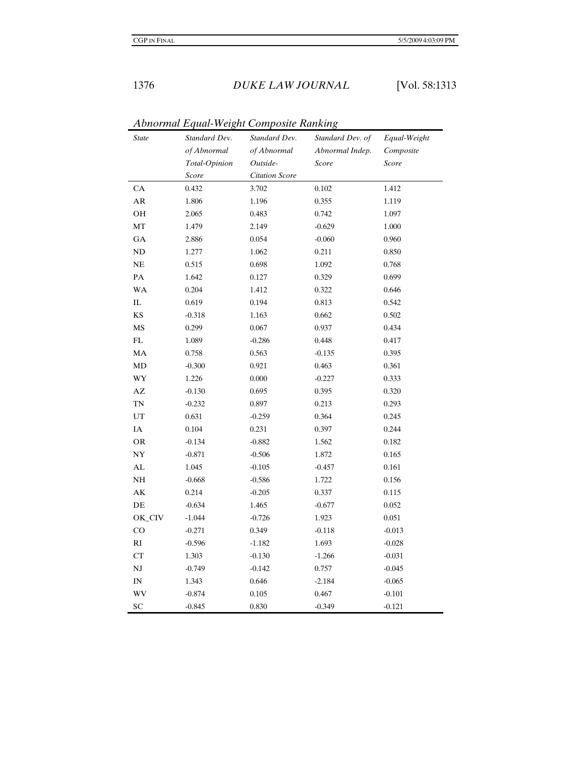|                            | Abhormai Lyuai-weight Composite Kanking |                       |                  |              |
|----------------------------|-----------------------------------------|-----------------------|------------------|--------------|
| <i>State</i>               | Standard Dev.                           | Standard Dev.         | Standard Dev. of | Equal-Weight |
|                            | of Abnormal                             | of Abnormal           | Abnormal Indep.  | Composite    |
|                            | Total-Opinion                           | Outside-              | Score            | Score        |
|                            | Score                                   | <b>Citation Score</b> |                  |              |
| CA                         | 0.432                                   | 3.702                 | 0.102            | 1.412        |
| AR                         | 1.806                                   | 1.196                 | 0.355            | 1.119        |
| OH                         | 2.065                                   | 0.483                 | 0.742            | 1.097        |
| MT                         | 1.479                                   | 2.149                 | $-0.629$         | 1.000        |
| GA                         | 2.886                                   | 0.054                 | $-0.060$         | 0.960        |
| $\rm ND$                   | 1.277                                   | 1.062                 | 0.211            | 0.850        |
| $\rm NE$                   | 0.515                                   | 0.698                 | 1.092            | 0.768        |
| PA                         | 1.642                                   | 0.127                 | 0.329            | 0.699        |
| <b>WA</b>                  | 0.204                                   | 1.412                 | 0.322            | 0.646        |
| $\rm IL$                   | 0.619                                   | 0.194                 | 0.813            | 0.542        |
| $\mathbf{KS}$              | $-0.318$                                | 1.163                 | 0.662            | 0.502        |
| $\mathbf{M}\mathbf{S}$     | 0.299                                   | 0.067                 | 0.937            | 0.434        |
| $\mathop{\rm FL}\nolimits$ | 1.089                                   | $-0.286$              | 0.448            | 0.417        |
| MA                         | 0.758                                   | 0.563                 | $-0.135$         | 0.395        |
| MD                         | $-0.300$                                | 0.921                 | 0.463            | 0.361        |
| WY                         | 1.226                                   | 0.000                 | $-0.227$         | 0.333        |
| $\mathbf{A}\mathbf{Z}$     | $-0.130$                                | 0.695                 | 0.395            | 0.320        |
| $\mathbf{TN}$              | $-0.232$                                | 0.897                 | 0.213            | 0.293        |
| UT                         | 0.631                                   | $-0.259$              | 0.364            | 0.245        |
| $\rm IA$                   | 0.104                                   | 0.231                 | 0.397            | 0.244        |
| OR                         | $-0.134$                                | $-0.882$              | 1.562            | 0.182        |
| NY                         | $-0.871$                                | $-0.506$              | 1.872            | 0.165        |
| ${\rm AL}$                 | 1.045                                   | $-0.105$              | $-0.457$         | $0.161\,$    |
| $\rm NH$                   | $-0.668$                                | $-0.586$              | 1.722            | 0.156        |
| $\mathbf{A}\mathbf{K}$     | 0.214                                   | $-0.205$              | 0.337            | 0.115        |
| DE                         | $-0.634$                                | 1.465                 | $-0.677$         | 0.052        |
| OK_CIV                     | $-1.044$                                | $-0.726$              | 1.923            | 0.051        |
| $\rm CO$                   | $-0.271$                                | 0.349                 | $-0.118$         | $-0.013$     |
| $\mathbf{R}\mathbf{I}$     | $-0.596$                                | $-1.182$              | 1.693            | $-0.028$     |
| ${\cal C}{\cal T}$         | 1.303                                   | $-0.130$              | $-1.266$         | $-0.031$     |
| $\mathbf{N}\mathbf{J}$     | $-0.749$                                | $-0.142$              | 0.757            | $-0.045$     |
| IN                         | 1.343                                   | 0.646                 | $-2.184$         | $-0.065$     |
| WV                         | $-0.874$                                | 0.105                 | 0.467            | $-0.101$     |
| SC                         | $-0.845$                                | 0.830                 | $-0.349$         | $-0.121$     |

*Abnormal Equal-Weight Composite Ranking*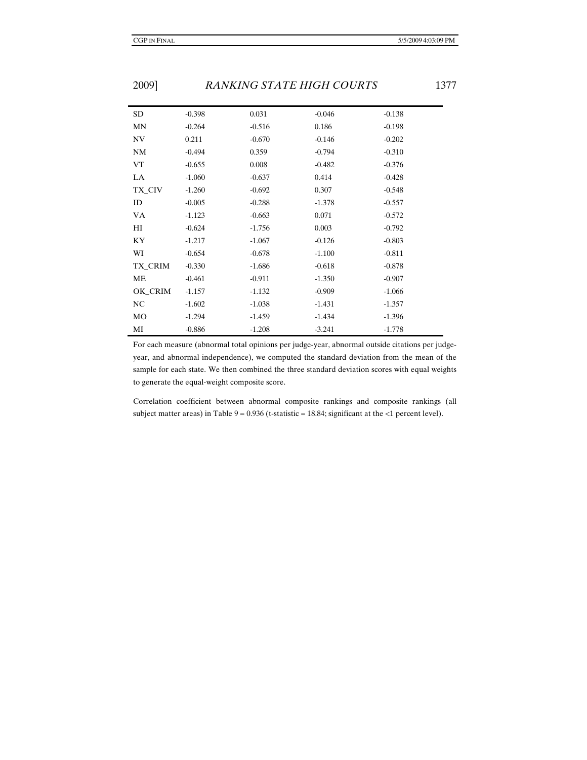| <b>SD</b> | $-0.398$ | 0.031    | $-0.046$ | $-0.138$ |
|-----------|----------|----------|----------|----------|
| MN        | $-0.264$ | $-0.516$ | 0.186    | $-0.198$ |
| NV        | 0.211    | $-0.670$ | $-0.146$ | $-0.202$ |
| <b>NM</b> | $-0.494$ | 0.359    | $-0.794$ | $-0.310$ |
| VT        | $-0.655$ | 0.008    | $-0.482$ | $-0.376$ |
| LA        | $-1.060$ | $-0.637$ | 0.414    | $-0.428$ |
| TX_CIV    | $-1.260$ | $-0.692$ | 0.307    | $-0.548$ |
| ID        | $-0.005$ | $-0.288$ | $-1.378$ | $-0.557$ |
| <b>VA</b> | $-1.123$ | $-0.663$ | 0.071    | $-0.572$ |
| HI        | $-0.624$ | $-1.756$ | 0.003    | $-0.792$ |
| KY        | $-1.217$ | $-1.067$ | $-0.126$ | $-0.803$ |
| WI        | $-0.654$ | $-0.678$ | $-1.100$ | $-0.811$ |
| TX_CRIM   | $-0.330$ | $-1.686$ | $-0.618$ | $-0.878$ |
| ME        | $-0.461$ | $-0.911$ | $-1.350$ | $-0.907$ |
| OK_CRIM   | $-1.157$ | $-1.132$ | $-0.909$ | $-1.066$ |
| NC        | $-1.602$ | $-1.038$ | $-1.431$ | $-1.357$ |
| MO        | $-1.294$ | $-1.459$ | $-1.434$ | $-1.396$ |
| MI        | $-0.886$ | $-1.208$ | $-3.241$ | $-1.778$ |

For each measure (abnormal total opinions per judge-year, abnormal outside citations per judgeyear, and abnormal independence), we computed the standard deviation from the mean of the sample for each state. We then combined the three standard deviation scores with equal weights to generate the equal-weight composite score.

Correlation coefficient between abnormal composite rankings and composite rankings (all subject matter areas) in Table  $9 = 0.936$  (t-statistic = 18.84; significant at the <1 percent level).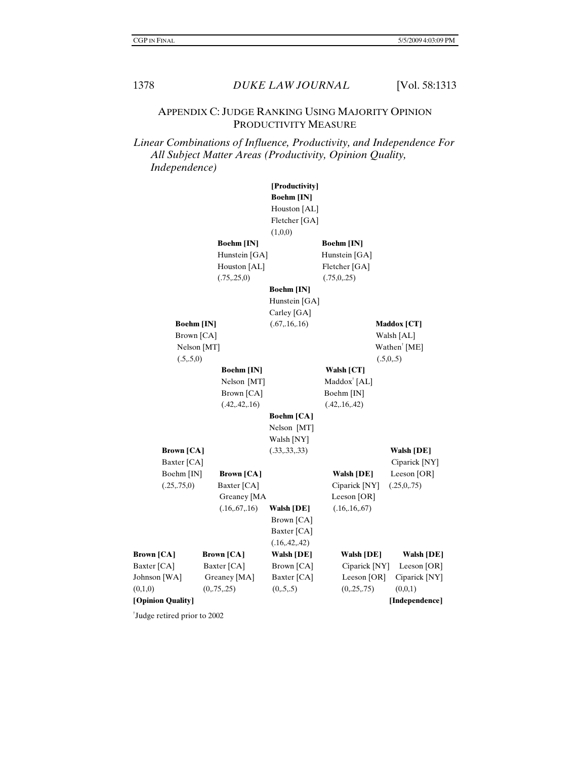#### APPENDIX C: JUDGE RANKING USING MAJORITY OPINION PRODUCTIVITY MEASURE

### *Linear Combinations of Influence, Productivity, and Independence For All Subject Matter Areas (Productivity, Opinion Quality, Independence)*

|                   |                   | [Productivity]    |                         |                          |
|-------------------|-------------------|-------------------|-------------------------|--------------------------|
|                   |                   | <b>Boehm</b> [IN] |                         |                          |
|                   |                   | Houston [AL]      |                         |                          |
|                   |                   | Fletcher [GA]     |                         |                          |
|                   |                   | (1,0,0)           |                         |                          |
|                   | <b>Boehm</b> [IN] |                   | <b>Boehm</b> [IN]       |                          |
|                   | Hunstein [GA]     |                   | Hunstein [GA]           |                          |
|                   | Houston [AL]      |                   | Fletcher [GA]           |                          |
|                   | (.75, .25, 0)     |                   | (.75,0,.25)             |                          |
|                   |                   | <b>Boehm</b> [IN] |                         |                          |
|                   |                   | Hunstein [GA]     |                         |                          |
|                   |                   | Carley [GA]       |                         |                          |
| <b>Boehm</b> [IN] |                   | (.67, .16, .16)   |                         | <b>Maddox</b> [CT]       |
| Brown [CA]        |                   |                   |                         | Walsh [AL]               |
| Nelson [MT]       |                   |                   |                         | Wathen <sup>†</sup> [ME] |
| (.5,.5,0)         |                   |                   |                         | (.5,0,.5)                |
|                   | <b>Boehm</b> [IN] |                   | Walsh [CT]              |                          |
|                   | Nelson [MT]       |                   | $Maddox^{\dagger}$ [AL] |                          |
|                   | Brown [CA]        |                   | Boehm [IN]              |                          |
|                   | (.42, .42, .16)   |                   | (.42, .16, .42)         |                          |
|                   |                   | <b>Boehm</b> [CA] |                         |                          |
|                   |                   | Nelson [MT]       |                         |                          |
|                   |                   | Walsh [NY]        |                         |                          |
| <b>Brown</b> [CA] |                   | (.33, .33, .33)   |                         | <b>Walsh [DE]</b>        |
| Baxter [CA]       |                   |                   |                         | Ciparick [NY]            |
| Boehm [IN]        | <b>Brown</b> [CA] |                   | <b>Walsh [DE]</b>       | Leeson [OR]              |
| (.25, .75, 0)     | Baxter [CA]       |                   | Ciparick [NY]           | (.25,0,.75)              |
|                   | Greaney [MA       |                   | Leeson [OR]             |                          |
|                   | (.16, .67, .16)   | <b>Walsh [DE]</b> | (.16, .16, .67)         |                          |
|                   |                   | Brown [CA]        |                         |                          |
|                   |                   | Baxter [CA]       |                         |                          |
|                   |                   | (.16, .42, .42)   |                         |                          |
| <b>Brown</b> [CA] | <b>Brown</b> [CA] | <b>Walsh [DE]</b> | <b>Walsh [DE]</b>       | <b>Walsh [DE]</b>        |
| Baxter [CA]       | Baxter [CA]       | Brown [CA]        | Ciparick [NY]           | Leeson $[OR]$            |
| Johnson [WA]      | Greaney [MA]      | Baxter [CA]       | Leeson [OR]             | Ciparick [NY]            |
| (0,1,0)           | (0, 75, 25)       | (0, 5, 5)         | (0, 25, 75)             | (0,0,1)                  |
| [Opinion Quality] |                   |                   |                         | [Independence]           |

† Judge retired prior to 2002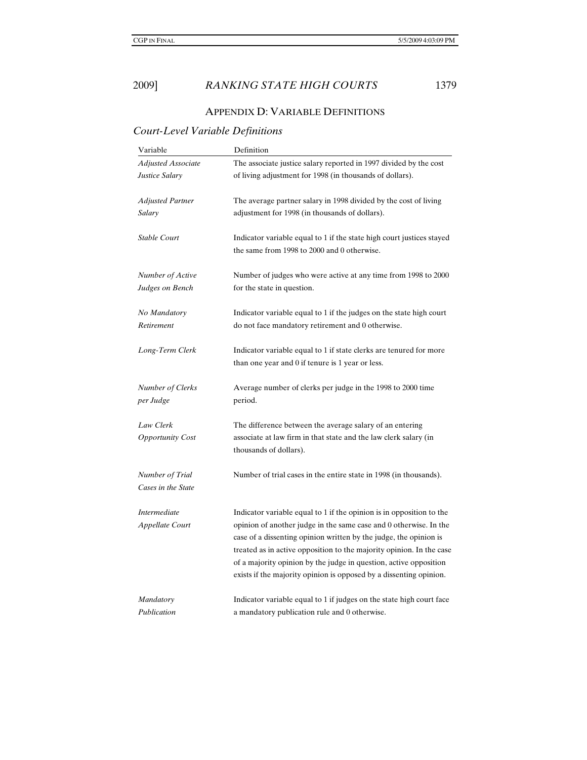# APPENDIX D: VARIABLE DEFINITIONS

# *Court-Level Variable Definitions*

| Variable                               | Definition                                                                                                                                                                                                                                                                                                                                                                                                                        |  |
|----------------------------------------|-----------------------------------------------------------------------------------------------------------------------------------------------------------------------------------------------------------------------------------------------------------------------------------------------------------------------------------------------------------------------------------------------------------------------------------|--|
| <b>Adjusted Associate</b>              | The associate justice salary reported in 1997 divided by the cost                                                                                                                                                                                                                                                                                                                                                                 |  |
| Justice Salary                         | of living adjustment for 1998 (in thousands of dollars).                                                                                                                                                                                                                                                                                                                                                                          |  |
| Adjusted Partner                       | The average partner salary in 1998 divided by the cost of living                                                                                                                                                                                                                                                                                                                                                                  |  |
| Salary                                 | adjustment for 1998 (in thousands of dollars).                                                                                                                                                                                                                                                                                                                                                                                    |  |
| Stable Court                           | Indicator variable equal to 1 if the state high court justices stayed<br>the same from 1998 to 2000 and 0 otherwise.                                                                                                                                                                                                                                                                                                              |  |
| Number of Active                       | Number of judges who were active at any time from 1998 to 2000                                                                                                                                                                                                                                                                                                                                                                    |  |
| Judges on Bench                        | for the state in question.                                                                                                                                                                                                                                                                                                                                                                                                        |  |
| No Mandatory                           | Indicator variable equal to 1 if the judges on the state high court                                                                                                                                                                                                                                                                                                                                                               |  |
| Retirement                             | do not face mandatory retirement and 0 otherwise.                                                                                                                                                                                                                                                                                                                                                                                 |  |
| Long-Term Clerk                        | Indicator variable equal to 1 if state clerks are tenured for more<br>than one year and 0 if tenure is 1 year or less.                                                                                                                                                                                                                                                                                                            |  |
| Number of Clerks                       | Average number of clerks per judge in the 1998 to 2000 time                                                                                                                                                                                                                                                                                                                                                                       |  |
| per Judge                              | period.                                                                                                                                                                                                                                                                                                                                                                                                                           |  |
| Law Clerk<br><b>Opportunity Cost</b>   | The difference between the average salary of an entering<br>associate at law firm in that state and the law clerk salary (in<br>thousands of dollars).                                                                                                                                                                                                                                                                            |  |
| Number of Trial<br>Cases in the State  | Number of trial cases in the entire state in 1998 (in thousands).                                                                                                                                                                                                                                                                                                                                                                 |  |
| <b>Intermediate</b><br>Appellate Court | Indicator variable equal to 1 if the opinion is in opposition to the<br>opinion of another judge in the same case and 0 otherwise. In the<br>case of a dissenting opinion written by the judge, the opinion is<br>treated as in active opposition to the majority opinion. In the case<br>of a majority opinion by the judge in question, active opposition<br>exists if the majority opinion is opposed by a dissenting opinion. |  |
| <b>Mandatory</b>                       | Indicator variable equal to 1 if judges on the state high court face                                                                                                                                                                                                                                                                                                                                                              |  |
| Publication                            | a mandatory publication rule and 0 otherwise.                                                                                                                                                                                                                                                                                                                                                                                     |  |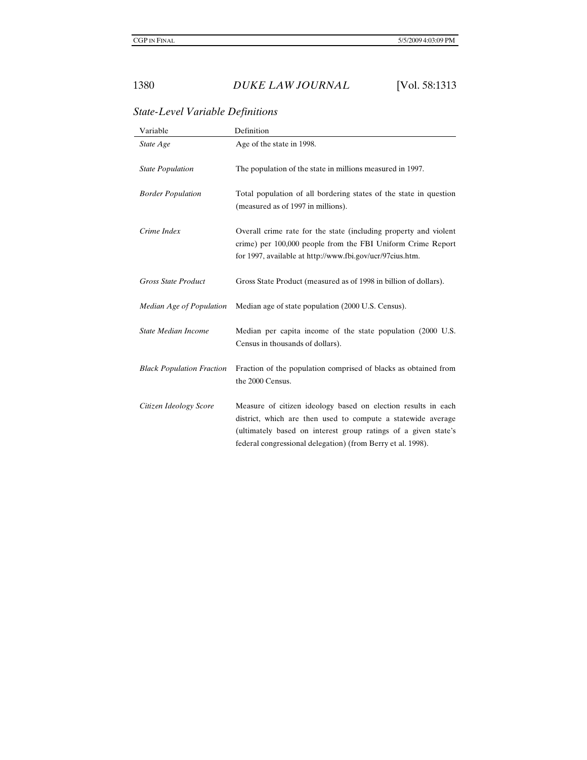# Variable Definition *State Age* Age of the state in 1998. *State Population* The population of the state in millions measured in 1997. *Border Population* Total population of all bordering states of the state in question (measured as of 1997 in millions). *Crime Index* Overall crime rate for the state (including property and violent crime) per 100,000 people from the FBI Uniform Crime Report for 1997, available at http://www.fbi.gov/ucr/97cius.htm. *Gross State Product* Gross State Product (measured as of 1998 in billion of dollars).

*Median Age of Population* Median age of state population (2000 U.S. Census).

#### *State-Level Variable Definitions*

| Census in thousands of dollars).                                                          |
|-------------------------------------------------------------------------------------------|
| Black Population Fraction Fraction of the population comprised of blacks as obtained from |
| the 2000 Census.                                                                          |

*State Median Income* Median per capita income of the state population (2000 U.S.

```
Citizen Ideology Score Measure of citizen ideology based on election results in each 
              district, which are then used to compute a statewide average 
              (ultimately based on interest group ratings of a given state's 
              federal congressional delegation) (from Berry et al. 1998).
```